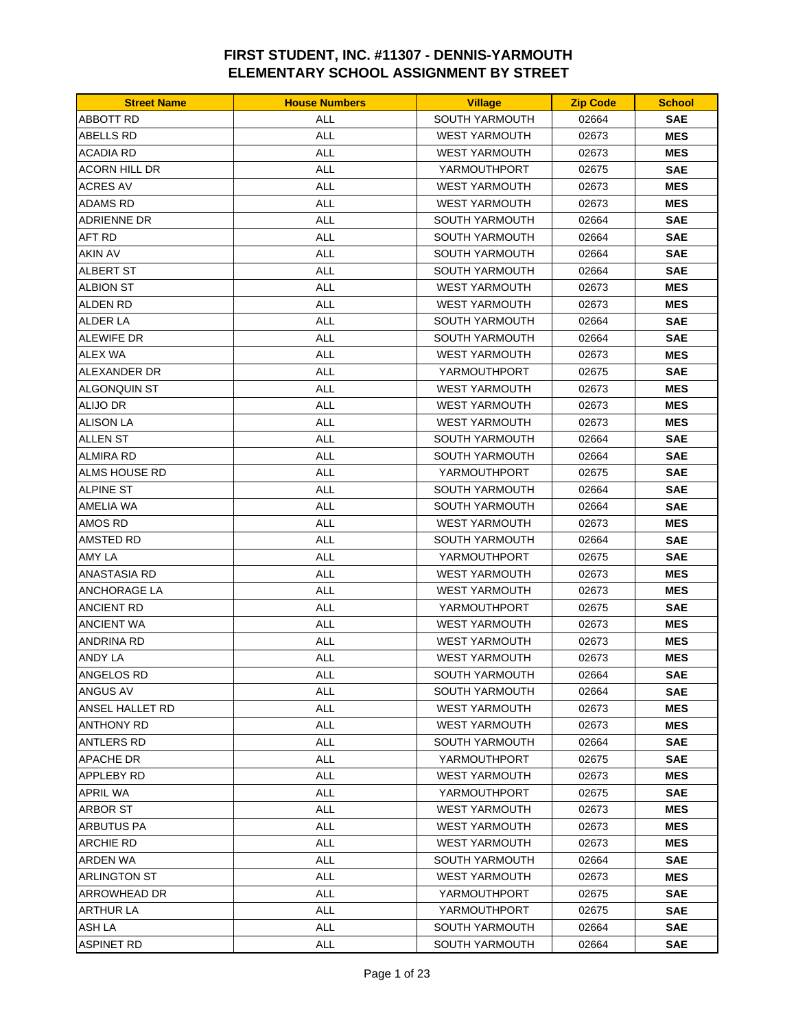| <b>Street Name</b>  | <b>House Numbers</b> | <b>Village</b>        | <b>Zip Code</b> | <b>School</b> |
|---------------------|----------------------|-----------------------|-----------------|---------------|
| ABBOTT RD           | ALL                  | <b>SOUTH YARMOUTH</b> | 02664           | <b>SAE</b>    |
| ABELLS RD           | <b>ALL</b>           | <b>WEST YARMOUTH</b>  | 02673           | <b>MES</b>    |
| ACADIA RD           | <b>ALL</b>           | <b>WEST YARMOUTH</b>  | 02673           | <b>MES</b>    |
| ACORN HILL DR       | <b>ALL</b>           | YARMOUTHPORT          | 02675           | <b>SAE</b>    |
| ACRES AV            | <b>ALL</b>           | <b>WEST YARMOUTH</b>  | 02673           | <b>MES</b>    |
| ADAMS RD            | <b>ALL</b>           | <b>WEST YARMOUTH</b>  | 02673           | <b>MES</b>    |
| ADRIENNE DR         | <b>ALL</b>           | <b>SOUTH YARMOUTH</b> | 02664           | <b>SAE</b>    |
| AFT RD              | <b>ALL</b>           | <b>SOUTH YARMOUTH</b> | 02664           | <b>SAE</b>    |
| <b>AKIN AV</b>      | <b>ALL</b>           | <b>SOUTH YARMOUTH</b> | 02664           | <b>SAE</b>    |
| <b>ALBERT ST</b>    | <b>ALL</b>           | <b>SOUTH YARMOUTH</b> | 02664           | <b>SAE</b>    |
| <b>ALBION ST</b>    | <b>ALL</b>           | <b>WEST YARMOUTH</b>  | 02673           | <b>MES</b>    |
| ALDEN RD            | ALL                  | <b>WEST YARMOUTH</b>  | 02673           | <b>MES</b>    |
| ALDER LA            | <b>ALL</b>           | SOUTH YARMOUTH        | 02664           | <b>SAE</b>    |
| <b>ALEWIFE DR</b>   | <b>ALL</b>           | <b>SOUTH YARMOUTH</b> | 02664           | <b>SAE</b>    |
| <b>ALEX WA</b>      | <b>ALL</b>           | <b>WEST YARMOUTH</b>  | 02673           | <b>MES</b>    |
| ALEXANDER DR        | <b>ALL</b>           | YARMOUTHPORT          | 02675           | <b>SAE</b>    |
| ALGONQUIN ST        | <b>ALL</b>           | <b>WEST YARMOUTH</b>  | 02673           | <b>MES</b>    |
| <b>ALIJO DR</b>     | ALL                  | <b>WEST YARMOUTH</b>  | 02673           | <b>MES</b>    |
| ALISON LA           | ALL                  | <b>WEST YARMOUTH</b>  | 02673           | <b>MES</b>    |
| ALLEN ST            | <b>ALL</b>           | <b>SOUTH YARMOUTH</b> | 02664           | <b>SAE</b>    |
| <b>ALMIRA RD</b>    | <b>ALL</b>           | <b>SOUTH YARMOUTH</b> | 02664           | <b>SAE</b>    |
|                     | <b>ALL</b>           |                       |                 |               |
| ALMS HOUSE RD       |                      | YARMOUTHPORT          | 02675           | <b>SAE</b>    |
| <b>ALPINE ST</b>    | <b>ALL</b>           | <b>SOUTH YARMOUTH</b> | 02664           | <b>SAE</b>    |
| AMELIA WA           | <b>ALL</b>           | <b>SOUTH YARMOUTH</b> | 02664           | <b>SAE</b>    |
| AMOS RD             | <b>ALL</b>           | <b>WEST YARMOUTH</b>  | 02673           | <b>MES</b>    |
| AMSTED RD           | <b>ALL</b>           | <b>SOUTH YARMOUTH</b> | 02664           | <b>SAE</b>    |
| AMY LA              | <b>ALL</b>           | YARMOUTHPORT          | 02675           | <b>SAE</b>    |
| ANASTASIA RD        | <b>ALL</b>           | <b>WEST YARMOUTH</b>  | 02673           | <b>MES</b>    |
| ANCHORAGE LA        | <b>ALL</b>           | <b>WEST YARMOUTH</b>  | 02673           | <b>MES</b>    |
| ANCIENT RD          | <b>ALL</b>           | YARMOUTHPORT          | 02675           | <b>SAE</b>    |
| <b>ANCIENT WA</b>   | <b>ALL</b>           | <b>WEST YARMOUTH</b>  | 02673           | <b>MES</b>    |
| ANDRINA RD          | ALL                  | <b>WEST YARMOUTH</b>  | 02673           | <b>MES</b>    |
| ANDY LA             | <b>ALL</b>           | <b>WEST YARMOUTH</b>  | 02673           | <b>MES</b>    |
| ANGELOS RD          | ALL                  | SOUTH YARMOUTH        | 02664           | <b>SAE</b>    |
| ANGUS AV            | ALL                  | SOUTH YARMOUTH        | 02664           | <b>SAE</b>    |
| ANSEL HALLET RD     | ALL                  | <b>WEST YARMOUTH</b>  | 02673           | <b>MES</b>    |
| <b>ANTHONY RD</b>   | <b>ALL</b>           | WEST YARMOUTH         | 02673           | <b>MES</b>    |
| ANTLERS RD          | ALL                  | <b>SOUTH YARMOUTH</b> | 02664           | <b>SAE</b>    |
| APACHE DR           | ALL                  | YARMOUTHPORT          | 02675           | <b>SAE</b>    |
| APPLEBY RD          | ALL                  | <b>WEST YARMOUTH</b>  | 02673           | <b>MES</b>    |
| APRIL WA            | ALL                  | YARMOUTHPORT          | 02675           | <b>SAE</b>    |
| ARBOR ST            | <b>ALL</b>           | <b>WEST YARMOUTH</b>  | 02673           | <b>MES</b>    |
| ARBUTUS PA          | <b>ALL</b>           | <b>WEST YARMOUTH</b>  | 02673           | <b>MES</b>    |
| ARCHIE RD           | <b>ALL</b>           | <b>WEST YARMOUTH</b>  | 02673           | <b>MES</b>    |
| ARDEN WA            | <b>ALL</b>           | <b>SOUTH YARMOUTH</b> | 02664           | <b>SAE</b>    |
| <b>ARLINGTON ST</b> | ALL                  | <b>WEST YARMOUTH</b>  | 02673           | <b>MES</b>    |
| ARROWHEAD DR        | <b>ALL</b>           | YARMOUTHPORT          | 02675           | <b>SAE</b>    |
| ARTHUR LA           | <b>ALL</b>           | YARMOUTHPORT          | 02675           | <b>SAE</b>    |
| ASH LA              | <b>ALL</b>           | SOUTH YARMOUTH        | 02664           | <b>SAE</b>    |
| <b>ASPINET RD</b>   | ALL                  | <b>SOUTH YARMOUTH</b> | 02664           | <b>SAE</b>    |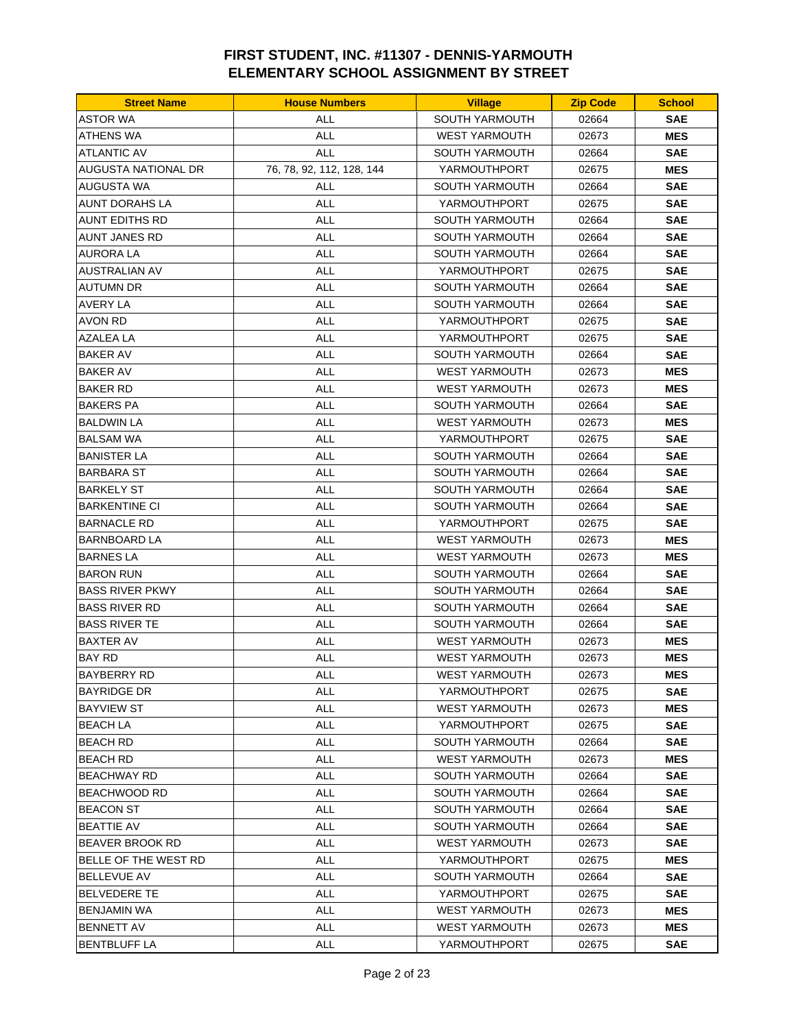| <b>Street Name</b>    | <b>House Numbers</b>      | <b>Village</b>        | <b>Zip Code</b> | <b>School</b> |
|-----------------------|---------------------------|-----------------------|-----------------|---------------|
| <b>ASTOR WA</b>       | <b>ALL</b>                | SOUTH YARMOUTH        | 02664           | <b>SAE</b>    |
| <b>ATHENS WA</b>      | <b>ALL</b>                | <b>WEST YARMOUTH</b>  | 02673           | <b>MES</b>    |
| <b>ATLANTIC AV</b>    | <b>ALL</b>                | <b>SOUTH YARMOUTH</b> | 02664           | <b>SAE</b>    |
| AUGUSTA NATIONAL DR   | 76, 78, 92, 112, 128, 144 | YARMOUTHPORT          | 02675           | <b>MES</b>    |
| <b>AUGUSTA WA</b>     | <b>ALL</b>                | <b>SOUTH YARMOUTH</b> | 02664           | <b>SAE</b>    |
| AUNT DORAHS LA        | <b>ALL</b>                | YARMOUTHPORT          | 02675           | <b>SAE</b>    |
| <b>AUNT EDITHS RD</b> | <b>ALL</b>                | <b>SOUTH YARMOUTH</b> | 02664           | <b>SAE</b>    |
| <b>AUNT JANES RD</b>  | <b>ALL</b>                | SOUTH YARMOUTH        | 02664           | <b>SAE</b>    |
| AURORA LA             | <b>ALL</b>                | <b>SOUTH YARMOUTH</b> | 02664           | <b>SAE</b>    |
| <b>AUSTRALIAN AV</b>  | <b>ALL</b>                | YARMOUTHPORT          | 02675           | <b>SAE</b>    |
| AUTUMN DR             | <b>ALL</b>                | <b>SOUTH YARMOUTH</b> | 02664           | <b>SAE</b>    |
| AVERY LA              | ALL                       | <b>SOUTH YARMOUTH</b> | 02664           | <b>SAE</b>    |
| <b>AVON RD</b>        | <b>ALL</b>                | YARMOUTHPORT          | 02675           | <b>SAE</b>    |
| <b>AZALEA LA</b>      | <b>ALL</b>                | YARMOUTHPORT          | 02675           | <b>SAE</b>    |
| <b>BAKER AV</b>       | <b>ALL</b>                | SOUTH YARMOUTH        | 02664           | <b>SAE</b>    |
| <b>BAKER AV</b>       | <b>ALL</b>                | <b>WEST YARMOUTH</b>  | 02673           | <b>MES</b>    |
| BAKER RD              | <b>ALL</b>                | <b>WEST YARMOUTH</b>  | 02673           | <b>MES</b>    |
| BAKERS PA             | ALL                       | <b>SOUTH YARMOUTH</b> | 02664           | <b>SAE</b>    |
| BALDWIN LA            | <b>ALL</b>                | <b>WEST YARMOUTH</b>  | 02673           | <b>MES</b>    |
| BALSAM WA             | <b>ALL</b>                | YARMOUTHPORT          | 02675           | <b>SAE</b>    |
| <b>BANISTER LA</b>    | <b>ALL</b>                | SOUTH YARMOUTH        | 02664           | <b>SAE</b>    |
| BARBARA ST            | <b>ALL</b>                | <b>SOUTH YARMOUTH</b> | 02664           | <b>SAE</b>    |
| BARKELY ST            | <b>ALL</b>                | <b>SOUTH YARMOUTH</b> | 02664           | <b>SAE</b>    |
| <b>BARKENTINE CI</b>  | ALL                       | SOUTH YARMOUTH        | 02664           | <b>SAE</b>    |
| BARNACLE RD           | <b>ALL</b>                | YARMOUTHPORT          | 02675           | <b>SAE</b>    |
| BARNBOARD LA          | <b>ALL</b>                | <b>WEST YARMOUTH</b>  | 02673           | <b>MES</b>    |
| <b>BARNES LA</b>      | <b>ALL</b>                | <b>WEST YARMOUTH</b>  | 02673           | <b>MES</b>    |
| BARON RUN             | <b>ALL</b>                | SOUTH YARMOUTH        | 02664           | <b>SAE</b>    |
| BASS RIVER PKWY       | <b>ALL</b>                | <b>SOUTH YARMOUTH</b> | 02664           | <b>SAE</b>    |
| <b>BASS RIVER RD</b>  | <b>ALL</b>                | SOUTH YARMOUTH        | 02664           | <b>SAE</b>    |
| BASS RIVER TE         | <b>ALL</b>                | <b>SOUTH YARMOUTH</b> | 02664           | <b>SAE</b>    |
| <b>BAXTER AV</b>      | <b>ALL</b>                | <b>WEST YARMOUTH</b>  | 02673           | <b>MES</b>    |
| <b>BAY RD</b>         | <b>ALL</b>                | <b>WEST YARMOUTH</b>  | 02673           | <b>MES</b>    |
| BAYBERRY RD           | <b>ALL</b>                | <b>WEST YARMOUTH</b>  | 02673           | <b>MES</b>    |
| <b>BAYRIDGE DR</b>    | <b>ALL</b>                | YARMOUTHPORT          | 02675           | <b>SAE</b>    |
| <b>BAYVIEW ST</b>     | <b>ALL</b>                | <b>WEST YARMOUTH</b>  | 02673           | <b>MES</b>    |
| BEACH LA              | <b>ALL</b>                | YARMOUTHPORT          | 02675           | <b>SAE</b>    |
| <b>BEACH RD</b>       | ALL                       | SOUTH YARMOUTH        | 02664           | <b>SAE</b>    |
| BEACH RD              | <b>ALL</b>                | <b>WEST YARMOUTH</b>  | 02673           | MES           |
| <b>BEACHWAY RD</b>    | <b>ALL</b>                | <b>SOUTH YARMOUTH</b> | 02664           | <b>SAE</b>    |
| BEACHWOOD RD          | ALL                       | SOUTH YARMOUTH        | 02664           | <b>SAE</b>    |
| BEACON ST             | <b>ALL</b>                | SOUTH YARMOUTH        | 02664           | <b>SAE</b>    |
| BEATTIE AV            | <b>ALL</b>                | SOUTH YARMOUTH        | 02664           | <b>SAE</b>    |
| BEAVER BROOK RD       | <b>ALL</b>                | <b>WEST YARMOUTH</b>  | 02673           | <b>SAE</b>    |
| BELLE OF THE WEST RD  | <b>ALL</b>                | YARMOUTHPORT          | 02675           | MES           |
| BELLEVUE AV           | <b>ALL</b>                | SOUTH YARMOUTH        | 02664           | <b>SAE</b>    |
| <b>BELVEDERE TE</b>   | <b>ALL</b>                | YARMOUTHPORT          | 02675           | <b>SAE</b>    |
| BENJAMIN WA           | ALL                       | <b>WEST YARMOUTH</b>  | 02673           | MES           |
| <b>BENNETT AV</b>     | ALL                       | <b>WEST YARMOUTH</b>  | 02673           | <b>MES</b>    |
| BENTBLUFF LA          | <b>ALL</b>                | YARMOUTHPORT          | 02675           | <b>SAE</b>    |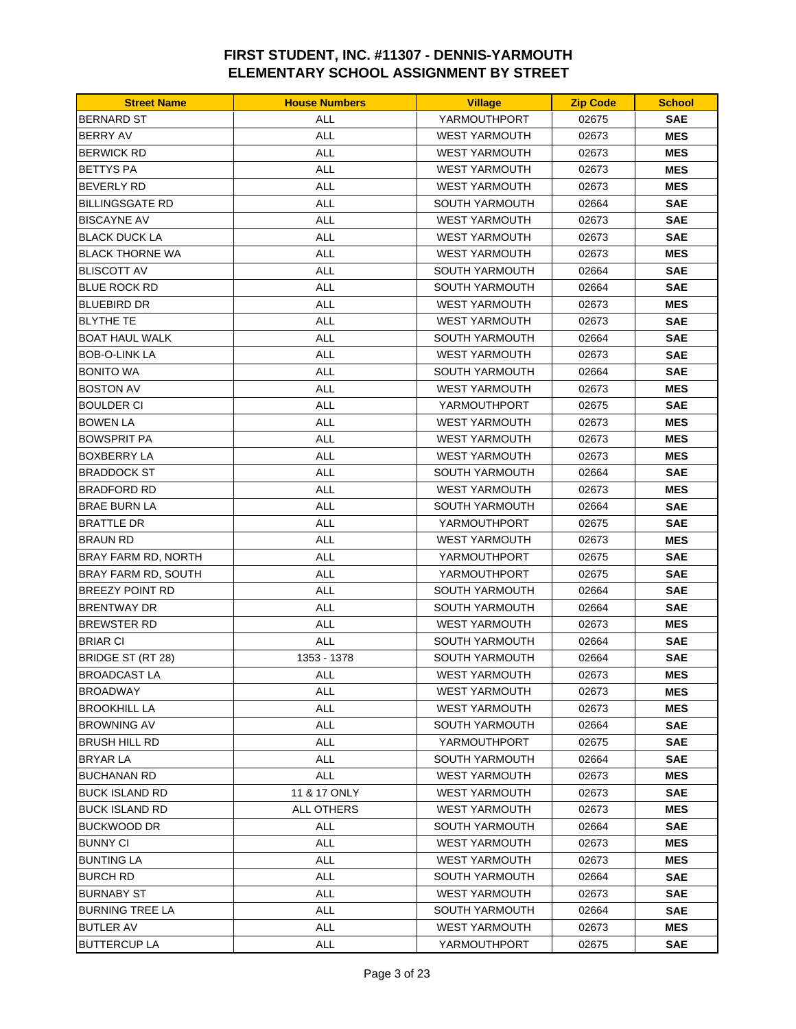| <b>Street Name</b>         | <b>House Numbers</b> | <b>Village</b>        | <b>Zip Code</b> | <b>School</b> |
|----------------------------|----------------------|-----------------------|-----------------|---------------|
| <b>BERNARD ST</b>          | <b>ALL</b>           | YARMOUTHPORT          | 02675           | <b>SAE</b>    |
| <b>BERRY AV</b>            | <b>ALL</b>           | <b>WEST YARMOUTH</b>  | 02673           | <b>MES</b>    |
| <b>BERWICK RD</b>          | <b>ALL</b>           | <b>WEST YARMOUTH</b>  | 02673           | <b>MES</b>    |
| <b>BETTYS PA</b>           | <b>ALL</b>           | <b>WEST YARMOUTH</b>  | 02673           | <b>MES</b>    |
| <b>BEVERLY RD</b>          | <b>ALL</b>           | <b>WEST YARMOUTH</b>  | 02673           | <b>MES</b>    |
| <b>BILLINGSGATE RD</b>     | <b>ALL</b>           | <b>SOUTH YARMOUTH</b> | 02664           | <b>SAE</b>    |
| <b>BISCAYNE AV</b>         | <b>ALL</b>           | <b>WEST YARMOUTH</b>  | 02673           | <b>SAE</b>    |
| <b>BLACK DUCK LA</b>       | <b>ALL</b>           | <b>WEST YARMOUTH</b>  | 02673           | <b>SAE</b>    |
| <b>BLACK THORNE WA</b>     | <b>ALL</b>           | <b>WEST YARMOUTH</b>  | 02673           | <b>MES</b>    |
| <b>BLISCOTT AV</b>         | <b>ALL</b>           | <b>SOUTH YARMOUTH</b> | 02664           | <b>SAE</b>    |
| <b>BLUE ROCK RD</b>        | <b>ALL</b>           | <b>SOUTH YARMOUTH</b> | 02664           | <b>SAE</b>    |
| <b>BLUEBIRD DR</b>         | <b>ALL</b>           | <b>WEST YARMOUTH</b>  | 02673           | <b>MES</b>    |
| <b>BLYTHE TE</b>           | <b>ALL</b>           | <b>WEST YARMOUTH</b>  | 02673           | <b>SAE</b>    |
| <b>BOAT HAUL WALK</b>      | <b>ALL</b>           | <b>SOUTH YARMOUTH</b> | 02664           | <b>SAE</b>    |
| <b>BOB-O-LINK LA</b>       | <b>ALL</b>           | <b>WEST YARMOUTH</b>  | 02673           | <b>SAE</b>    |
| <b>BONITO WA</b>           | <b>ALL</b>           | <b>SOUTH YARMOUTH</b> | 02664           | <b>SAE</b>    |
| <b>BOSTON AV</b>           | <b>ALL</b>           | <b>WEST YARMOUTH</b>  | 02673           | <b>MES</b>    |
| <b>BOULDER CI</b>          | <b>ALL</b>           | YARMOUTHPORT          | 02675           | <b>SAE</b>    |
| <b>BOWEN LA</b>            | <b>ALL</b>           | <b>WEST YARMOUTH</b>  | 02673           | <b>MES</b>    |
| <b>BOWSPRIT PA</b>         | <b>ALL</b>           | <b>WEST YARMOUTH</b>  | 02673           | <b>MES</b>    |
| <b>BOXBERRY LA</b>         | <b>ALL</b>           | <b>WEST YARMOUTH</b>  | 02673           | <b>MES</b>    |
| <b>BRADDOCK ST</b>         | <b>ALL</b>           | <b>SOUTH YARMOUTH</b> | 02664           | <b>SAE</b>    |
| <b>BRADFORD RD</b>         | <b>ALL</b>           | <b>WEST YARMOUTH</b>  | 02673           | <b>MES</b>    |
| <b>BRAE BURN LA</b>        | <b>ALL</b>           | <b>SOUTH YARMOUTH</b> | 02664           | <b>SAE</b>    |
| BRATTLE DR                 | <b>ALL</b>           | YARMOUTHPORT          | 02675           | <b>SAE</b>    |
| BRAUN RD                   | <b>ALL</b>           | <b>WEST YARMOUTH</b>  | 02673           | <b>MES</b>    |
| <b>BRAY FARM RD, NORTH</b> | <b>ALL</b>           | YARMOUTHPORT          | 02675           | <b>SAE</b>    |
| BRAY FARM RD, SOUTH        | <b>ALL</b>           | YARMOUTHPORT          | 02675           | <b>SAE</b>    |
| <b>BREEZY POINT RD</b>     | <b>ALL</b>           | <b>SOUTH YARMOUTH</b> | 02664           | <b>SAE</b>    |
| <b>BRENTWAY DR</b>         | <b>ALL</b>           | <b>SOUTH YARMOUTH</b> | 02664           | <b>SAE</b>    |
| <b>BREWSTER RD</b>         | <b>ALL</b>           | <b>WEST YARMOUTH</b>  | 02673           | <b>MES</b>    |
| <b>BRIAR CI</b>            | <b>ALL</b>           | <b>SOUTH YARMOUTH</b> | 02664           | <b>SAE</b>    |
| BRIDGE ST (RT 28)          | 1353 - 1378          | <b>SOUTH YARMOUTH</b> | 02664           | <b>SAE</b>    |
| <b>BROADCAST LA</b>        | ALL                  | WEST YARMOUTH         | 02673           | <b>MES</b>    |
| <b>BROADWAY</b>            | <b>ALL</b>           | <b>WEST YARMOUTH</b>  | 02673           | <b>MES</b>    |
| <b>BROOKHILL LA</b>        | ALL                  | <b>WEST YARMOUTH</b>  | 02673           | <b>MES</b>    |
| <b>BROWNING AV</b>         | <b>ALL</b>           | <b>SOUTH YARMOUTH</b> | 02664           | <b>SAE</b>    |
| BRUSH HILL RD              | ALL                  | YARMOUTHPORT          | 02675           | <b>SAE</b>    |
| <b>BRYAR LA</b>            | ALL                  | <b>SOUTH YARMOUTH</b> | 02664           | <b>SAE</b>    |
| <b>BUCHANAN RD</b>         | ALL                  | <b>WEST YARMOUTH</b>  | 02673           | <b>MES</b>    |
| <b>BUCK ISLAND RD</b>      | 11 & 17 ONLY         | <b>WEST YARMOUTH</b>  | 02673           | <b>SAE</b>    |
| <b>BUCK ISLAND RD</b>      | <b>ALL OTHERS</b>    | <b>WEST YARMOUTH</b>  | 02673           | <b>MES</b>    |
| <b>BUCKWOOD DR</b>         | <b>ALL</b>           | <b>SOUTH YARMOUTH</b> | 02664           | <b>SAE</b>    |
| <b>BUNNY CI</b>            | <b>ALL</b>           | <b>WEST YARMOUTH</b>  | 02673           | <b>MES</b>    |
| <b>BUNTING LA</b>          | <b>ALL</b>           | <b>WEST YARMOUTH</b>  | 02673           | <b>MES</b>    |
| <b>BURCH RD</b>            | ALL                  | SOUTH YARMOUTH        | 02664           | <b>SAE</b>    |
| <b>BURNABY ST</b>          | <b>ALL</b>           | <b>WEST YARMOUTH</b>  | 02673           | <b>SAE</b>    |
| <b>BURNING TREE LA</b>     | <b>ALL</b>           | SOUTH YARMOUTH        | 02664           | <b>SAE</b>    |
| <b>BUTLER AV</b>           | ALL                  | <b>WEST YARMOUTH</b>  | 02673           | <b>MES</b>    |
| <b>BUTTERCUP LA</b>        | ALL                  | YARMOUTHPORT          | 02675           | <b>SAE</b>    |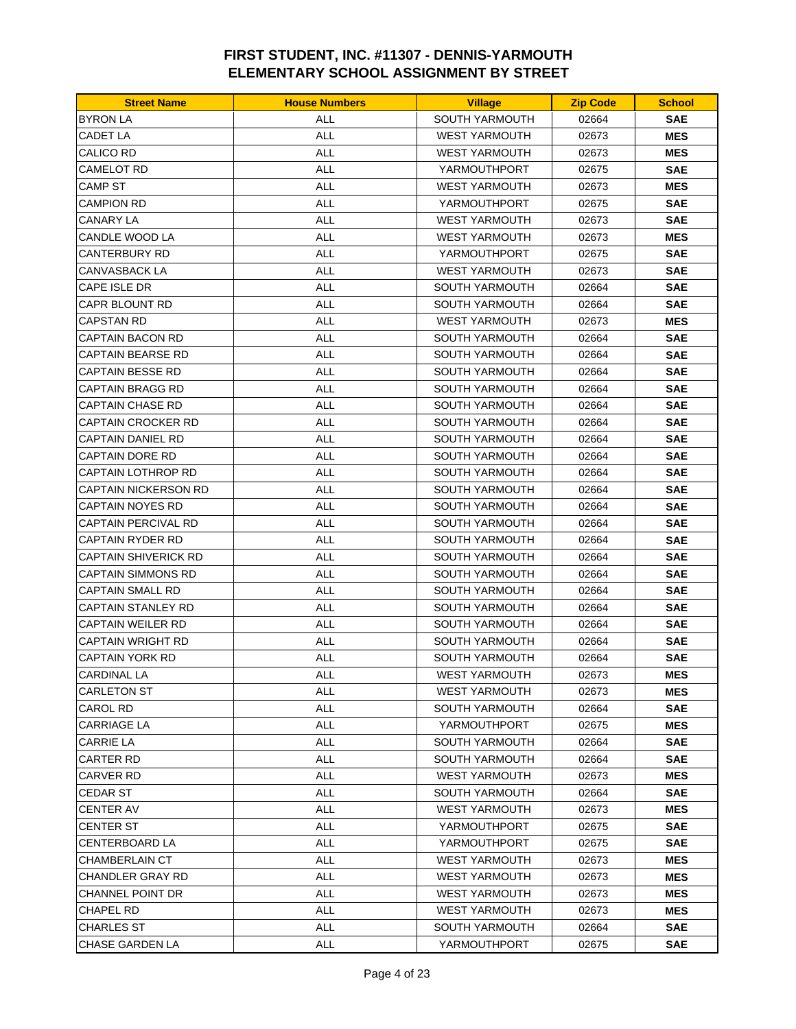| <b>BYRON LA</b><br><b>ALL</b><br>SOUTH YARMOUTH<br>02664<br><b>SAE</b><br><b>ALL</b><br>CADET LA<br><b>WEST YARMOUTH</b><br>02673<br><b>MES</b><br><b>ALL</b><br><b>CALICO RD</b><br><b>WEST YARMOUTH</b><br>02673<br><b>MES</b><br><b>ALL</b><br>CAMELOT RD<br>YARMOUTHPORT<br>02675<br><b>SAE</b><br><b>ALL</b><br>CAMP ST<br><b>WEST YARMOUTH</b><br><b>MES</b><br>02673<br>ALL<br><b>CAMPION RD</b><br>YARMOUTHPORT<br>02675<br><b>SAE</b><br>CANARY LA<br>ALL<br><b>WEST YARMOUTH</b><br>02673<br><b>SAE</b><br><b>ALL</b><br>CANDLE WOOD LA<br><b>WEST YARMOUTH</b><br>02673<br><b>MES</b><br><b>CANTERBURY RD</b><br><b>ALL</b><br>YARMOUTHPORT<br><b>SAE</b><br>02675<br><b>ALL</b><br>CANVASBACK LA<br><b>WEST YARMOUTH</b><br>02673<br>SAE<br><b>ALL</b><br>CAPE ISLE DR<br><b>SOUTH YARMOUTH</b><br>02664<br>SAE<br><b>ALL</b><br><b>SAE</b><br>CAPR BLOUNT RD<br>SOUTH YARMOUTH<br>02664<br>ALL<br>CAPSTAN RD<br><b>WEST YARMOUTH</b><br>02673<br><b>MES</b><br><b>ALL</b><br>CAPTAIN BACON RD<br><b>SOUTH YARMOUTH</b><br>02664<br><b>SAE</b><br><b>ALL</b><br>CAPTAIN BEARSE RD<br>SOUTH YARMOUTH<br>02664<br><b>SAE</b><br>CAPTAIN BESSE RD<br>ALL<br><b>SOUTH YARMOUTH</b><br>SAE<br>02664<br><b>ALL</b><br>CAPTAIN BRAGG RD<br><b>SOUTH YARMOUTH</b><br>02664<br>SAE<br><b>ALL</b><br><b>SAE</b><br>CAPTAIN CHASE RD<br><b>SOUTH YARMOUTH</b><br>02664<br><b>SAE</b><br>CAPTAIN CROCKER RD<br>ALL<br><b>SOUTH YARMOUTH</b><br>02664<br>CAPTAIN DANIEL RD<br>ALL<br><b>SOUTH YARMOUTH</b><br>02664<br>SAE<br><b>ALL</b><br>CAPTAIN DORE RD<br>SOUTH YARMOUTH<br>02664<br><b>SAE</b><br><b>ALL</b><br>CAPTAIN LOTHROP RD<br><b>SOUTH YARMOUTH</b><br>02664<br>SAE<br><b>ALL</b><br>CAPTAIN NICKERSON RD<br><b>SOUTH YARMOUTH</b><br>02664<br>SAE<br><b>ALL</b><br>CAPTAIN NOYES RD<br><b>SOUTH YARMOUTH</b><br>02664<br><b>SAE</b><br>ALL<br><b>SAE</b><br>CAPTAIN PERCIVAL RD<br>SOUTH YARMOUTH<br>02664<br><b>ALL</b><br>CAPTAIN RYDER RD<br><b>SOUTH YARMOUTH</b><br>02664<br>SAE<br><b>ALL</b><br><b>CAPTAIN SHIVERICK RD</b><br><b>SOUTH YARMOUTH</b><br>02664<br><b>SAE</b><br><b>CAPTAIN SIMMONS RD</b><br>ALL<br><b>SAE</b><br><b>SOUTH YARMOUTH</b><br>02664<br><b>ALL</b><br>CAPTAIN SMALL RD<br><b>SOUTH YARMOUTH</b><br>02664<br>SAE<br><b>ALL</b><br>CAPTAIN STANLEY RD<br><b>SOUTH YARMOUTH</b><br>02664<br><b>SAE</b><br>ALL<br><b>CAPTAIN WEILER RD</b><br><b>SOUTH YARMOUTH</b><br>02664<br><b>SAE</b><br>CAPTAIN WRIGHT RD<br>ALL<br>SOUTH YARMOUTH<br>02664<br>SAE<br><b>CAPTAIN YORK RD</b><br><b>ALL</b><br>SOUTH YARMOUTH<br>02664<br><b>SAE</b><br><b>CARDINAL LA</b><br><b>ALL</b><br><b>WEST YARMOUTH</b><br><b>MES</b><br>02673<br>CARLETON ST<br>ALL<br><b>WEST YARMOUTH</b><br>02673<br><b>MES</b><br><b>ALL</b><br><b>SAE</b><br>CAROL RD<br>SOUTH YARMOUTH<br>02664<br>CARRIAGE LA<br><b>ALL</b><br>YARMOUTHPORT<br>MES<br>02675<br>SAE<br>CARRIE LA<br>ALL<br>SOUTH YARMOUTH<br>02664<br>CARTER RD<br>ALL<br><b>SOUTH YARMOUTH</b><br>02664<br>SAE<br>CARVER RD<br>ALL<br><b>WEST YARMOUTH</b><br>02673<br>MES<br><b>ALL</b><br><b>SOUTH YARMOUTH</b><br><b>SAE</b><br>CEDAR ST<br>02664<br>ALL<br><b>WEST YARMOUTH</b><br>CENTER AV<br>02673<br>MES<br>CENTER ST<br><b>ALL</b><br>YARMOUTHPORT<br>SAE<br>02675<br><b>ALL</b><br>SAE<br>CENTERBOARD LA<br>YARMOUTHPORT<br>02675<br>CHAMBERLAIN CT<br>ALL<br><b>WEST YARMOUTH</b><br>02673<br>MES<br>CHANDLER GRAY RD<br>ALL<br><b>WEST YARMOUTH</b><br>02673<br>MES<br>CHANNEL POINT DR<br><b>ALL</b><br>WEST YARMOUTH<br>02673<br><b>MES</b><br>CHAPEL RD<br>ALL<br><b>WEST YARMOUTH</b><br><b>MES</b><br>02673<br>ALL<br>CHARLES ST<br>SOUTH YARMOUTH<br>02664<br>SAE | <b>Street Name</b> | <b>House Numbers</b> | <b>Village</b> | <b>Zip Code</b> | <b>School</b> |
|-----------------------------------------------------------------------------------------------------------------------------------------------------------------------------------------------------------------------------------------------------------------------------------------------------------------------------------------------------------------------------------------------------------------------------------------------------------------------------------------------------------------------------------------------------------------------------------------------------------------------------------------------------------------------------------------------------------------------------------------------------------------------------------------------------------------------------------------------------------------------------------------------------------------------------------------------------------------------------------------------------------------------------------------------------------------------------------------------------------------------------------------------------------------------------------------------------------------------------------------------------------------------------------------------------------------------------------------------------------------------------------------------------------------------------------------------------------------------------------------------------------------------------------------------------------------------------------------------------------------------------------------------------------------------------------------------------------------------------------------------------------------------------------------------------------------------------------------------------------------------------------------------------------------------------------------------------------------------------------------------------------------------------------------------------------------------------------------------------------------------------------------------------------------------------------------------------------------------------------------------------------------------------------------------------------------------------------------------------------------------------------------------------------------------------------------------------------------------------------------------------------------------------------------------------------------------------------------------------------------------------------------------------------------------------------------------------------------------------------------------------------------------------------------------------------------------------------------------------------------------------------------------------------------------------------------------------------------------------------------------------------------------------------------------------------------------------------------------------------------------------------------------------------------------------------------------------------------------------------------------------------------------------------------------------------------------------------------------------------------------------------------------------------------------------------------------------------------------------------------------------------------------------------------------------------------------------------------------------------------------------------------------------------------------|--------------------|----------------------|----------------|-----------------|---------------|
|                                                                                                                                                                                                                                                                                                                                                                                                                                                                                                                                                                                                                                                                                                                                                                                                                                                                                                                                                                                                                                                                                                                                                                                                                                                                                                                                                                                                                                                                                                                                                                                                                                                                                                                                                                                                                                                                                                                                                                                                                                                                                                                                                                                                                                                                                                                                                                                                                                                                                                                                                                                                                                                                                                                                                                                                                                                                                                                                                                                                                                                                                                                                                                                                                                                                                                                                                                                                                                                                                                                                                                                                                                                                       |                    |                      |                |                 |               |
|                                                                                                                                                                                                                                                                                                                                                                                                                                                                                                                                                                                                                                                                                                                                                                                                                                                                                                                                                                                                                                                                                                                                                                                                                                                                                                                                                                                                                                                                                                                                                                                                                                                                                                                                                                                                                                                                                                                                                                                                                                                                                                                                                                                                                                                                                                                                                                                                                                                                                                                                                                                                                                                                                                                                                                                                                                                                                                                                                                                                                                                                                                                                                                                                                                                                                                                                                                                                                                                                                                                                                                                                                                                                       |                    |                      |                |                 |               |
|                                                                                                                                                                                                                                                                                                                                                                                                                                                                                                                                                                                                                                                                                                                                                                                                                                                                                                                                                                                                                                                                                                                                                                                                                                                                                                                                                                                                                                                                                                                                                                                                                                                                                                                                                                                                                                                                                                                                                                                                                                                                                                                                                                                                                                                                                                                                                                                                                                                                                                                                                                                                                                                                                                                                                                                                                                                                                                                                                                                                                                                                                                                                                                                                                                                                                                                                                                                                                                                                                                                                                                                                                                                                       |                    |                      |                |                 |               |
|                                                                                                                                                                                                                                                                                                                                                                                                                                                                                                                                                                                                                                                                                                                                                                                                                                                                                                                                                                                                                                                                                                                                                                                                                                                                                                                                                                                                                                                                                                                                                                                                                                                                                                                                                                                                                                                                                                                                                                                                                                                                                                                                                                                                                                                                                                                                                                                                                                                                                                                                                                                                                                                                                                                                                                                                                                                                                                                                                                                                                                                                                                                                                                                                                                                                                                                                                                                                                                                                                                                                                                                                                                                                       |                    |                      |                |                 |               |
|                                                                                                                                                                                                                                                                                                                                                                                                                                                                                                                                                                                                                                                                                                                                                                                                                                                                                                                                                                                                                                                                                                                                                                                                                                                                                                                                                                                                                                                                                                                                                                                                                                                                                                                                                                                                                                                                                                                                                                                                                                                                                                                                                                                                                                                                                                                                                                                                                                                                                                                                                                                                                                                                                                                                                                                                                                                                                                                                                                                                                                                                                                                                                                                                                                                                                                                                                                                                                                                                                                                                                                                                                                                                       |                    |                      |                |                 |               |
|                                                                                                                                                                                                                                                                                                                                                                                                                                                                                                                                                                                                                                                                                                                                                                                                                                                                                                                                                                                                                                                                                                                                                                                                                                                                                                                                                                                                                                                                                                                                                                                                                                                                                                                                                                                                                                                                                                                                                                                                                                                                                                                                                                                                                                                                                                                                                                                                                                                                                                                                                                                                                                                                                                                                                                                                                                                                                                                                                                                                                                                                                                                                                                                                                                                                                                                                                                                                                                                                                                                                                                                                                                                                       |                    |                      |                |                 |               |
|                                                                                                                                                                                                                                                                                                                                                                                                                                                                                                                                                                                                                                                                                                                                                                                                                                                                                                                                                                                                                                                                                                                                                                                                                                                                                                                                                                                                                                                                                                                                                                                                                                                                                                                                                                                                                                                                                                                                                                                                                                                                                                                                                                                                                                                                                                                                                                                                                                                                                                                                                                                                                                                                                                                                                                                                                                                                                                                                                                                                                                                                                                                                                                                                                                                                                                                                                                                                                                                                                                                                                                                                                                                                       |                    |                      |                |                 |               |
|                                                                                                                                                                                                                                                                                                                                                                                                                                                                                                                                                                                                                                                                                                                                                                                                                                                                                                                                                                                                                                                                                                                                                                                                                                                                                                                                                                                                                                                                                                                                                                                                                                                                                                                                                                                                                                                                                                                                                                                                                                                                                                                                                                                                                                                                                                                                                                                                                                                                                                                                                                                                                                                                                                                                                                                                                                                                                                                                                                                                                                                                                                                                                                                                                                                                                                                                                                                                                                                                                                                                                                                                                                                                       |                    |                      |                |                 |               |
|                                                                                                                                                                                                                                                                                                                                                                                                                                                                                                                                                                                                                                                                                                                                                                                                                                                                                                                                                                                                                                                                                                                                                                                                                                                                                                                                                                                                                                                                                                                                                                                                                                                                                                                                                                                                                                                                                                                                                                                                                                                                                                                                                                                                                                                                                                                                                                                                                                                                                                                                                                                                                                                                                                                                                                                                                                                                                                                                                                                                                                                                                                                                                                                                                                                                                                                                                                                                                                                                                                                                                                                                                                                                       |                    |                      |                |                 |               |
|                                                                                                                                                                                                                                                                                                                                                                                                                                                                                                                                                                                                                                                                                                                                                                                                                                                                                                                                                                                                                                                                                                                                                                                                                                                                                                                                                                                                                                                                                                                                                                                                                                                                                                                                                                                                                                                                                                                                                                                                                                                                                                                                                                                                                                                                                                                                                                                                                                                                                                                                                                                                                                                                                                                                                                                                                                                                                                                                                                                                                                                                                                                                                                                                                                                                                                                                                                                                                                                                                                                                                                                                                                                                       |                    |                      |                |                 |               |
|                                                                                                                                                                                                                                                                                                                                                                                                                                                                                                                                                                                                                                                                                                                                                                                                                                                                                                                                                                                                                                                                                                                                                                                                                                                                                                                                                                                                                                                                                                                                                                                                                                                                                                                                                                                                                                                                                                                                                                                                                                                                                                                                                                                                                                                                                                                                                                                                                                                                                                                                                                                                                                                                                                                                                                                                                                                                                                                                                                                                                                                                                                                                                                                                                                                                                                                                                                                                                                                                                                                                                                                                                                                                       |                    |                      |                |                 |               |
|                                                                                                                                                                                                                                                                                                                                                                                                                                                                                                                                                                                                                                                                                                                                                                                                                                                                                                                                                                                                                                                                                                                                                                                                                                                                                                                                                                                                                                                                                                                                                                                                                                                                                                                                                                                                                                                                                                                                                                                                                                                                                                                                                                                                                                                                                                                                                                                                                                                                                                                                                                                                                                                                                                                                                                                                                                                                                                                                                                                                                                                                                                                                                                                                                                                                                                                                                                                                                                                                                                                                                                                                                                                                       |                    |                      |                |                 |               |
|                                                                                                                                                                                                                                                                                                                                                                                                                                                                                                                                                                                                                                                                                                                                                                                                                                                                                                                                                                                                                                                                                                                                                                                                                                                                                                                                                                                                                                                                                                                                                                                                                                                                                                                                                                                                                                                                                                                                                                                                                                                                                                                                                                                                                                                                                                                                                                                                                                                                                                                                                                                                                                                                                                                                                                                                                                                                                                                                                                                                                                                                                                                                                                                                                                                                                                                                                                                                                                                                                                                                                                                                                                                                       |                    |                      |                |                 |               |
|                                                                                                                                                                                                                                                                                                                                                                                                                                                                                                                                                                                                                                                                                                                                                                                                                                                                                                                                                                                                                                                                                                                                                                                                                                                                                                                                                                                                                                                                                                                                                                                                                                                                                                                                                                                                                                                                                                                                                                                                                                                                                                                                                                                                                                                                                                                                                                                                                                                                                                                                                                                                                                                                                                                                                                                                                                                                                                                                                                                                                                                                                                                                                                                                                                                                                                                                                                                                                                                                                                                                                                                                                                                                       |                    |                      |                |                 |               |
|                                                                                                                                                                                                                                                                                                                                                                                                                                                                                                                                                                                                                                                                                                                                                                                                                                                                                                                                                                                                                                                                                                                                                                                                                                                                                                                                                                                                                                                                                                                                                                                                                                                                                                                                                                                                                                                                                                                                                                                                                                                                                                                                                                                                                                                                                                                                                                                                                                                                                                                                                                                                                                                                                                                                                                                                                                                                                                                                                                                                                                                                                                                                                                                                                                                                                                                                                                                                                                                                                                                                                                                                                                                                       |                    |                      |                |                 |               |
|                                                                                                                                                                                                                                                                                                                                                                                                                                                                                                                                                                                                                                                                                                                                                                                                                                                                                                                                                                                                                                                                                                                                                                                                                                                                                                                                                                                                                                                                                                                                                                                                                                                                                                                                                                                                                                                                                                                                                                                                                                                                                                                                                                                                                                                                                                                                                                                                                                                                                                                                                                                                                                                                                                                                                                                                                                                                                                                                                                                                                                                                                                                                                                                                                                                                                                                                                                                                                                                                                                                                                                                                                                                                       |                    |                      |                |                 |               |
|                                                                                                                                                                                                                                                                                                                                                                                                                                                                                                                                                                                                                                                                                                                                                                                                                                                                                                                                                                                                                                                                                                                                                                                                                                                                                                                                                                                                                                                                                                                                                                                                                                                                                                                                                                                                                                                                                                                                                                                                                                                                                                                                                                                                                                                                                                                                                                                                                                                                                                                                                                                                                                                                                                                                                                                                                                                                                                                                                                                                                                                                                                                                                                                                                                                                                                                                                                                                                                                                                                                                                                                                                                                                       |                    |                      |                |                 |               |
|                                                                                                                                                                                                                                                                                                                                                                                                                                                                                                                                                                                                                                                                                                                                                                                                                                                                                                                                                                                                                                                                                                                                                                                                                                                                                                                                                                                                                                                                                                                                                                                                                                                                                                                                                                                                                                                                                                                                                                                                                                                                                                                                                                                                                                                                                                                                                                                                                                                                                                                                                                                                                                                                                                                                                                                                                                                                                                                                                                                                                                                                                                                                                                                                                                                                                                                                                                                                                                                                                                                                                                                                                                                                       |                    |                      |                |                 |               |
|                                                                                                                                                                                                                                                                                                                                                                                                                                                                                                                                                                                                                                                                                                                                                                                                                                                                                                                                                                                                                                                                                                                                                                                                                                                                                                                                                                                                                                                                                                                                                                                                                                                                                                                                                                                                                                                                                                                                                                                                                                                                                                                                                                                                                                                                                                                                                                                                                                                                                                                                                                                                                                                                                                                                                                                                                                                                                                                                                                                                                                                                                                                                                                                                                                                                                                                                                                                                                                                                                                                                                                                                                                                                       |                    |                      |                |                 |               |
|                                                                                                                                                                                                                                                                                                                                                                                                                                                                                                                                                                                                                                                                                                                                                                                                                                                                                                                                                                                                                                                                                                                                                                                                                                                                                                                                                                                                                                                                                                                                                                                                                                                                                                                                                                                                                                                                                                                                                                                                                                                                                                                                                                                                                                                                                                                                                                                                                                                                                                                                                                                                                                                                                                                                                                                                                                                                                                                                                                                                                                                                                                                                                                                                                                                                                                                                                                                                                                                                                                                                                                                                                                                                       |                    |                      |                |                 |               |
|                                                                                                                                                                                                                                                                                                                                                                                                                                                                                                                                                                                                                                                                                                                                                                                                                                                                                                                                                                                                                                                                                                                                                                                                                                                                                                                                                                                                                                                                                                                                                                                                                                                                                                                                                                                                                                                                                                                                                                                                                                                                                                                                                                                                                                                                                                                                                                                                                                                                                                                                                                                                                                                                                                                                                                                                                                                                                                                                                                                                                                                                                                                                                                                                                                                                                                                                                                                                                                                                                                                                                                                                                                                                       |                    |                      |                |                 |               |
|                                                                                                                                                                                                                                                                                                                                                                                                                                                                                                                                                                                                                                                                                                                                                                                                                                                                                                                                                                                                                                                                                                                                                                                                                                                                                                                                                                                                                                                                                                                                                                                                                                                                                                                                                                                                                                                                                                                                                                                                                                                                                                                                                                                                                                                                                                                                                                                                                                                                                                                                                                                                                                                                                                                                                                                                                                                                                                                                                                                                                                                                                                                                                                                                                                                                                                                                                                                                                                                                                                                                                                                                                                                                       |                    |                      |                |                 |               |
|                                                                                                                                                                                                                                                                                                                                                                                                                                                                                                                                                                                                                                                                                                                                                                                                                                                                                                                                                                                                                                                                                                                                                                                                                                                                                                                                                                                                                                                                                                                                                                                                                                                                                                                                                                                                                                                                                                                                                                                                                                                                                                                                                                                                                                                                                                                                                                                                                                                                                                                                                                                                                                                                                                                                                                                                                                                                                                                                                                                                                                                                                                                                                                                                                                                                                                                                                                                                                                                                                                                                                                                                                                                                       |                    |                      |                |                 |               |
|                                                                                                                                                                                                                                                                                                                                                                                                                                                                                                                                                                                                                                                                                                                                                                                                                                                                                                                                                                                                                                                                                                                                                                                                                                                                                                                                                                                                                                                                                                                                                                                                                                                                                                                                                                                                                                                                                                                                                                                                                                                                                                                                                                                                                                                                                                                                                                                                                                                                                                                                                                                                                                                                                                                                                                                                                                                                                                                                                                                                                                                                                                                                                                                                                                                                                                                                                                                                                                                                                                                                                                                                                                                                       |                    |                      |                |                 |               |
|                                                                                                                                                                                                                                                                                                                                                                                                                                                                                                                                                                                                                                                                                                                                                                                                                                                                                                                                                                                                                                                                                                                                                                                                                                                                                                                                                                                                                                                                                                                                                                                                                                                                                                                                                                                                                                                                                                                                                                                                                                                                                                                                                                                                                                                                                                                                                                                                                                                                                                                                                                                                                                                                                                                                                                                                                                                                                                                                                                                                                                                                                                                                                                                                                                                                                                                                                                                                                                                                                                                                                                                                                                                                       |                    |                      |                |                 |               |
|                                                                                                                                                                                                                                                                                                                                                                                                                                                                                                                                                                                                                                                                                                                                                                                                                                                                                                                                                                                                                                                                                                                                                                                                                                                                                                                                                                                                                                                                                                                                                                                                                                                                                                                                                                                                                                                                                                                                                                                                                                                                                                                                                                                                                                                                                                                                                                                                                                                                                                                                                                                                                                                                                                                                                                                                                                                                                                                                                                                                                                                                                                                                                                                                                                                                                                                                                                                                                                                                                                                                                                                                                                                                       |                    |                      |                |                 |               |
|                                                                                                                                                                                                                                                                                                                                                                                                                                                                                                                                                                                                                                                                                                                                                                                                                                                                                                                                                                                                                                                                                                                                                                                                                                                                                                                                                                                                                                                                                                                                                                                                                                                                                                                                                                                                                                                                                                                                                                                                                                                                                                                                                                                                                                                                                                                                                                                                                                                                                                                                                                                                                                                                                                                                                                                                                                                                                                                                                                                                                                                                                                                                                                                                                                                                                                                                                                                                                                                                                                                                                                                                                                                                       |                    |                      |                |                 |               |
|                                                                                                                                                                                                                                                                                                                                                                                                                                                                                                                                                                                                                                                                                                                                                                                                                                                                                                                                                                                                                                                                                                                                                                                                                                                                                                                                                                                                                                                                                                                                                                                                                                                                                                                                                                                                                                                                                                                                                                                                                                                                                                                                                                                                                                                                                                                                                                                                                                                                                                                                                                                                                                                                                                                                                                                                                                                                                                                                                                                                                                                                                                                                                                                                                                                                                                                                                                                                                                                                                                                                                                                                                                                                       |                    |                      |                |                 |               |
|                                                                                                                                                                                                                                                                                                                                                                                                                                                                                                                                                                                                                                                                                                                                                                                                                                                                                                                                                                                                                                                                                                                                                                                                                                                                                                                                                                                                                                                                                                                                                                                                                                                                                                                                                                                                                                                                                                                                                                                                                                                                                                                                                                                                                                                                                                                                                                                                                                                                                                                                                                                                                                                                                                                                                                                                                                                                                                                                                                                                                                                                                                                                                                                                                                                                                                                                                                                                                                                                                                                                                                                                                                                                       |                    |                      |                |                 |               |
|                                                                                                                                                                                                                                                                                                                                                                                                                                                                                                                                                                                                                                                                                                                                                                                                                                                                                                                                                                                                                                                                                                                                                                                                                                                                                                                                                                                                                                                                                                                                                                                                                                                                                                                                                                                                                                                                                                                                                                                                                                                                                                                                                                                                                                                                                                                                                                                                                                                                                                                                                                                                                                                                                                                                                                                                                                                                                                                                                                                                                                                                                                                                                                                                                                                                                                                                                                                                                                                                                                                                                                                                                                                                       |                    |                      |                |                 |               |
|                                                                                                                                                                                                                                                                                                                                                                                                                                                                                                                                                                                                                                                                                                                                                                                                                                                                                                                                                                                                                                                                                                                                                                                                                                                                                                                                                                                                                                                                                                                                                                                                                                                                                                                                                                                                                                                                                                                                                                                                                                                                                                                                                                                                                                                                                                                                                                                                                                                                                                                                                                                                                                                                                                                                                                                                                                                                                                                                                                                                                                                                                                                                                                                                                                                                                                                                                                                                                                                                                                                                                                                                                                                                       |                    |                      |                |                 |               |
|                                                                                                                                                                                                                                                                                                                                                                                                                                                                                                                                                                                                                                                                                                                                                                                                                                                                                                                                                                                                                                                                                                                                                                                                                                                                                                                                                                                                                                                                                                                                                                                                                                                                                                                                                                                                                                                                                                                                                                                                                                                                                                                                                                                                                                                                                                                                                                                                                                                                                                                                                                                                                                                                                                                                                                                                                                                                                                                                                                                                                                                                                                                                                                                                                                                                                                                                                                                                                                                                                                                                                                                                                                                                       |                    |                      |                |                 |               |
|                                                                                                                                                                                                                                                                                                                                                                                                                                                                                                                                                                                                                                                                                                                                                                                                                                                                                                                                                                                                                                                                                                                                                                                                                                                                                                                                                                                                                                                                                                                                                                                                                                                                                                                                                                                                                                                                                                                                                                                                                                                                                                                                                                                                                                                                                                                                                                                                                                                                                                                                                                                                                                                                                                                                                                                                                                                                                                                                                                                                                                                                                                                                                                                                                                                                                                                                                                                                                                                                                                                                                                                                                                                                       |                    |                      |                |                 |               |
|                                                                                                                                                                                                                                                                                                                                                                                                                                                                                                                                                                                                                                                                                                                                                                                                                                                                                                                                                                                                                                                                                                                                                                                                                                                                                                                                                                                                                                                                                                                                                                                                                                                                                                                                                                                                                                                                                                                                                                                                                                                                                                                                                                                                                                                                                                                                                                                                                                                                                                                                                                                                                                                                                                                                                                                                                                                                                                                                                                                                                                                                                                                                                                                                                                                                                                                                                                                                                                                                                                                                                                                                                                                                       |                    |                      |                |                 |               |
|                                                                                                                                                                                                                                                                                                                                                                                                                                                                                                                                                                                                                                                                                                                                                                                                                                                                                                                                                                                                                                                                                                                                                                                                                                                                                                                                                                                                                                                                                                                                                                                                                                                                                                                                                                                                                                                                                                                                                                                                                                                                                                                                                                                                                                                                                                                                                                                                                                                                                                                                                                                                                                                                                                                                                                                                                                                                                                                                                                                                                                                                                                                                                                                                                                                                                                                                                                                                                                                                                                                                                                                                                                                                       |                    |                      |                |                 |               |
|                                                                                                                                                                                                                                                                                                                                                                                                                                                                                                                                                                                                                                                                                                                                                                                                                                                                                                                                                                                                                                                                                                                                                                                                                                                                                                                                                                                                                                                                                                                                                                                                                                                                                                                                                                                                                                                                                                                                                                                                                                                                                                                                                                                                                                                                                                                                                                                                                                                                                                                                                                                                                                                                                                                                                                                                                                                                                                                                                                                                                                                                                                                                                                                                                                                                                                                                                                                                                                                                                                                                                                                                                                                                       |                    |                      |                |                 |               |
|                                                                                                                                                                                                                                                                                                                                                                                                                                                                                                                                                                                                                                                                                                                                                                                                                                                                                                                                                                                                                                                                                                                                                                                                                                                                                                                                                                                                                                                                                                                                                                                                                                                                                                                                                                                                                                                                                                                                                                                                                                                                                                                                                                                                                                                                                                                                                                                                                                                                                                                                                                                                                                                                                                                                                                                                                                                                                                                                                                                                                                                                                                                                                                                                                                                                                                                                                                                                                                                                                                                                                                                                                                                                       |                    |                      |                |                 |               |
|                                                                                                                                                                                                                                                                                                                                                                                                                                                                                                                                                                                                                                                                                                                                                                                                                                                                                                                                                                                                                                                                                                                                                                                                                                                                                                                                                                                                                                                                                                                                                                                                                                                                                                                                                                                                                                                                                                                                                                                                                                                                                                                                                                                                                                                                                                                                                                                                                                                                                                                                                                                                                                                                                                                                                                                                                                                                                                                                                                                                                                                                                                                                                                                                                                                                                                                                                                                                                                                                                                                                                                                                                                                                       |                    |                      |                |                 |               |
|                                                                                                                                                                                                                                                                                                                                                                                                                                                                                                                                                                                                                                                                                                                                                                                                                                                                                                                                                                                                                                                                                                                                                                                                                                                                                                                                                                                                                                                                                                                                                                                                                                                                                                                                                                                                                                                                                                                                                                                                                                                                                                                                                                                                                                                                                                                                                                                                                                                                                                                                                                                                                                                                                                                                                                                                                                                                                                                                                                                                                                                                                                                                                                                                                                                                                                                                                                                                                                                                                                                                                                                                                                                                       |                    |                      |                |                 |               |
|                                                                                                                                                                                                                                                                                                                                                                                                                                                                                                                                                                                                                                                                                                                                                                                                                                                                                                                                                                                                                                                                                                                                                                                                                                                                                                                                                                                                                                                                                                                                                                                                                                                                                                                                                                                                                                                                                                                                                                                                                                                                                                                                                                                                                                                                                                                                                                                                                                                                                                                                                                                                                                                                                                                                                                                                                                                                                                                                                                                                                                                                                                                                                                                                                                                                                                                                                                                                                                                                                                                                                                                                                                                                       |                    |                      |                |                 |               |
|                                                                                                                                                                                                                                                                                                                                                                                                                                                                                                                                                                                                                                                                                                                                                                                                                                                                                                                                                                                                                                                                                                                                                                                                                                                                                                                                                                                                                                                                                                                                                                                                                                                                                                                                                                                                                                                                                                                                                                                                                                                                                                                                                                                                                                                                                                                                                                                                                                                                                                                                                                                                                                                                                                                                                                                                                                                                                                                                                                                                                                                                                                                                                                                                                                                                                                                                                                                                                                                                                                                                                                                                                                                                       |                    |                      |                |                 |               |
|                                                                                                                                                                                                                                                                                                                                                                                                                                                                                                                                                                                                                                                                                                                                                                                                                                                                                                                                                                                                                                                                                                                                                                                                                                                                                                                                                                                                                                                                                                                                                                                                                                                                                                                                                                                                                                                                                                                                                                                                                                                                                                                                                                                                                                                                                                                                                                                                                                                                                                                                                                                                                                                                                                                                                                                                                                                                                                                                                                                                                                                                                                                                                                                                                                                                                                                                                                                                                                                                                                                                                                                                                                                                       |                    |                      |                |                 |               |
|                                                                                                                                                                                                                                                                                                                                                                                                                                                                                                                                                                                                                                                                                                                                                                                                                                                                                                                                                                                                                                                                                                                                                                                                                                                                                                                                                                                                                                                                                                                                                                                                                                                                                                                                                                                                                                                                                                                                                                                                                                                                                                                                                                                                                                                                                                                                                                                                                                                                                                                                                                                                                                                                                                                                                                                                                                                                                                                                                                                                                                                                                                                                                                                                                                                                                                                                                                                                                                                                                                                                                                                                                                                                       |                    |                      |                |                 |               |
|                                                                                                                                                                                                                                                                                                                                                                                                                                                                                                                                                                                                                                                                                                                                                                                                                                                                                                                                                                                                                                                                                                                                                                                                                                                                                                                                                                                                                                                                                                                                                                                                                                                                                                                                                                                                                                                                                                                                                                                                                                                                                                                                                                                                                                                                                                                                                                                                                                                                                                                                                                                                                                                                                                                                                                                                                                                                                                                                                                                                                                                                                                                                                                                                                                                                                                                                                                                                                                                                                                                                                                                                                                                                       |                    |                      |                |                 |               |
|                                                                                                                                                                                                                                                                                                                                                                                                                                                                                                                                                                                                                                                                                                                                                                                                                                                                                                                                                                                                                                                                                                                                                                                                                                                                                                                                                                                                                                                                                                                                                                                                                                                                                                                                                                                                                                                                                                                                                                                                                                                                                                                                                                                                                                                                                                                                                                                                                                                                                                                                                                                                                                                                                                                                                                                                                                                                                                                                                                                                                                                                                                                                                                                                                                                                                                                                                                                                                                                                                                                                                                                                                                                                       |                    |                      |                |                 |               |
|                                                                                                                                                                                                                                                                                                                                                                                                                                                                                                                                                                                                                                                                                                                                                                                                                                                                                                                                                                                                                                                                                                                                                                                                                                                                                                                                                                                                                                                                                                                                                                                                                                                                                                                                                                                                                                                                                                                                                                                                                                                                                                                                                                                                                                                                                                                                                                                                                                                                                                                                                                                                                                                                                                                                                                                                                                                                                                                                                                                                                                                                                                                                                                                                                                                                                                                                                                                                                                                                                                                                                                                                                                                                       |                    |                      |                |                 |               |
|                                                                                                                                                                                                                                                                                                                                                                                                                                                                                                                                                                                                                                                                                                                                                                                                                                                                                                                                                                                                                                                                                                                                                                                                                                                                                                                                                                                                                                                                                                                                                                                                                                                                                                                                                                                                                                                                                                                                                                                                                                                                                                                                                                                                                                                                                                                                                                                                                                                                                                                                                                                                                                                                                                                                                                                                                                                                                                                                                                                                                                                                                                                                                                                                                                                                                                                                                                                                                                                                                                                                                                                                                                                                       |                    |                      |                |                 |               |
|                                                                                                                                                                                                                                                                                                                                                                                                                                                                                                                                                                                                                                                                                                                                                                                                                                                                                                                                                                                                                                                                                                                                                                                                                                                                                                                                                                                                                                                                                                                                                                                                                                                                                                                                                                                                                                                                                                                                                                                                                                                                                                                                                                                                                                                                                                                                                                                                                                                                                                                                                                                                                                                                                                                                                                                                                                                                                                                                                                                                                                                                                                                                                                                                                                                                                                                                                                                                                                                                                                                                                                                                                                                                       |                    |                      |                |                 |               |
|                                                                                                                                                                                                                                                                                                                                                                                                                                                                                                                                                                                                                                                                                                                                                                                                                                                                                                                                                                                                                                                                                                                                                                                                                                                                                                                                                                                                                                                                                                                                                                                                                                                                                                                                                                                                                                                                                                                                                                                                                                                                                                                                                                                                                                                                                                                                                                                                                                                                                                                                                                                                                                                                                                                                                                                                                                                                                                                                                                                                                                                                                                                                                                                                                                                                                                                                                                                                                                                                                                                                                                                                                                                                       |                    |                      |                |                 |               |
|                                                                                                                                                                                                                                                                                                                                                                                                                                                                                                                                                                                                                                                                                                                                                                                                                                                                                                                                                                                                                                                                                                                                                                                                                                                                                                                                                                                                                                                                                                                                                                                                                                                                                                                                                                                                                                                                                                                                                                                                                                                                                                                                                                                                                                                                                                                                                                                                                                                                                                                                                                                                                                                                                                                                                                                                                                                                                                                                                                                                                                                                                                                                                                                                                                                                                                                                                                                                                                                                                                                                                                                                                                                                       | CHASE GARDEN LA    | ALL                  | YARMOUTHPORT   | 02675           | SAE           |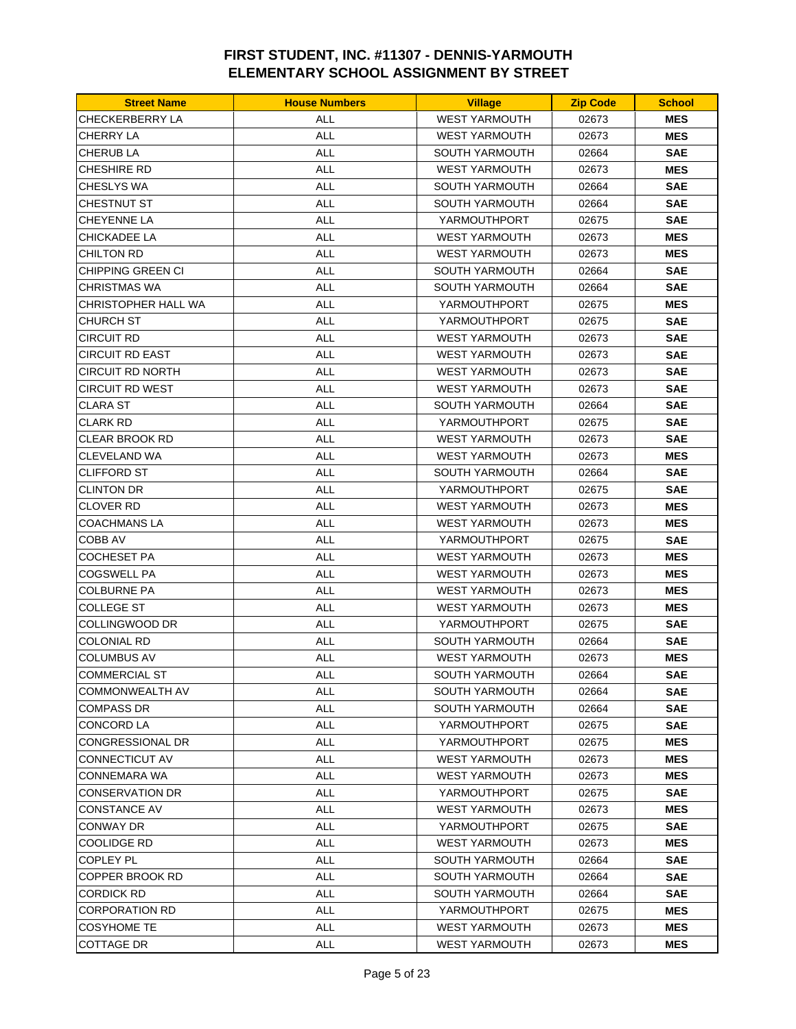| <b>Street Name</b>      | <b>House Numbers</b> | <b>Village</b>        | <b>Zip Code</b> | <b>School</b> |
|-------------------------|----------------------|-----------------------|-----------------|---------------|
| CHECKERBERRY LA         | ALL                  | <b>WEST YARMOUTH</b>  | 02673           | <b>MES</b>    |
| CHERRY LA               | <b>ALL</b>           | <b>WEST YARMOUTH</b>  | 02673           | <b>MES</b>    |
| CHERUB LA               | <b>ALL</b>           | SOUTH YARMOUTH        | 02664           | <b>SAE</b>    |
| CHESHIRE RD             | <b>ALL</b>           | <b>WEST YARMOUTH</b>  | 02673           | <b>MES</b>    |
| CHESLYS WA              | <b>ALL</b>           | <b>SOUTH YARMOUTH</b> | 02664           | <b>SAE</b>    |
| CHESTNUT ST             | <b>ALL</b>           | SOUTH YARMOUTH        | 02664           | <b>SAE</b>    |
| CHEYENNE LA             | ALL                  | YARMOUTHPORT          | 02675           | <b>SAE</b>    |
| CHICKADEE LA            | <b>ALL</b>           | <b>WEST YARMOUTH</b>  | 02673           | <b>MES</b>    |
| <b>CHILTON RD</b>       | <b>ALL</b>           | <b>WEST YARMOUTH</b>  | 02673           | <b>MES</b>    |
| CHIPPING GREEN CI       | <b>ALL</b>           | <b>SOUTH YARMOUTH</b> | 02664           | <b>SAE</b>    |
| CHRISTMAS WA            | <b>ALL</b>           | <b>SOUTH YARMOUTH</b> | 02664           | <b>SAE</b>    |
| CHRISTOPHER HALL WA     | <b>ALL</b>           | YARMOUTHPORT          | 02675           | <b>MES</b>    |
| CHURCH ST               | <b>ALL</b>           | YARMOUTHPORT          | 02675           | <b>SAE</b>    |
| CIRCUIT RD              | <b>ALL</b>           | <b>WEST YARMOUTH</b>  | 02673           | <b>SAE</b>    |
| <b>CIRCUIT RD EAST</b>  | <b>ALL</b>           | <b>WEST YARMOUTH</b>  | 02673           | <b>SAE</b>    |
| <b>CIRCUIT RD NORTH</b> | <b>ALL</b>           | <b>WEST YARMOUTH</b>  | 02673           | <b>SAE</b>    |
| <b>CIRCUIT RD WEST</b>  | <b>ALL</b>           | <b>WEST YARMOUTH</b>  | 02673           | <b>SAE</b>    |
| CLARA ST                | <b>ALL</b>           | <b>SOUTH YARMOUTH</b> | 02664           | <b>SAE</b>    |
| CLARK RD                | ALL                  | YARMOUTHPORT          | 02675           | <b>SAE</b>    |
| <b>CLEAR BROOK RD</b>   | <b>ALL</b>           | <b>WEST YARMOUTH</b>  | 02673           | <b>SAE</b>    |
| CLEVELAND WA            | <b>ALL</b>           | <b>WEST YARMOUTH</b>  | 02673           | <b>MES</b>    |
| CLIFFORD ST             | <b>ALL</b>           | SOUTH YARMOUTH        | 02664           | <b>SAE</b>    |
| <b>CLINTON DR</b>       | <b>ALL</b>           | YARMOUTHPORT          | 02675           | <b>SAE</b>    |
| CLOVER RD               | <b>ALL</b>           | <b>WEST YARMOUTH</b>  | 02673           | <b>MES</b>    |
| COACHMANS LA            | <b>ALL</b>           | <b>WEST YARMOUTH</b>  | 02673           | <b>MES</b>    |
| COBB AV                 | ALL                  | YARMOUTHPORT          | 02675           | <b>SAE</b>    |
| COCHESET PA             | <b>ALL</b>           | <b>WEST YARMOUTH</b>  | 02673           | <b>MES</b>    |
| <b>COGSWELL PA</b>      | <b>ALL</b>           | <b>WEST YARMOUTH</b>  | 02673           | <b>MES</b>    |
| COLBURNE PA             | <b>ALL</b>           | <b>WEST YARMOUTH</b>  | 02673           | <b>MES</b>    |
| COLLEGE ST              | ALL                  | <b>WEST YARMOUTH</b>  | 02673           | <b>MES</b>    |
| COLLINGWOOD DR          | <b>ALL</b>           | YARMOUTHPORT          | 02675           | <b>SAE</b>    |
| COLONIAL RD             | <b>ALL</b>           | <b>SOUTH YARMOUTH</b> | 02664           | <b>SAE</b>    |
| <b>COLUMBUS AV</b>      | <b>ALL</b>           | <b>WEST YARMOUTH</b>  | 02673           | <b>MES</b>    |
| COMMERCIAL ST           | ALL                  | SOUTH YARMOUTH        | 02664           | <b>SAE</b>    |
| <b>COMMONWEALTH AV</b>  | <b>ALL</b>           | SOUTH YARMOUTH        | 02664           | <b>SAE</b>    |
| <b>COMPASS DR</b>       | ALL                  | SOUTH YARMOUTH        | 02664           | <b>SAE</b>    |
| <b>CONCORD LA</b>       | <b>ALL</b>           | YARMOUTHPORT          | 02675           | <b>SAE</b>    |
| CONGRESSIONAL DR        | <b>ALL</b>           | YARMOUTHPORT          | 02675           | <b>MES</b>    |
| CONNECTICUT AV          | ALL                  | <b>WEST YARMOUTH</b>  | 02673           | <b>MES</b>    |
| CONNEMARA WA            | ALL                  | <b>WEST YARMOUTH</b>  | 02673           | <b>MES</b>    |
| <b>CONSERVATION DR</b>  | ALL                  | YARMOUTHPORT          | 02675           | <b>SAE</b>    |
| <b>CONSTANCE AV</b>     | ALL                  | <b>WEST YARMOUTH</b>  | 02673           | <b>MES</b>    |
| <b>CONWAY DR</b>        | <b>ALL</b>           | YARMOUTHPORT          | 02675           | <b>SAE</b>    |
| COOLIDGE RD             | <b>ALL</b>           | <b>WEST YARMOUTH</b>  | 02673           | <b>MES</b>    |
| COPLEY PL               | <b>ALL</b>           | SOUTH YARMOUTH        | 02664           | <b>SAE</b>    |
| COPPER BROOK RD         | ALL                  | SOUTH YARMOUTH        | 02664           | <b>SAE</b>    |
| <b>CORDICK RD</b>       | <b>ALL</b>           | SOUTH YARMOUTH        | 02664           | <b>SAE</b>    |
| <b>CORPORATION RD</b>   | <b>ALL</b>           | YARMOUTHPORT          | 02675           | <b>MES</b>    |
| <b>COSYHOME TE</b>      | ALL                  | <b>WEST YARMOUTH</b>  | 02673           | <b>MES</b>    |
| COTTAGE DR              | ALL                  | <b>WEST YARMOUTH</b>  | 02673           | <b>MES</b>    |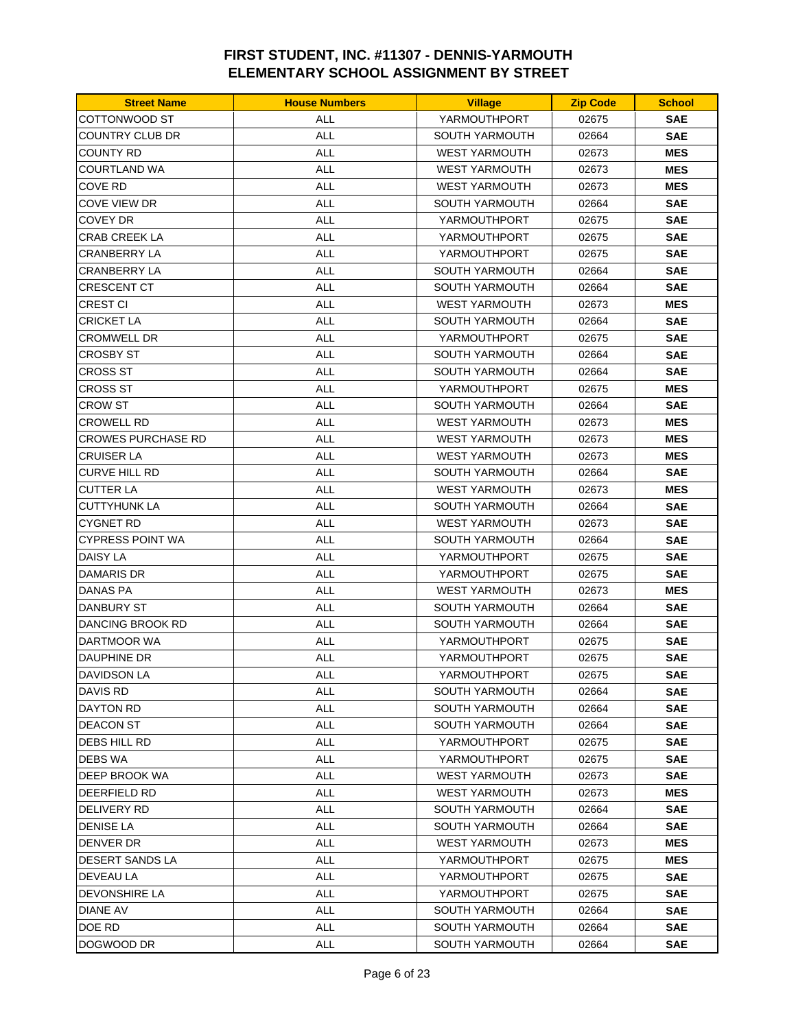| <b>Street Name</b>        | <b>House Numbers</b> | <b>Village</b>        | <b>Zip Code</b> | <b>School</b> |
|---------------------------|----------------------|-----------------------|-----------------|---------------|
| COTTONWOOD ST             | ALL                  | YARMOUTHPORT          | 02675           | <b>SAE</b>    |
| COUNTRY CLUB DR           | <b>ALL</b>           | SOUTH YARMOUTH        | 02664           | <b>SAE</b>    |
| COUNTY RD                 | <b>ALL</b>           | <b>WEST YARMOUTH</b>  | 02673           | <b>MES</b>    |
| COURTLAND WA              | <b>ALL</b>           | <b>WEST YARMOUTH</b>  | 02673           | <b>MES</b>    |
| COVE RD                   | <b>ALL</b>           | <b>WEST YARMOUTH</b>  | 02673           | <b>MES</b>    |
| COVE VIEW DR              | <b>ALL</b>           | <b>SOUTH YARMOUTH</b> | 02664           | <b>SAE</b>    |
| COVEY DR                  | ALL                  | YARMOUTHPORT          | 02675           | <b>SAE</b>    |
| <b>CRAB CREEK LA</b>      | <b>ALL</b>           | YARMOUTHPORT          | 02675           | <b>SAE</b>    |
| <b>CRANBERRY LA</b>       | <b>ALL</b>           | YARMOUTHPORT          | 02675           | <b>SAE</b>    |
| CRANBERRY LA              | <b>ALL</b>           | SOUTH YARMOUTH        | 02664           | <b>SAE</b>    |
| <b>CRESCENT CT</b>        | <b>ALL</b>           | <b>SOUTH YARMOUTH</b> | 02664           | <b>SAE</b>    |
| <b>CREST CI</b>           | <b>ALL</b>           | <b>WEST YARMOUTH</b>  | 02673           | <b>MES</b>    |
| CRICKET LA                | <b>ALL</b>           | SOUTH YARMOUTH        | 02664           | <b>SAE</b>    |
| <b>CROMWELL DR</b>        | <b>ALL</b>           | YARMOUTHPORT          | 02675           | <b>SAE</b>    |
| <b>CROSBY ST</b>          | <b>ALL</b>           | SOUTH YARMOUTH        | 02664           | <b>SAE</b>    |
| CROSS ST                  | <b>ALL</b>           | SOUTH YARMOUTH        | 02664           | <b>SAE</b>    |
| CROSS ST                  | <b>ALL</b>           | YARMOUTHPORT          | 02675           | <b>MES</b>    |
| CROW ST                   | <b>ALL</b>           | <b>SOUTH YARMOUTH</b> | 02664           | <b>SAE</b>    |
| CROWELL RD                | ALL                  | <b>WEST YARMOUTH</b>  | 02673           | <b>MES</b>    |
| <b>CROWES PURCHASE RD</b> | <b>ALL</b>           | <b>WEST YARMOUTH</b>  | 02673           | <b>MES</b>    |
| <b>CRUISER LA</b>         | <b>ALL</b>           | <b>WEST YARMOUTH</b>  | 02673           | <b>MES</b>    |
| CURVE HILL RD             | <b>ALL</b>           | <b>SOUTH YARMOUTH</b> | 02664           | <b>SAE</b>    |
| CUTTER LA                 | <b>ALL</b>           | <b>WEST YARMOUTH</b>  | 02673           | <b>MES</b>    |
| <b>CUTTYHUNK LA</b>       | <b>ALL</b>           | <b>SOUTH YARMOUTH</b> | 02664           | <b>SAE</b>    |
| CYGNET RD                 | <b>ALL</b>           | <b>WEST YARMOUTH</b>  | 02673           | <b>SAE</b>    |
| <b>CYPRESS POINT WA</b>   | ALL                  | <b>SOUTH YARMOUTH</b> | 02664           | <b>SAE</b>    |
| <b>DAISY LA</b>           | <b>ALL</b>           | YARMOUTHPORT          | 02675           | <b>SAE</b>    |
| DAMARIS DR                | <b>ALL</b>           | YARMOUTHPORT          | 02675           | <b>SAE</b>    |
| DANAS PA                  | <b>ALL</b>           | <b>WEST YARMOUTH</b>  | 02673           | <b>MES</b>    |
| DANBURY ST                | ALL                  | <b>SOUTH YARMOUTH</b> | 02664           | <b>SAE</b>    |
| DANCING BROOK RD          | <b>ALL</b>           | <b>SOUTH YARMOUTH</b> | 02664           | <b>SAE</b>    |
| DARTMOOR WA               | <b>ALL</b>           | YARMOUTHPORT          | 02675           | <b>SAE</b>    |
| DAUPHINE DR               | <b>ALL</b>           | YARMOUTHPORT          | 02675           | <b>SAE</b>    |
| DAVIDSON LA               | ALL                  | YARMOUTHPORT          | 02675           | <b>SAE</b>    |
| DAVIS RD                  | <b>ALL</b>           | SOUTH YARMOUTH        | 02664           | <b>SAE</b>    |
| DAYTON RD                 | ALL                  | SOUTH YARMOUTH        | 02664           | <b>SAE</b>    |
| <b>DEACON ST</b>          | <b>ALL</b>           | SOUTH YARMOUTH        | 02664           | <b>SAE</b>    |
| DEBS HILL RD              | ALL                  | YARMOUTHPORT          | 02675           | <b>SAE</b>    |
| DEBS WA                   | ALL                  | YARMOUTHPORT          | 02675           | <b>SAE</b>    |
| DEEP BROOK WA             | ALL                  | <b>WEST YARMOUTH</b>  | 02673           | <b>SAE</b>    |
| DEERFIELD RD              | ALL                  | <b>WEST YARMOUTH</b>  | 02673           | <b>MES</b>    |
| DELIVERY RD               | ALL                  | <b>SOUTH YARMOUTH</b> | 02664           | <b>SAE</b>    |
| <b>DENISE LA</b>          | ALL                  | <b>SOUTH YARMOUTH</b> | 02664           | <b>SAE</b>    |
| DENVER DR                 | <b>ALL</b>           | <b>WEST YARMOUTH</b>  | 02673           | <b>MES</b>    |
| DESERT SANDS LA           | <b>ALL</b>           | YARMOUTHPORT          | 02675           | <b>MES</b>    |
| <b>DEVEAU LA</b>          | ALL                  | YARMOUTHPORT          | 02675           | <b>SAE</b>    |
| DEVONSHIRE LA             | <b>ALL</b>           | YARMOUTHPORT          | 02675           | <b>SAE</b>    |
| <b>DIANE AV</b>           | <b>ALL</b>           | SOUTH YARMOUTH        | 02664           | <b>SAE</b>    |
| DOE RD                    | ALL                  | SOUTH YARMOUTH        | 02664           | <b>SAE</b>    |
| DOGWOOD DR                | ALL                  | SOUTH YARMOUTH        | 02664           | <b>SAE</b>    |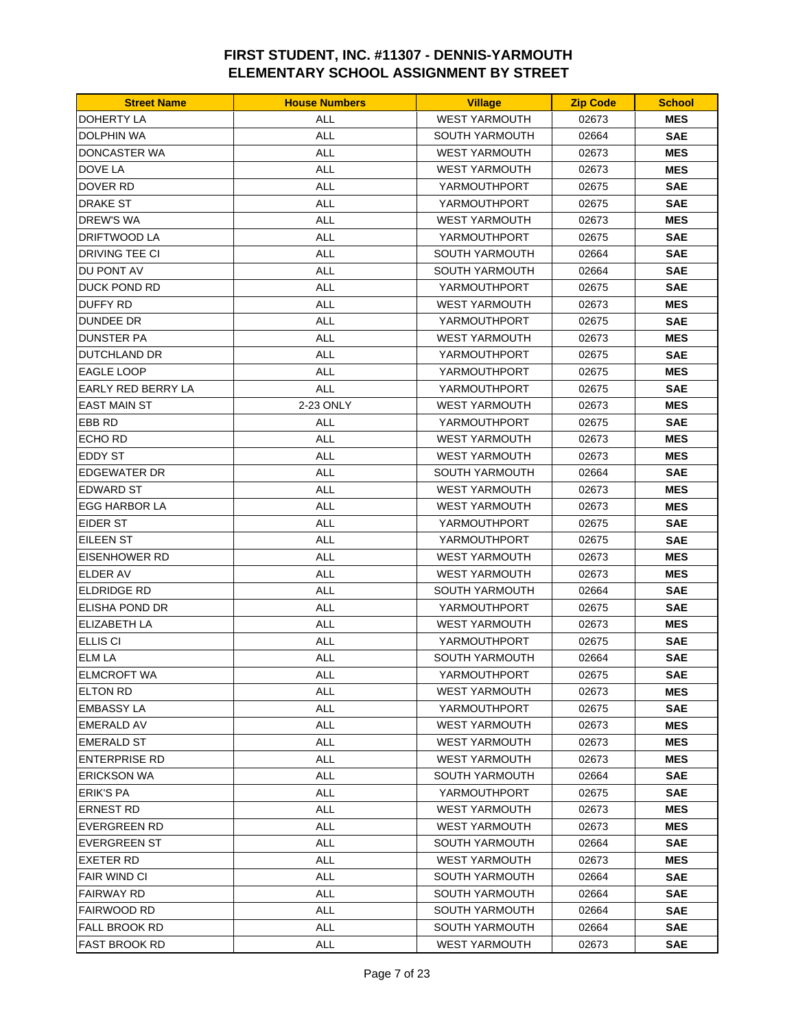| <b>Street Name</b>   | <b>House Numbers</b> | <b>Village</b>                         | <b>Zip Code</b> | <b>School</b> |
|----------------------|----------------------|----------------------------------------|-----------------|---------------|
| <b>DOHERTY LA</b>    | <b>ALL</b>           | <b>WEST YARMOUTH</b>                   | 02673           | <b>MES</b>    |
| DOLPHIN WA           | <b>ALL</b>           | <b>SOUTH YARMOUTH</b>                  | 02664           | <b>SAE</b>    |
| <b>DONCASTER WA</b>  | <b>ALL</b>           | <b>WEST YARMOUTH</b>                   | 02673           | <b>MES</b>    |
| DOVE LA              | <b>ALL</b>           | <b>WEST YARMOUTH</b>                   | 02673           | <b>MES</b>    |
| DOVER RD             | <b>ALL</b>           | YARMOUTHPORT                           | 02675           | <b>SAE</b>    |
| DRAKE ST             | <b>ALL</b>           | YARMOUTHPORT                           | 02675           | <b>SAE</b>    |
| DREW'S WA            | ALL                  | <b>WEST YARMOUTH</b>                   | 02673           | <b>MES</b>    |
| <b>DRIFTWOOD LA</b>  | <b>ALL</b>           | YARMOUTHPORT                           | 02675           | <b>SAE</b>    |
| DRIVING TEE CI       | <b>ALL</b>           | SOUTH YARMOUTH                         | 02664           | <b>SAE</b>    |
| DU PONT AV           | ALL                  | SOUTH YARMOUTH                         | 02664           | <b>SAE</b>    |
| DUCK POND RD         | <b>ALL</b>           | YARMOUTHPORT                           | 02675           | <b>SAE</b>    |
| <b>DUFFY RD</b>      | <b>ALL</b>           | <b>WEST YARMOUTH</b>                   | 02673           | <b>MES</b>    |
| DUNDEE DR            | ALL                  | YARMOUTHPORT                           | 02675           | <b>SAE</b>    |
| <b>DUNSTER PA</b>    | <b>ALL</b>           | <b>WEST YARMOUTH</b>                   | 02673           | <b>MES</b>    |
| DUTCHLAND DR         | <b>ALL</b>           | YARMOUTHPORT                           | 02675           | <b>SAE</b>    |
| EAGLE LOOP           | <b>ALL</b>           | YARMOUTHPORT                           | 02675           | <b>MES</b>    |
| EARLY RED BERRY LA   | <b>ALL</b>           | YARMOUTHPORT                           | 02675           | <b>SAE</b>    |
| <b>EAST MAIN ST</b>  | 2-23 ONLY            | <b>WEST YARMOUTH</b>                   | 02673           | <b>MES</b>    |
| EBB RD               | ALL                  | YARMOUTHPORT                           | 02675           | <b>SAE</b>    |
| ECHO RD              | <b>ALL</b>           | <b>WEST YARMOUTH</b>                   | 02673           | <b>MES</b>    |
| EDDY ST              | <b>ALL</b>           | <b>WEST YARMOUTH</b>                   | 02673           | <b>MES</b>    |
| <b>EDGEWATER DR</b>  | <b>ALL</b>           | <b>SOUTH YARMOUTH</b>                  | 02664           | <b>SAE</b>    |
| EDWARD ST            | <b>ALL</b>           | <b>WEST YARMOUTH</b>                   | 02673           | <b>MES</b>    |
| EGG HARBOR LA        | <b>ALL</b>           | <b>WEST YARMOUTH</b>                   | 02673           | <b>MES</b>    |
| <b>EIDER ST</b>      | <b>ALL</b>           | YARMOUTHPORT                           | 02675           | <b>SAE</b>    |
| EILEEN ST            | ALL                  | YARMOUTHPORT                           | 02675           | <b>SAE</b>    |
| <b>EISENHOWER RD</b> | <b>ALL</b>           | <b>WEST YARMOUTH</b>                   | 02673           | <b>MES</b>    |
| <b>ELDER AV</b>      | <b>ALL</b>           | <b>WEST YARMOUTH</b>                   | 02673           | <b>MES</b>    |
| ELDRIDGE RD          | <b>ALL</b>           | SOUTH YARMOUTH                         | 02664           | <b>SAE</b>    |
| ELISHA POND DR       | <b>ALL</b>           | YARMOUTHPORT                           | 02675           | <b>SAE</b>    |
| <b>ELIZABETH LA</b>  | <b>ALL</b>           | <b>WEST YARMOUTH</b>                   | 02673           | <b>MES</b>    |
| <b>ELLIS CI</b>      | ALL                  | YARMOUTHPORT                           | 02675           | <b>SAE</b>    |
| <b>ELM LA</b>        | <b>ALL</b>           | SOUTH YARMOUTH                         | 02664           | <b>SAE</b>    |
| <b>ELMCROFT WA</b>   | <b>ALL</b>           | YARMOUTHPORT                           | 02675           | <b>SAE</b>    |
| ELTON RD             | ALL                  | <b>WEST YARMOUTH</b>                   | 02673           | <b>MES</b>    |
| <b>EMBASSY LA</b>    | <b>ALL</b>           | YARMOUTHPORT                           | 02675           | <b>SAE</b>    |
| EMERALD AV           | <b>ALL</b>           | <b>WEST YARMOUTH</b>                   | 02673           | <b>MES</b>    |
| EMERALD ST           | <b>ALL</b>           | <b>WEST YARMOUTH</b>                   | 02673           | <b>MES</b>    |
| <b>ENTERPRISE RD</b> | ALL                  | <b>WEST YARMOUTH</b>                   | 02673           | <b>MES</b>    |
| <b>ERICKSON WA</b>   | ALL                  | SOUTH YARMOUTH                         | 02664           | <b>SAE</b>    |
| <b>ERIK'S PA</b>     | ALL                  | YARMOUTHPORT                           | 02675           | <b>SAE</b>    |
| ERNEST RD            | ALL                  | <b>WEST YARMOUTH</b>                   | 02673           | <b>MES</b>    |
| <b>EVERGREEN RD</b>  |                      |                                        |                 |               |
|                      | ALL                  | <b>WEST YARMOUTH</b><br>SOUTH YARMOUTH | 02673           | <b>MES</b>    |
| <b>EVERGREEN ST</b>  | <b>ALL</b>           |                                        | 02664           | <b>SAE</b>    |
| <b>EXETER RD</b>     | ALL                  | <b>WEST YARMOUTH</b>                   | 02673           | <b>MES</b>    |
| FAIR WIND CI         | ALL                  | SOUTH YARMOUTH                         | 02664           | <b>SAE</b>    |
| FAIRWAY RD           | ALL                  | SOUTH YARMOUTH                         | 02664           | <b>SAE</b>    |
| FAIRWOOD RD          | ALL                  | SOUTH YARMOUTH                         | 02664           | <b>SAE</b>    |
| <b>FALL BROOK RD</b> | ALL                  | SOUTH YARMOUTH                         | 02664           | <b>SAE</b>    |
| FAST BROOK RD        | <b>ALL</b>           | <b>WEST YARMOUTH</b>                   | 02673           | <b>SAE</b>    |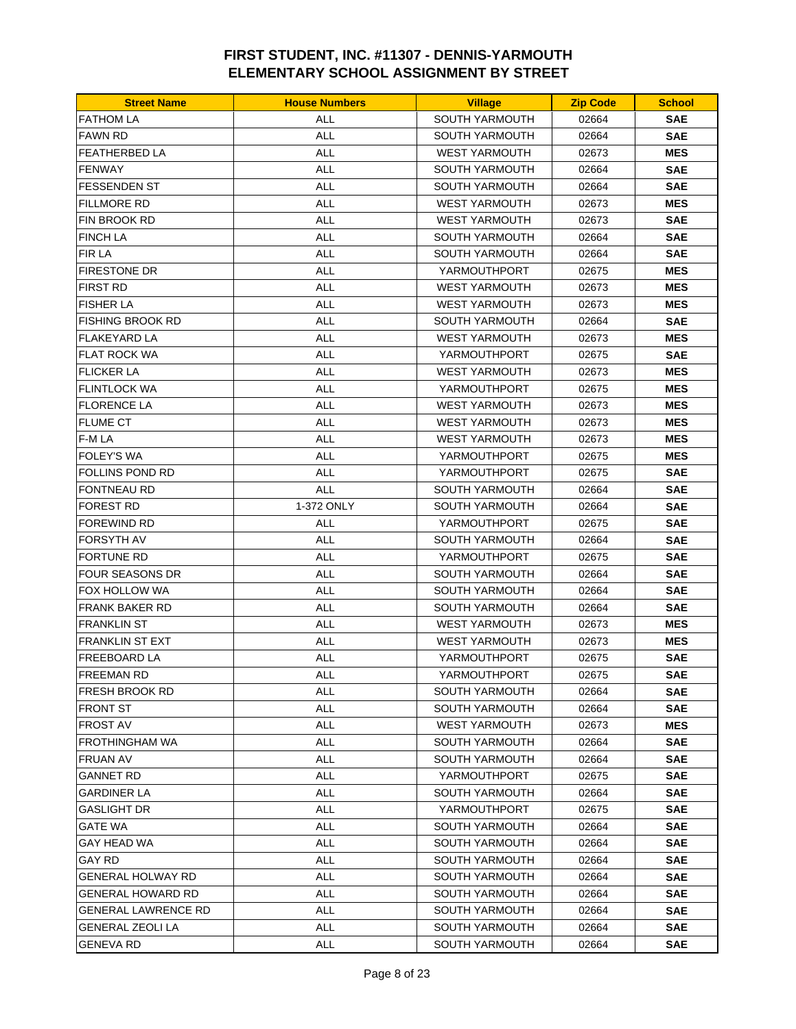| SOUTH YARMOUTH<br><b>FATHOM LA</b><br>ALL<br>02664<br><b>SAE</b><br><b>FAWN RD</b><br><b>ALL</b><br><b>SAE</b><br><b>SOUTH YARMOUTH</b><br>02664<br><b>ALL</b><br><b>FEATHERBED LA</b><br><b>WEST YARMOUTH</b><br>02673<br><b>MES</b><br><b>ALL</b><br><b>FENWAY</b><br><b>SOUTH YARMOUTH</b><br>02664<br><b>SAE</b><br><b>ALL</b><br><b>FESSENDEN ST</b><br><b>SOUTH YARMOUTH</b><br>02664<br><b>SAE</b><br><b>FILLMORE RD</b><br>ALL<br><b>WEST YARMOUTH</b><br>02673<br><b>MES</b><br>FIN BROOK RD<br>ALL<br><b>WEST YARMOUTH</b><br>02673<br><b>SAE</b><br><b>FINCH LA</b><br><b>ALL</b><br><b>SOUTH YARMOUTH</b><br>02664<br><b>SAE</b><br><b>FIR LA</b><br><b>ALL</b><br><b>SAE</b><br><b>SOUTH YARMOUTH</b><br>02664<br><b>ALL</b><br><b>FIRESTONE DR</b><br>YARMOUTHPORT<br>02675<br><b>MES</b><br><b>ALL</b><br><b>MES</b><br>FIRST RD<br><b>WEST YARMOUTH</b><br>02673<br>ALL<br><b>MES</b><br><b>FISHER LA</b><br><b>WEST YARMOUTH</b><br>02673<br><b>ALL</b><br>FISHING BROOK RD<br><b>SOUTH YARMOUTH</b><br>02664<br><b>SAE</b><br><b>FLAKEYARD LA</b><br><b>ALL</b><br><b>WEST YARMOUTH</b><br>02673<br><b>MES</b><br><b>FLAT ROCK WA</b><br><b>ALL</b><br>YARMOUTHPORT<br>02675<br><b>SAE</b><br><b>ALL</b><br><b>MES</b><br><b>FLICKER LA</b><br><b>WEST YARMOUTH</b><br>02673<br><b>ALL</b><br><b>FLINTLOCK WA</b><br>YARMOUTHPORT<br>02675<br><b>MES</b><br><b>ALL</b><br><b>MES</b><br><b>FLORENCE LA</b><br><b>WEST YARMOUTH</b><br>02673<br><b>FLUME CT</b><br><b>MES</b><br>ALL<br><b>WEST YARMOUTH</b><br>02673<br>F-M LA<br><b>ALL</b><br><b>WEST YARMOUTH</b><br>02673<br><b>MES</b><br><b>FOLEY'S WA</b><br><b>ALL</b><br><b>MES</b><br>YARMOUTHPORT<br>02675<br>FOLLINS POND RD<br><b>ALL</b><br>YARMOUTHPORT<br>02675<br><b>SAE</b><br>FONTNEAU RD<br><b>ALL</b><br>02664<br><b>SAE</b><br><b>SOUTH YARMOUTH</b><br>FOREST RD<br>1-372 ONLY<br><b>SOUTH YARMOUTH</b><br>02664<br><b>SAE</b><br><b>SAE</b><br>FOREWIND RD<br>ALL<br>YARMOUTHPORT<br>02675<br><b>ALL</b><br>FORSYTH AV<br><b>SOUTH YARMOUTH</b><br>02664<br><b>SAE</b><br><b>ALL</b><br>FORTUNE RD<br>YARMOUTHPORT<br>02675<br><b>SAE</b><br><b>FOUR SEASONS DR</b><br><b>ALL</b><br>SOUTH YARMOUTH<br><b>SAE</b><br>02664<br><b>ALL</b><br>FOX HOLLOW WA<br><b>SOUTH YARMOUTH</b><br>02664<br><b>SAE</b><br><b>ALL</b><br>FRANK BAKER RD<br><b>SOUTH YARMOUTH</b><br>02664<br><b>SAE</b><br>ALL<br><b>FRANKLIN ST</b><br><b>WEST YARMOUTH</b><br>02673<br><b>MES</b><br><b>FRANKLIN ST EXT</b><br>ALL<br><b>WEST YARMOUTH</b><br>02673<br><b>MES</b><br><b>FREEBOARD LA</b><br><b>ALL</b><br>YARMOUTHPORT<br>02675<br><b>SAE</b><br><b>FREEMAN RD</b><br><b>ALL</b><br>YARMOUTHPORT<br>02675<br><b>SAE</b><br>FRESH BROOK RD<br>ALL<br>SOUTH YARMOUTH<br>02664<br>SAE<br><b>ALL</b><br><b>SAE</b><br><b>FRONT ST</b><br>SOUTH YARMOUTH<br>02664<br><b>ALL</b><br><b>WEST YARMOUTH</b><br>02673<br><b>MES</b><br>FROST AV<br><b>ALL</b><br><b>SAE</b><br>FROTHINGHAM WA<br>SOUTH YARMOUTH<br>02664<br>FRUAN AV<br><b>ALL</b><br><b>SOUTH YARMOUTH</b><br><b>SAE</b><br>02664<br>GANNET RD<br>ALL<br>YARMOUTHPORT<br>02675<br><b>SAE</b><br><b>ALL</b><br><b>SAE</b><br>GARDINER LA<br>SOUTH YARMOUTH<br>02664<br><b>ALL</b><br>GASLIGHT DR<br>YARMOUTHPORT<br>02675<br><b>SAE</b><br>GATE WA<br>ALL<br><b>SOUTH YARMOUTH</b><br>02664<br><b>SAE</b><br><b>ALL</b><br><b>SAE</b><br>GAY HEAD WA<br>SOUTH YARMOUTH<br>02664<br>GAY RD<br><b>ALL</b><br><b>SOUTH YARMOUTH</b><br>02664<br><b>SAE</b><br>GENERAL HOLWAY RD<br>ALL<br><b>SOUTH YARMOUTH</b><br>02664<br><b>SAE</b> | <b>Street Name</b> | <b>House Numbers</b> | <b>Village</b> | <b>Zip Code</b> | <b>School</b> |
|-------------------------------------------------------------------------------------------------------------------------------------------------------------------------------------------------------------------------------------------------------------------------------------------------------------------------------------------------------------------------------------------------------------------------------------------------------------------------------------------------------------------------------------------------------------------------------------------------------------------------------------------------------------------------------------------------------------------------------------------------------------------------------------------------------------------------------------------------------------------------------------------------------------------------------------------------------------------------------------------------------------------------------------------------------------------------------------------------------------------------------------------------------------------------------------------------------------------------------------------------------------------------------------------------------------------------------------------------------------------------------------------------------------------------------------------------------------------------------------------------------------------------------------------------------------------------------------------------------------------------------------------------------------------------------------------------------------------------------------------------------------------------------------------------------------------------------------------------------------------------------------------------------------------------------------------------------------------------------------------------------------------------------------------------------------------------------------------------------------------------------------------------------------------------------------------------------------------------------------------------------------------------------------------------------------------------------------------------------------------------------------------------------------------------------------------------------------------------------------------------------------------------------------------------------------------------------------------------------------------------------------------------------------------------------------------------------------------------------------------------------------------------------------------------------------------------------------------------------------------------------------------------------------------------------------------------------------------------------------------------------------------------------------------------------------------------------------------------------------------------------------------------------------------------------------------------------------------------------------------------------------------------------------------------------------------------------------------------------------------------------------------------------------------------------------------------------------------------------------------------------------------------------------------------------------------------|--------------------|----------------------|----------------|-----------------|---------------|
|                                                                                                                                                                                                                                                                                                                                                                                                                                                                                                                                                                                                                                                                                                                                                                                                                                                                                                                                                                                                                                                                                                                                                                                                                                                                                                                                                                                                                                                                                                                                                                                                                                                                                                                                                                                                                                                                                                                                                                                                                                                                                                                                                                                                                                                                                                                                                                                                                                                                                                                                                                                                                                                                                                                                                                                                                                                                                                                                                                                                                                                                                                                                                                                                                                                                                                                                                                                                                                                                                                                                                                         |                    |                      |                |                 |               |
|                                                                                                                                                                                                                                                                                                                                                                                                                                                                                                                                                                                                                                                                                                                                                                                                                                                                                                                                                                                                                                                                                                                                                                                                                                                                                                                                                                                                                                                                                                                                                                                                                                                                                                                                                                                                                                                                                                                                                                                                                                                                                                                                                                                                                                                                                                                                                                                                                                                                                                                                                                                                                                                                                                                                                                                                                                                                                                                                                                                                                                                                                                                                                                                                                                                                                                                                                                                                                                                                                                                                                                         |                    |                      |                |                 |               |
|                                                                                                                                                                                                                                                                                                                                                                                                                                                                                                                                                                                                                                                                                                                                                                                                                                                                                                                                                                                                                                                                                                                                                                                                                                                                                                                                                                                                                                                                                                                                                                                                                                                                                                                                                                                                                                                                                                                                                                                                                                                                                                                                                                                                                                                                                                                                                                                                                                                                                                                                                                                                                                                                                                                                                                                                                                                                                                                                                                                                                                                                                                                                                                                                                                                                                                                                                                                                                                                                                                                                                                         |                    |                      |                |                 |               |
|                                                                                                                                                                                                                                                                                                                                                                                                                                                                                                                                                                                                                                                                                                                                                                                                                                                                                                                                                                                                                                                                                                                                                                                                                                                                                                                                                                                                                                                                                                                                                                                                                                                                                                                                                                                                                                                                                                                                                                                                                                                                                                                                                                                                                                                                                                                                                                                                                                                                                                                                                                                                                                                                                                                                                                                                                                                                                                                                                                                                                                                                                                                                                                                                                                                                                                                                                                                                                                                                                                                                                                         |                    |                      |                |                 |               |
|                                                                                                                                                                                                                                                                                                                                                                                                                                                                                                                                                                                                                                                                                                                                                                                                                                                                                                                                                                                                                                                                                                                                                                                                                                                                                                                                                                                                                                                                                                                                                                                                                                                                                                                                                                                                                                                                                                                                                                                                                                                                                                                                                                                                                                                                                                                                                                                                                                                                                                                                                                                                                                                                                                                                                                                                                                                                                                                                                                                                                                                                                                                                                                                                                                                                                                                                                                                                                                                                                                                                                                         |                    |                      |                |                 |               |
|                                                                                                                                                                                                                                                                                                                                                                                                                                                                                                                                                                                                                                                                                                                                                                                                                                                                                                                                                                                                                                                                                                                                                                                                                                                                                                                                                                                                                                                                                                                                                                                                                                                                                                                                                                                                                                                                                                                                                                                                                                                                                                                                                                                                                                                                                                                                                                                                                                                                                                                                                                                                                                                                                                                                                                                                                                                                                                                                                                                                                                                                                                                                                                                                                                                                                                                                                                                                                                                                                                                                                                         |                    |                      |                |                 |               |
|                                                                                                                                                                                                                                                                                                                                                                                                                                                                                                                                                                                                                                                                                                                                                                                                                                                                                                                                                                                                                                                                                                                                                                                                                                                                                                                                                                                                                                                                                                                                                                                                                                                                                                                                                                                                                                                                                                                                                                                                                                                                                                                                                                                                                                                                                                                                                                                                                                                                                                                                                                                                                                                                                                                                                                                                                                                                                                                                                                                                                                                                                                                                                                                                                                                                                                                                                                                                                                                                                                                                                                         |                    |                      |                |                 |               |
|                                                                                                                                                                                                                                                                                                                                                                                                                                                                                                                                                                                                                                                                                                                                                                                                                                                                                                                                                                                                                                                                                                                                                                                                                                                                                                                                                                                                                                                                                                                                                                                                                                                                                                                                                                                                                                                                                                                                                                                                                                                                                                                                                                                                                                                                                                                                                                                                                                                                                                                                                                                                                                                                                                                                                                                                                                                                                                                                                                                                                                                                                                                                                                                                                                                                                                                                                                                                                                                                                                                                                                         |                    |                      |                |                 |               |
|                                                                                                                                                                                                                                                                                                                                                                                                                                                                                                                                                                                                                                                                                                                                                                                                                                                                                                                                                                                                                                                                                                                                                                                                                                                                                                                                                                                                                                                                                                                                                                                                                                                                                                                                                                                                                                                                                                                                                                                                                                                                                                                                                                                                                                                                                                                                                                                                                                                                                                                                                                                                                                                                                                                                                                                                                                                                                                                                                                                                                                                                                                                                                                                                                                                                                                                                                                                                                                                                                                                                                                         |                    |                      |                |                 |               |
|                                                                                                                                                                                                                                                                                                                                                                                                                                                                                                                                                                                                                                                                                                                                                                                                                                                                                                                                                                                                                                                                                                                                                                                                                                                                                                                                                                                                                                                                                                                                                                                                                                                                                                                                                                                                                                                                                                                                                                                                                                                                                                                                                                                                                                                                                                                                                                                                                                                                                                                                                                                                                                                                                                                                                                                                                                                                                                                                                                                                                                                                                                                                                                                                                                                                                                                                                                                                                                                                                                                                                                         |                    |                      |                |                 |               |
|                                                                                                                                                                                                                                                                                                                                                                                                                                                                                                                                                                                                                                                                                                                                                                                                                                                                                                                                                                                                                                                                                                                                                                                                                                                                                                                                                                                                                                                                                                                                                                                                                                                                                                                                                                                                                                                                                                                                                                                                                                                                                                                                                                                                                                                                                                                                                                                                                                                                                                                                                                                                                                                                                                                                                                                                                                                                                                                                                                                                                                                                                                                                                                                                                                                                                                                                                                                                                                                                                                                                                                         |                    |                      |                |                 |               |
|                                                                                                                                                                                                                                                                                                                                                                                                                                                                                                                                                                                                                                                                                                                                                                                                                                                                                                                                                                                                                                                                                                                                                                                                                                                                                                                                                                                                                                                                                                                                                                                                                                                                                                                                                                                                                                                                                                                                                                                                                                                                                                                                                                                                                                                                                                                                                                                                                                                                                                                                                                                                                                                                                                                                                                                                                                                                                                                                                                                                                                                                                                                                                                                                                                                                                                                                                                                                                                                                                                                                                                         |                    |                      |                |                 |               |
|                                                                                                                                                                                                                                                                                                                                                                                                                                                                                                                                                                                                                                                                                                                                                                                                                                                                                                                                                                                                                                                                                                                                                                                                                                                                                                                                                                                                                                                                                                                                                                                                                                                                                                                                                                                                                                                                                                                                                                                                                                                                                                                                                                                                                                                                                                                                                                                                                                                                                                                                                                                                                                                                                                                                                                                                                                                                                                                                                                                                                                                                                                                                                                                                                                                                                                                                                                                                                                                                                                                                                                         |                    |                      |                |                 |               |
|                                                                                                                                                                                                                                                                                                                                                                                                                                                                                                                                                                                                                                                                                                                                                                                                                                                                                                                                                                                                                                                                                                                                                                                                                                                                                                                                                                                                                                                                                                                                                                                                                                                                                                                                                                                                                                                                                                                                                                                                                                                                                                                                                                                                                                                                                                                                                                                                                                                                                                                                                                                                                                                                                                                                                                                                                                                                                                                                                                                                                                                                                                                                                                                                                                                                                                                                                                                                                                                                                                                                                                         |                    |                      |                |                 |               |
|                                                                                                                                                                                                                                                                                                                                                                                                                                                                                                                                                                                                                                                                                                                                                                                                                                                                                                                                                                                                                                                                                                                                                                                                                                                                                                                                                                                                                                                                                                                                                                                                                                                                                                                                                                                                                                                                                                                                                                                                                                                                                                                                                                                                                                                                                                                                                                                                                                                                                                                                                                                                                                                                                                                                                                                                                                                                                                                                                                                                                                                                                                                                                                                                                                                                                                                                                                                                                                                                                                                                                                         |                    |                      |                |                 |               |
|                                                                                                                                                                                                                                                                                                                                                                                                                                                                                                                                                                                                                                                                                                                                                                                                                                                                                                                                                                                                                                                                                                                                                                                                                                                                                                                                                                                                                                                                                                                                                                                                                                                                                                                                                                                                                                                                                                                                                                                                                                                                                                                                                                                                                                                                                                                                                                                                                                                                                                                                                                                                                                                                                                                                                                                                                                                                                                                                                                                                                                                                                                                                                                                                                                                                                                                                                                                                                                                                                                                                                                         |                    |                      |                |                 |               |
|                                                                                                                                                                                                                                                                                                                                                                                                                                                                                                                                                                                                                                                                                                                                                                                                                                                                                                                                                                                                                                                                                                                                                                                                                                                                                                                                                                                                                                                                                                                                                                                                                                                                                                                                                                                                                                                                                                                                                                                                                                                                                                                                                                                                                                                                                                                                                                                                                                                                                                                                                                                                                                                                                                                                                                                                                                                                                                                                                                                                                                                                                                                                                                                                                                                                                                                                                                                                                                                                                                                                                                         |                    |                      |                |                 |               |
|                                                                                                                                                                                                                                                                                                                                                                                                                                                                                                                                                                                                                                                                                                                                                                                                                                                                                                                                                                                                                                                                                                                                                                                                                                                                                                                                                                                                                                                                                                                                                                                                                                                                                                                                                                                                                                                                                                                                                                                                                                                                                                                                                                                                                                                                                                                                                                                                                                                                                                                                                                                                                                                                                                                                                                                                                                                                                                                                                                                                                                                                                                                                                                                                                                                                                                                                                                                                                                                                                                                                                                         |                    |                      |                |                 |               |
|                                                                                                                                                                                                                                                                                                                                                                                                                                                                                                                                                                                                                                                                                                                                                                                                                                                                                                                                                                                                                                                                                                                                                                                                                                                                                                                                                                                                                                                                                                                                                                                                                                                                                                                                                                                                                                                                                                                                                                                                                                                                                                                                                                                                                                                                                                                                                                                                                                                                                                                                                                                                                                                                                                                                                                                                                                                                                                                                                                                                                                                                                                                                                                                                                                                                                                                                                                                                                                                                                                                                                                         |                    |                      |                |                 |               |
|                                                                                                                                                                                                                                                                                                                                                                                                                                                                                                                                                                                                                                                                                                                                                                                                                                                                                                                                                                                                                                                                                                                                                                                                                                                                                                                                                                                                                                                                                                                                                                                                                                                                                                                                                                                                                                                                                                                                                                                                                                                                                                                                                                                                                                                                                                                                                                                                                                                                                                                                                                                                                                                                                                                                                                                                                                                                                                                                                                                                                                                                                                                                                                                                                                                                                                                                                                                                                                                                                                                                                                         |                    |                      |                |                 |               |
|                                                                                                                                                                                                                                                                                                                                                                                                                                                                                                                                                                                                                                                                                                                                                                                                                                                                                                                                                                                                                                                                                                                                                                                                                                                                                                                                                                                                                                                                                                                                                                                                                                                                                                                                                                                                                                                                                                                                                                                                                                                                                                                                                                                                                                                                                                                                                                                                                                                                                                                                                                                                                                                                                                                                                                                                                                                                                                                                                                                                                                                                                                                                                                                                                                                                                                                                                                                                                                                                                                                                                                         |                    |                      |                |                 |               |
|                                                                                                                                                                                                                                                                                                                                                                                                                                                                                                                                                                                                                                                                                                                                                                                                                                                                                                                                                                                                                                                                                                                                                                                                                                                                                                                                                                                                                                                                                                                                                                                                                                                                                                                                                                                                                                                                                                                                                                                                                                                                                                                                                                                                                                                                                                                                                                                                                                                                                                                                                                                                                                                                                                                                                                                                                                                                                                                                                                                                                                                                                                                                                                                                                                                                                                                                                                                                                                                                                                                                                                         |                    |                      |                |                 |               |
|                                                                                                                                                                                                                                                                                                                                                                                                                                                                                                                                                                                                                                                                                                                                                                                                                                                                                                                                                                                                                                                                                                                                                                                                                                                                                                                                                                                                                                                                                                                                                                                                                                                                                                                                                                                                                                                                                                                                                                                                                                                                                                                                                                                                                                                                                                                                                                                                                                                                                                                                                                                                                                                                                                                                                                                                                                                                                                                                                                                                                                                                                                                                                                                                                                                                                                                                                                                                                                                                                                                                                                         |                    |                      |                |                 |               |
|                                                                                                                                                                                                                                                                                                                                                                                                                                                                                                                                                                                                                                                                                                                                                                                                                                                                                                                                                                                                                                                                                                                                                                                                                                                                                                                                                                                                                                                                                                                                                                                                                                                                                                                                                                                                                                                                                                                                                                                                                                                                                                                                                                                                                                                                                                                                                                                                                                                                                                                                                                                                                                                                                                                                                                                                                                                                                                                                                                                                                                                                                                                                                                                                                                                                                                                                                                                                                                                                                                                                                                         |                    |                      |                |                 |               |
|                                                                                                                                                                                                                                                                                                                                                                                                                                                                                                                                                                                                                                                                                                                                                                                                                                                                                                                                                                                                                                                                                                                                                                                                                                                                                                                                                                                                                                                                                                                                                                                                                                                                                                                                                                                                                                                                                                                                                                                                                                                                                                                                                                                                                                                                                                                                                                                                                                                                                                                                                                                                                                                                                                                                                                                                                                                                                                                                                                                                                                                                                                                                                                                                                                                                                                                                                                                                                                                                                                                                                                         |                    |                      |                |                 |               |
|                                                                                                                                                                                                                                                                                                                                                                                                                                                                                                                                                                                                                                                                                                                                                                                                                                                                                                                                                                                                                                                                                                                                                                                                                                                                                                                                                                                                                                                                                                                                                                                                                                                                                                                                                                                                                                                                                                                                                                                                                                                                                                                                                                                                                                                                                                                                                                                                                                                                                                                                                                                                                                                                                                                                                                                                                                                                                                                                                                                                                                                                                                                                                                                                                                                                                                                                                                                                                                                                                                                                                                         |                    |                      |                |                 |               |
|                                                                                                                                                                                                                                                                                                                                                                                                                                                                                                                                                                                                                                                                                                                                                                                                                                                                                                                                                                                                                                                                                                                                                                                                                                                                                                                                                                                                                                                                                                                                                                                                                                                                                                                                                                                                                                                                                                                                                                                                                                                                                                                                                                                                                                                                                                                                                                                                                                                                                                                                                                                                                                                                                                                                                                                                                                                                                                                                                                                                                                                                                                                                                                                                                                                                                                                                                                                                                                                                                                                                                                         |                    |                      |                |                 |               |
|                                                                                                                                                                                                                                                                                                                                                                                                                                                                                                                                                                                                                                                                                                                                                                                                                                                                                                                                                                                                                                                                                                                                                                                                                                                                                                                                                                                                                                                                                                                                                                                                                                                                                                                                                                                                                                                                                                                                                                                                                                                                                                                                                                                                                                                                                                                                                                                                                                                                                                                                                                                                                                                                                                                                                                                                                                                                                                                                                                                                                                                                                                                                                                                                                                                                                                                                                                                                                                                                                                                                                                         |                    |                      |                |                 |               |
|                                                                                                                                                                                                                                                                                                                                                                                                                                                                                                                                                                                                                                                                                                                                                                                                                                                                                                                                                                                                                                                                                                                                                                                                                                                                                                                                                                                                                                                                                                                                                                                                                                                                                                                                                                                                                                                                                                                                                                                                                                                                                                                                                                                                                                                                                                                                                                                                                                                                                                                                                                                                                                                                                                                                                                                                                                                                                                                                                                                                                                                                                                                                                                                                                                                                                                                                                                                                                                                                                                                                                                         |                    |                      |                |                 |               |
|                                                                                                                                                                                                                                                                                                                                                                                                                                                                                                                                                                                                                                                                                                                                                                                                                                                                                                                                                                                                                                                                                                                                                                                                                                                                                                                                                                                                                                                                                                                                                                                                                                                                                                                                                                                                                                                                                                                                                                                                                                                                                                                                                                                                                                                                                                                                                                                                                                                                                                                                                                                                                                                                                                                                                                                                                                                                                                                                                                                                                                                                                                                                                                                                                                                                                                                                                                                                                                                                                                                                                                         |                    |                      |                |                 |               |
|                                                                                                                                                                                                                                                                                                                                                                                                                                                                                                                                                                                                                                                                                                                                                                                                                                                                                                                                                                                                                                                                                                                                                                                                                                                                                                                                                                                                                                                                                                                                                                                                                                                                                                                                                                                                                                                                                                                                                                                                                                                                                                                                                                                                                                                                                                                                                                                                                                                                                                                                                                                                                                                                                                                                                                                                                                                                                                                                                                                                                                                                                                                                                                                                                                                                                                                                                                                                                                                                                                                                                                         |                    |                      |                |                 |               |
|                                                                                                                                                                                                                                                                                                                                                                                                                                                                                                                                                                                                                                                                                                                                                                                                                                                                                                                                                                                                                                                                                                                                                                                                                                                                                                                                                                                                                                                                                                                                                                                                                                                                                                                                                                                                                                                                                                                                                                                                                                                                                                                                                                                                                                                                                                                                                                                                                                                                                                                                                                                                                                                                                                                                                                                                                                                                                                                                                                                                                                                                                                                                                                                                                                                                                                                                                                                                                                                                                                                                                                         |                    |                      |                |                 |               |
|                                                                                                                                                                                                                                                                                                                                                                                                                                                                                                                                                                                                                                                                                                                                                                                                                                                                                                                                                                                                                                                                                                                                                                                                                                                                                                                                                                                                                                                                                                                                                                                                                                                                                                                                                                                                                                                                                                                                                                                                                                                                                                                                                                                                                                                                                                                                                                                                                                                                                                                                                                                                                                                                                                                                                                                                                                                                                                                                                                                                                                                                                                                                                                                                                                                                                                                                                                                                                                                                                                                                                                         |                    |                      |                |                 |               |
|                                                                                                                                                                                                                                                                                                                                                                                                                                                                                                                                                                                                                                                                                                                                                                                                                                                                                                                                                                                                                                                                                                                                                                                                                                                                                                                                                                                                                                                                                                                                                                                                                                                                                                                                                                                                                                                                                                                                                                                                                                                                                                                                                                                                                                                                                                                                                                                                                                                                                                                                                                                                                                                                                                                                                                                                                                                                                                                                                                                                                                                                                                                                                                                                                                                                                                                                                                                                                                                                                                                                                                         |                    |                      |                |                 |               |
|                                                                                                                                                                                                                                                                                                                                                                                                                                                                                                                                                                                                                                                                                                                                                                                                                                                                                                                                                                                                                                                                                                                                                                                                                                                                                                                                                                                                                                                                                                                                                                                                                                                                                                                                                                                                                                                                                                                                                                                                                                                                                                                                                                                                                                                                                                                                                                                                                                                                                                                                                                                                                                                                                                                                                                                                                                                                                                                                                                                                                                                                                                                                                                                                                                                                                                                                                                                                                                                                                                                                                                         |                    |                      |                |                 |               |
|                                                                                                                                                                                                                                                                                                                                                                                                                                                                                                                                                                                                                                                                                                                                                                                                                                                                                                                                                                                                                                                                                                                                                                                                                                                                                                                                                                                                                                                                                                                                                                                                                                                                                                                                                                                                                                                                                                                                                                                                                                                                                                                                                                                                                                                                                                                                                                                                                                                                                                                                                                                                                                                                                                                                                                                                                                                                                                                                                                                                                                                                                                                                                                                                                                                                                                                                                                                                                                                                                                                                                                         |                    |                      |                |                 |               |
|                                                                                                                                                                                                                                                                                                                                                                                                                                                                                                                                                                                                                                                                                                                                                                                                                                                                                                                                                                                                                                                                                                                                                                                                                                                                                                                                                                                                                                                                                                                                                                                                                                                                                                                                                                                                                                                                                                                                                                                                                                                                                                                                                                                                                                                                                                                                                                                                                                                                                                                                                                                                                                                                                                                                                                                                                                                                                                                                                                                                                                                                                                                                                                                                                                                                                                                                                                                                                                                                                                                                                                         |                    |                      |                |                 |               |
|                                                                                                                                                                                                                                                                                                                                                                                                                                                                                                                                                                                                                                                                                                                                                                                                                                                                                                                                                                                                                                                                                                                                                                                                                                                                                                                                                                                                                                                                                                                                                                                                                                                                                                                                                                                                                                                                                                                                                                                                                                                                                                                                                                                                                                                                                                                                                                                                                                                                                                                                                                                                                                                                                                                                                                                                                                                                                                                                                                                                                                                                                                                                                                                                                                                                                                                                                                                                                                                                                                                                                                         |                    |                      |                |                 |               |
|                                                                                                                                                                                                                                                                                                                                                                                                                                                                                                                                                                                                                                                                                                                                                                                                                                                                                                                                                                                                                                                                                                                                                                                                                                                                                                                                                                                                                                                                                                                                                                                                                                                                                                                                                                                                                                                                                                                                                                                                                                                                                                                                                                                                                                                                                                                                                                                                                                                                                                                                                                                                                                                                                                                                                                                                                                                                                                                                                                                                                                                                                                                                                                                                                                                                                                                                                                                                                                                                                                                                                                         |                    |                      |                |                 |               |
|                                                                                                                                                                                                                                                                                                                                                                                                                                                                                                                                                                                                                                                                                                                                                                                                                                                                                                                                                                                                                                                                                                                                                                                                                                                                                                                                                                                                                                                                                                                                                                                                                                                                                                                                                                                                                                                                                                                                                                                                                                                                                                                                                                                                                                                                                                                                                                                                                                                                                                                                                                                                                                                                                                                                                                                                                                                                                                                                                                                                                                                                                                                                                                                                                                                                                                                                                                                                                                                                                                                                                                         |                    |                      |                |                 |               |
|                                                                                                                                                                                                                                                                                                                                                                                                                                                                                                                                                                                                                                                                                                                                                                                                                                                                                                                                                                                                                                                                                                                                                                                                                                                                                                                                                                                                                                                                                                                                                                                                                                                                                                                                                                                                                                                                                                                                                                                                                                                                                                                                                                                                                                                                                                                                                                                                                                                                                                                                                                                                                                                                                                                                                                                                                                                                                                                                                                                                                                                                                                                                                                                                                                                                                                                                                                                                                                                                                                                                                                         |                    |                      |                |                 |               |
|                                                                                                                                                                                                                                                                                                                                                                                                                                                                                                                                                                                                                                                                                                                                                                                                                                                                                                                                                                                                                                                                                                                                                                                                                                                                                                                                                                                                                                                                                                                                                                                                                                                                                                                                                                                                                                                                                                                                                                                                                                                                                                                                                                                                                                                                                                                                                                                                                                                                                                                                                                                                                                                                                                                                                                                                                                                                                                                                                                                                                                                                                                                                                                                                                                                                                                                                                                                                                                                                                                                                                                         |                    |                      |                |                 |               |
|                                                                                                                                                                                                                                                                                                                                                                                                                                                                                                                                                                                                                                                                                                                                                                                                                                                                                                                                                                                                                                                                                                                                                                                                                                                                                                                                                                                                                                                                                                                                                                                                                                                                                                                                                                                                                                                                                                                                                                                                                                                                                                                                                                                                                                                                                                                                                                                                                                                                                                                                                                                                                                                                                                                                                                                                                                                                                                                                                                                                                                                                                                                                                                                                                                                                                                                                                                                                                                                                                                                                                                         |                    |                      |                |                 |               |
|                                                                                                                                                                                                                                                                                                                                                                                                                                                                                                                                                                                                                                                                                                                                                                                                                                                                                                                                                                                                                                                                                                                                                                                                                                                                                                                                                                                                                                                                                                                                                                                                                                                                                                                                                                                                                                                                                                                                                                                                                                                                                                                                                                                                                                                                                                                                                                                                                                                                                                                                                                                                                                                                                                                                                                                                                                                                                                                                                                                                                                                                                                                                                                                                                                                                                                                                                                                                                                                                                                                                                                         |                    |                      |                |                 |               |
|                                                                                                                                                                                                                                                                                                                                                                                                                                                                                                                                                                                                                                                                                                                                                                                                                                                                                                                                                                                                                                                                                                                                                                                                                                                                                                                                                                                                                                                                                                                                                                                                                                                                                                                                                                                                                                                                                                                                                                                                                                                                                                                                                                                                                                                                                                                                                                                                                                                                                                                                                                                                                                                                                                                                                                                                                                                                                                                                                                                                                                                                                                                                                                                                                                                                                                                                                                                                                                                                                                                                                                         |                    |                      |                |                 |               |
|                                                                                                                                                                                                                                                                                                                                                                                                                                                                                                                                                                                                                                                                                                                                                                                                                                                                                                                                                                                                                                                                                                                                                                                                                                                                                                                                                                                                                                                                                                                                                                                                                                                                                                                                                                                                                                                                                                                                                                                                                                                                                                                                                                                                                                                                                                                                                                                                                                                                                                                                                                                                                                                                                                                                                                                                                                                                                                                                                                                                                                                                                                                                                                                                                                                                                                                                                                                                                                                                                                                                                                         |                    |                      |                |                 |               |
|                                                                                                                                                                                                                                                                                                                                                                                                                                                                                                                                                                                                                                                                                                                                                                                                                                                                                                                                                                                                                                                                                                                                                                                                                                                                                                                                                                                                                                                                                                                                                                                                                                                                                                                                                                                                                                                                                                                                                                                                                                                                                                                                                                                                                                                                                                                                                                                                                                                                                                                                                                                                                                                                                                                                                                                                                                                                                                                                                                                                                                                                                                                                                                                                                                                                                                                                                                                                                                                                                                                                                                         | GENERAL HOWARD RD  | <b>ALL</b>           | SOUTH YARMOUTH | 02664           | <b>SAE</b>    |
| GENERAL LAWRENCE RD<br>ALL<br>02664<br><b>SAE</b><br>SOUTH YARMOUTH                                                                                                                                                                                                                                                                                                                                                                                                                                                                                                                                                                                                                                                                                                                                                                                                                                                                                                                                                                                                                                                                                                                                                                                                                                                                                                                                                                                                                                                                                                                                                                                                                                                                                                                                                                                                                                                                                                                                                                                                                                                                                                                                                                                                                                                                                                                                                                                                                                                                                                                                                                                                                                                                                                                                                                                                                                                                                                                                                                                                                                                                                                                                                                                                                                                                                                                                                                                                                                                                                                     |                    |                      |                |                 |               |
| ALL<br>GENERAL ZEOLI LA<br>SOUTH YARMOUTH<br>02664<br><b>SAE</b>                                                                                                                                                                                                                                                                                                                                                                                                                                                                                                                                                                                                                                                                                                                                                                                                                                                                                                                                                                                                                                                                                                                                                                                                                                                                                                                                                                                                                                                                                                                                                                                                                                                                                                                                                                                                                                                                                                                                                                                                                                                                                                                                                                                                                                                                                                                                                                                                                                                                                                                                                                                                                                                                                                                                                                                                                                                                                                                                                                                                                                                                                                                                                                                                                                                                                                                                                                                                                                                                                                        |                    |                      |                |                 |               |
| GENEVA RD<br><b>SOUTH YARMOUTH</b><br><b>SAE</b><br>ALL<br>02664                                                                                                                                                                                                                                                                                                                                                                                                                                                                                                                                                                                                                                                                                                                                                                                                                                                                                                                                                                                                                                                                                                                                                                                                                                                                                                                                                                                                                                                                                                                                                                                                                                                                                                                                                                                                                                                                                                                                                                                                                                                                                                                                                                                                                                                                                                                                                                                                                                                                                                                                                                                                                                                                                                                                                                                                                                                                                                                                                                                                                                                                                                                                                                                                                                                                                                                                                                                                                                                                                                        |                    |                      |                |                 |               |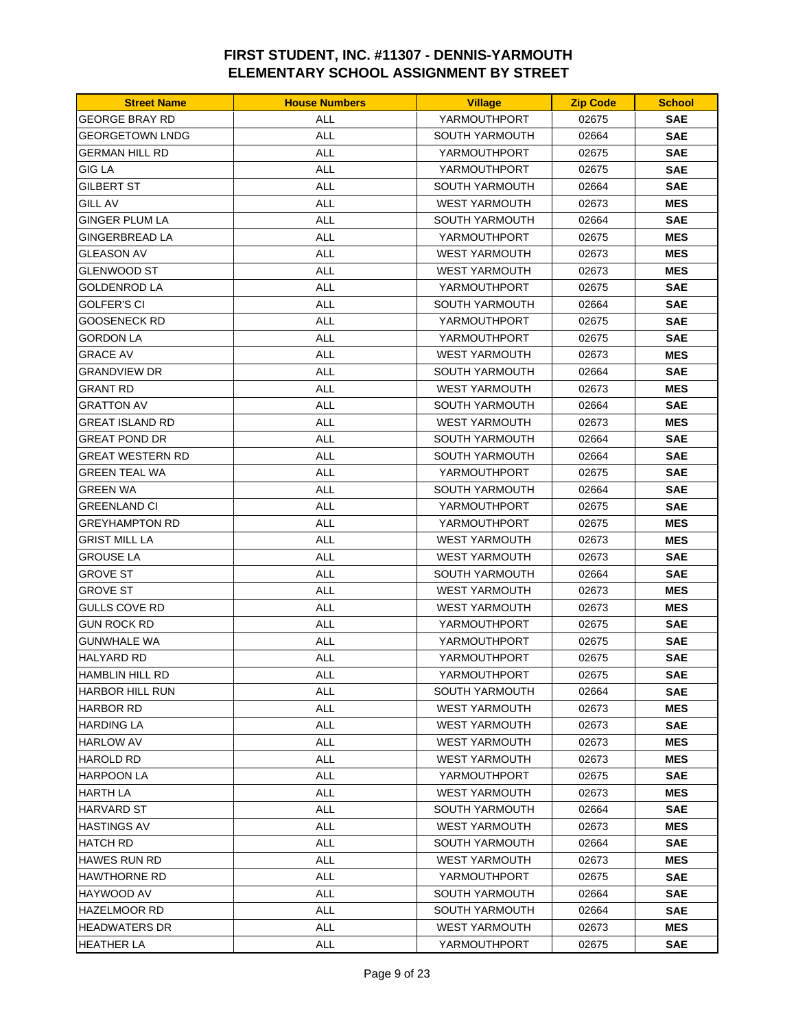| <b>Street Name</b>    | <b>House Numbers</b> | <b>Village</b>        | <b>Zip Code</b> | <b>School</b> |
|-----------------------|----------------------|-----------------------|-----------------|---------------|
| GEORGE BRAY RD        | ALL                  | YARMOUTHPORT          | 02675           | <b>SAE</b>    |
| GEORGETOWN LNDG       | <b>ALL</b>           | <b>SOUTH YARMOUTH</b> | 02664           | <b>SAE</b>    |
| <b>GERMAN HILL RD</b> | <b>ALL</b>           | YARMOUTHPORT          | 02675           | <b>SAE</b>    |
| <b>GIG LA</b>         | <b>ALL</b>           | YARMOUTHPORT          | 02675           | <b>SAE</b>    |
| GILBERT ST            | <b>ALL</b>           | <b>SOUTH YARMOUTH</b> | 02664           | <b>SAE</b>    |
| <b>GILL AV</b>        | ALL                  | <b>WEST YARMOUTH</b>  | 02673           | <b>MES</b>    |
| GINGER PLUM LA        | ALL                  | SOUTH YARMOUTH        | 02664           | <b>SAE</b>    |
| <b>GINGERBREAD LA</b> | <b>ALL</b>           | YARMOUTHPORT          | 02675           | <b>MES</b>    |
| <b>GLEASON AV</b>     | <b>ALL</b>           | <b>WEST YARMOUTH</b>  | 02673           | <b>MES</b>    |
| GLENWOOD ST           | <b>ALL</b>           | <b>WEST YARMOUTH</b>  | 02673           | <b>MES</b>    |
| GOLDENROD LA          | <b>ALL</b>           | YARMOUTHPORT          | 02675           | <b>SAE</b>    |
| GOLFER'S CI           | ALL                  | <b>SOUTH YARMOUTH</b> | 02664           | <b>SAE</b>    |
| GOOSENECK RD          | <b>ALL</b>           | YARMOUTHPORT          | 02675           | <b>SAE</b>    |
| GORDON LA             | <b>ALL</b>           | YARMOUTHPORT          | 02675           | <b>SAE</b>    |
| <b>GRACE AV</b>       | <b>ALL</b>           | <b>WEST YARMOUTH</b>  | 02673           | <b>MES</b>    |
| <b>GRANDVIEW DR</b>   | ALL                  | <b>SOUTH YARMOUTH</b> | 02664           | <b>SAE</b>    |
| GRANT RD              | <b>ALL</b>           | <b>WEST YARMOUTH</b>  | 02673           | <b>MES</b>    |
| GRATTON AV            | <b>ALL</b>           | <b>SOUTH YARMOUTH</b> | 02664           | <b>SAE</b>    |
| GREAT ISLAND RD       | ALL                  | <b>WEST YARMOUTH</b>  | 02673           | <b>MES</b>    |
| GREAT POND DR         | <b>ALL</b>           | <b>SOUTH YARMOUTH</b> | 02664           | <b>SAE</b>    |
| GREAT WESTERN RD      | <b>ALL</b>           | <b>SOUTH YARMOUTH</b> | 02664           | <b>SAE</b>    |
| GREEN TEAL WA         | <b>ALL</b>           | YARMOUTHPORT          | 02675           | <b>SAE</b>    |
| GREEN WA              | <b>ALL</b>           | <b>SOUTH YARMOUTH</b> | 02664           | <b>SAE</b>    |
| GREENLAND CI          | <b>ALL</b>           | YARMOUTHPORT          | 02675           | <b>SAE</b>    |
| <b>GREYHAMPTON RD</b> | ALL                  | YARMOUTHPORT          | 02675           | <b>MES</b>    |
| GRIST MILL LA         | <b>ALL</b>           | <b>WEST YARMOUTH</b>  | 02673           | <b>MES</b>    |
| GROUSE LA             | <b>ALL</b>           | <b>WEST YARMOUTH</b>  | 02673           | <b>SAE</b>    |
| <b>GROVE ST</b>       | <b>ALL</b>           | <b>SOUTH YARMOUTH</b> | 02664           | <b>SAE</b>    |
| GROVE ST              | <b>ALL</b>           | <b>WEST YARMOUTH</b>  | 02673           | <b>MES</b>    |
| GULLS COVE RD         | <b>ALL</b>           | <b>WEST YARMOUTH</b>  | 02673           | <b>MES</b>    |
| GUN ROCK RD           | ALL                  | YARMOUTHPORT          | 02675           | <b>SAE</b>    |
| GUNWHALE WA           | ALL                  | YARMOUTHPORT          | 02675           | <b>SAE</b>    |
| <b>HALYARD RD</b>     | <b>ALL</b>           | YARMOUTHPORT          | 02675           | <b>SAE</b>    |
| HAMBLIN HILL RD       | <b>ALL</b>           | YARMOUTHPORT          | 02675           | <b>SAE</b>    |
| HARBOR HILL RUN       | ALL                  | SOUTH YARMOUTH        | 02664           | <b>SAE</b>    |
| HARBOR RD             | <b>ALL</b>           | WEST YARMOUTH         | 02673           | <b>MES</b>    |
| HARDING LA            | <b>ALL</b>           | <b>WEST YARMOUTH</b>  | 02673           | <b>SAE</b>    |
| HARLOW AV             | <b>ALL</b>           | WEST YARMOUTH         | 02673           | <b>MES</b>    |
| HAROLD RD             | <b>ALL</b>           | <b>WEST YARMOUTH</b>  | 02673           | <b>MES</b>    |
| HARPOON LA            | ALL                  | YARMOUTHPORT          | 02675           | <b>SAE</b>    |
| HARTH LA              | <b>ALL</b>           | <b>WEST YARMOUTH</b>  | 02673           | MES           |
| HARVARD ST            | <b>ALL</b>           | SOUTH YARMOUTH        | 02664           | <b>SAE</b>    |
| HASTINGS AV           | ALL                  | <b>WEST YARMOUTH</b>  | 02673           | <b>MES</b>    |
| HATCH RD              | <b>ALL</b>           | SOUTH YARMOUTH        | 02664           | <b>SAE</b>    |
| HAWES RUN RD          | ALL                  | <b>WEST YARMOUTH</b>  | 02673           | <b>MES</b>    |
| HAWTHORNE RD          | ALL                  | YARMOUTHPORT          | 02675           | <b>SAE</b>    |
| HAYWOOD AV            | <b>ALL</b>           | SOUTH YARMOUTH        | 02664           | <b>SAE</b>    |
| HAZELMOOR RD          | ALL                  | SOUTH YARMOUTH        | 02664           | <b>SAE</b>    |
| HEADWATERS DR         | ALL                  | WEST YARMOUTH         | 02673           | <b>MES</b>    |
| HEATHER LA            | ALL                  | YARMOUTHPORT          | 02675           | <b>SAE</b>    |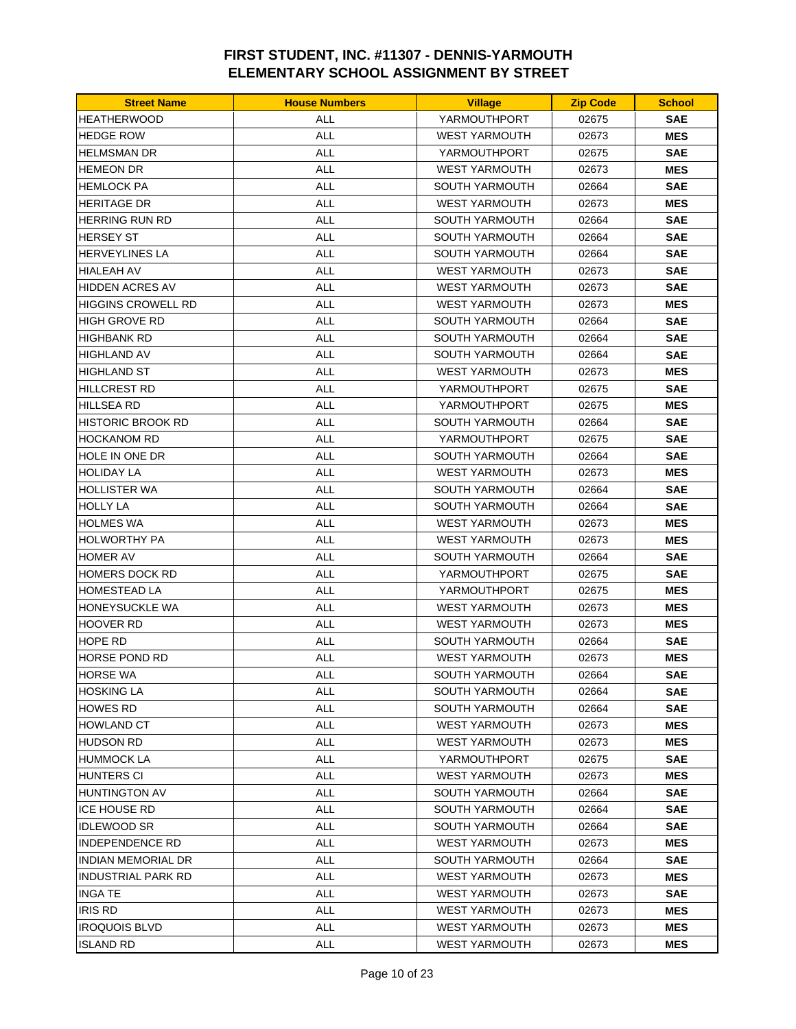| <b>Street Name</b>        | <b>House Numbers</b> | <b>Village</b>                       | <b>Zip Code</b> | <b>School</b> |
|---------------------------|----------------------|--------------------------------------|-----------------|---------------|
| <b>HEATHERWOOD</b>        | <b>ALL</b>           | YARMOUTHPORT                         | 02675           | <b>SAE</b>    |
| <b>HEDGE ROW</b>          | <b>ALL</b>           | <b>WEST YARMOUTH</b>                 | 02673           | <b>MES</b>    |
| <b>HELMSMAN DR</b>        | <b>ALL</b>           | YARMOUTHPORT                         | 02675           | <b>SAE</b>    |
| <b>HEMEON DR</b>          | <b>ALL</b>           | <b>WEST YARMOUTH</b>                 | 02673           | <b>MES</b>    |
| <b>HEMLOCK PA</b>         | <b>ALL</b>           | <b>SOUTH YARMOUTH</b>                | 02664           | <b>SAE</b>    |
| <b>HERITAGE DR</b>        | <b>ALL</b>           | <b>WEST YARMOUTH</b>                 | 02673           | <b>MES</b>    |
| HERRING RUN RD            | ALL                  | SOUTH YARMOUTH                       | 02664           | <b>SAE</b>    |
| <b>HERSEY ST</b>          | <b>ALL</b>           | <b>SOUTH YARMOUTH</b>                | 02664           | <b>SAE</b>    |
| <b>HERVEYLINES LA</b>     | <b>ALL</b>           | SOUTH YARMOUTH                       | 02664           | <b>SAE</b>    |
| <b>HIALEAH AV</b>         | ALL                  | <b>WEST YARMOUTH</b>                 | 02673           | <b>SAE</b>    |
| <b>HIDDEN ACRES AV</b>    | <b>ALL</b>           | <b>WEST YARMOUTH</b>                 | 02673           | <b>SAE</b>    |
| <b>HIGGINS CROWELL RD</b> | <b>ALL</b>           | <b>WEST YARMOUTH</b>                 | 02673           | <b>MES</b>    |
| HIGH GROVE RD             | ALL                  | SOUTH YARMOUTH                       | 02664           | <b>SAE</b>    |
| <b>HIGHBANK RD</b>        | <b>ALL</b>           | <b>SOUTH YARMOUTH</b>                | 02664           | <b>SAE</b>    |
| <b>HIGHLAND AV</b>        | <b>ALL</b>           | <b>SOUTH YARMOUTH</b>                | 02664           | <b>SAE</b>    |
| <b>HIGHLAND ST</b>        | <b>ALL</b>           | <b>WEST YARMOUTH</b>                 | 02673           | <b>MES</b>    |
| <b>HILLCREST RD</b>       | <b>ALL</b>           | YARMOUTHPORT                         | 02675           | <b>SAE</b>    |
| <b>HILLSEA RD</b>         | ALL                  | YARMOUTHPORT                         | 02675           | <b>MES</b>    |
| HISTORIC BROOK RD         | ALL                  | <b>SOUTH YARMOUTH</b>                | 02664           | <b>SAE</b>    |
| <b>HOCKANOM RD</b>        | <b>ALL</b>           | YARMOUTHPORT                         | 02675           | <b>SAE</b>    |
| <b>HOLE IN ONE DR</b>     | ALL                  | <b>SOUTH YARMOUTH</b>                | 02664           | <b>SAE</b>    |
| <b>HOLIDAY LA</b>         | <b>ALL</b>           | <b>WEST YARMOUTH</b>                 | 02673           | <b>MES</b>    |
| <b>HOLLISTER WA</b>       | <b>ALL</b>           | <b>SOUTH YARMOUTH</b>                | 02664           | <b>SAE</b>    |
| <b>HOLLY LA</b>           | <b>ALL</b>           | <b>SOUTH YARMOUTH</b>                | 02664           | <b>SAE</b>    |
| <b>HOLMES WA</b>          | <b>ALL</b>           | <b>WEST YARMOUTH</b>                 | 02673           | <b>MES</b>    |
| HOLWORTHY PA              | ALL                  | <b>WEST YARMOUTH</b>                 | 02673           | <b>MES</b>    |
| <b>HOMER AV</b>           | <b>ALL</b>           | <b>SOUTH YARMOUTH</b>                | 02664           | <b>SAE</b>    |
| <b>HOMERS DOCK RD</b>     | <b>ALL</b>           | YARMOUTHPORT                         | 02675           | <b>SAE</b>    |
| <b>HOMESTEAD LA</b>       | <b>ALL</b>           | YARMOUTHPORT                         | 02675           | <b>MES</b>    |
| <b>HONEYSUCKLE WA</b>     | <b>ALL</b>           | <b>WEST YARMOUTH</b>                 | 02673           | <b>MES</b>    |
| <b>HOOVER RD</b>          | <b>ALL</b>           | <b>WEST YARMOUTH</b>                 | 02673           | <b>MES</b>    |
| HOPE RD                   | ALL                  | <b>SOUTH YARMOUTH</b>                | 02664           | <b>SAE</b>    |
| HORSE POND RD             | <b>ALL</b>           | <b>WEST YARMOUTH</b>                 | 02673           | <b>MES</b>    |
| <b>HORSE WA</b>           | <b>ALL</b>           | SOUTH YARMOUTH                       | 02664           | <b>SAE</b>    |
| <b>HOSKING LA</b>         | ALL                  | SOUTH YARMOUTH                       | 02664           | <b>SAE</b>    |
| <b>HOWES RD</b>           | <b>ALL</b>           | SOUTH YARMOUTH                       | 02664           | <b>SAE</b>    |
| <b>HOWLAND CT</b>         | <b>ALL</b>           | <b>WEST YARMOUTH</b>                 | 02673           | <b>MES</b>    |
| HUDSON RD                 | <b>ALL</b>           | WEST YARMOUTH                        |                 | <b>MES</b>    |
| <b>HUMMOCK LA</b>         |                      |                                      | 02673           |               |
| <b>HUNTERS CI</b>         | ALL<br>ALL           | YARMOUTHPORT<br><b>WEST YARMOUTH</b> | 02675<br>02673  | <b>SAE</b>    |
| <b>HUNTINGTON AV</b>      |                      | <b>SOUTH YARMOUTH</b>                |                 | <b>MES</b>    |
|                           | <b>ALL</b>           |                                      | 02664           | <b>SAE</b>    |
| ICE HOUSE RD              | <b>ALL</b>           | SOUTH YARMOUTH                       | 02664           | <b>SAE</b>    |
| <b>IDLEWOOD SR</b>        | ALL                  | <b>SOUTH YARMOUTH</b>                | 02664           | <b>SAE</b>    |
| INDEPENDENCE RD           | <b>ALL</b>           | <b>WEST YARMOUTH</b>                 | 02673           | <b>MES</b>    |
| INDIAN MEMORIAL DR        | <b>ALL</b>           | <b>SOUTH YARMOUTH</b>                | 02664           | <b>SAE</b>    |
| INDUSTRIAL PARK RD        | ALL                  | <b>WEST YARMOUTH</b>                 | 02673           | <b>MES</b>    |
| INGA TE                   | ALL                  | <b>WEST YARMOUTH</b>                 | 02673           | <b>SAE</b>    |
| <b>IRIS RD</b>            | ALL                  | <b>WEST YARMOUTH</b>                 | 02673           | <b>MES</b>    |
| <b>IROQUOIS BLVD</b>      | ALL                  | <b>WEST YARMOUTH</b>                 | 02673           | <b>MES</b>    |
| ISLAND RD                 | <b>ALL</b>           | <b>WEST YARMOUTH</b>                 | 02673           | <b>MES</b>    |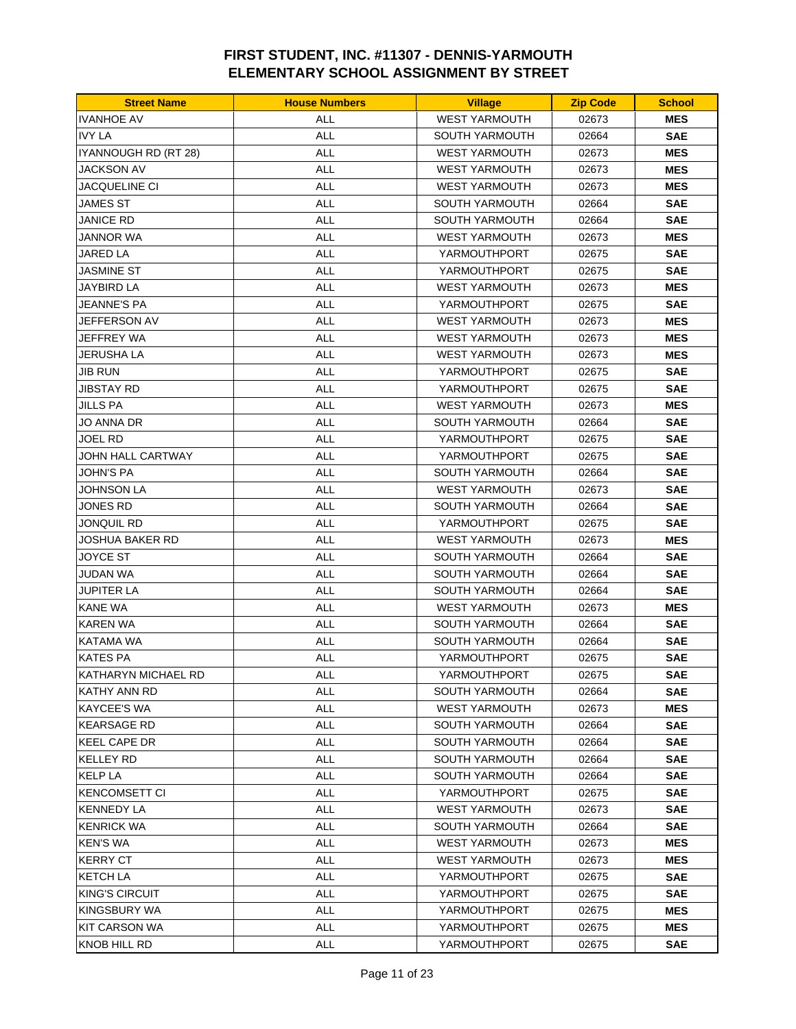| <b>IVANHOE AV</b><br><b>WEST YARMOUTH</b><br><b>ALL</b><br>02673<br><b>MES</b><br><b>IVY LA</b><br><b>ALL</b><br><b>SAE</b><br><b>SOUTH YARMOUTH</b><br>02664<br><b>ALL</b><br>IYANNOUGH RD (RT 28)<br><b>WEST YARMOUTH</b><br>02673<br><b>MES</b><br><b>JACKSON AV</b><br><b>ALL</b><br><b>WEST YARMOUTH</b><br>02673<br><b>MES</b><br><b>ALL</b><br>JACQUELINE CI<br><b>WEST YARMOUTH</b><br>02673<br><b>MES</b><br><b>ALL</b><br>SOUTH YARMOUTH<br>JAMES ST<br>02664<br><b>SAE</b><br>JANICE RD<br>ALL<br><b>SOUTH YARMOUTH</b><br>02664<br><b>SAE</b><br><b>ALL</b><br>JANNOR WA<br><b>WEST YARMOUTH</b><br>02673<br><b>MES</b><br><b>JARED LA</b><br><b>ALL</b><br>YARMOUTHPORT<br>02675<br><b>SAE</b><br><b>JASMINE ST</b><br>ALL<br>YARMOUTHPORT<br>02675<br><b>SAE</b><br><b>ALL</b><br><b>MES</b><br>JAYBIRD LA<br><b>WEST YARMOUTH</b><br>02673<br><b>JEANNE'S PA</b><br><b>ALL</b><br>02675<br><b>SAE</b><br>YARMOUTHPORT<br>JEFFERSON AV<br>ALL<br><b>WEST YARMOUTH</b><br>02673<br><b>MES</b><br>JEFFREY WA<br><b>ALL</b><br><b>MES</b><br><b>WEST YARMOUTH</b><br>02673<br><b>JERUSHA LA</b><br><b>ALL</b><br><b>WEST YARMOUTH</b><br>02673<br><b>MES</b><br><b>ALL</b><br><b>JIB RUN</b><br>YARMOUTHPORT<br>02675<br><b>SAE</b><br><b>ALL</b><br><b>JIBSTAY RD</b><br>YARMOUTHPORT<br>02675<br><b>SAE</b><br><b>ALL</b><br><b>MES</b><br><b>JILLS PA</b><br><b>WEST YARMOUTH</b><br>02673<br><b>SAE</b><br>JO ANNA DR<br>ALL<br><b>SOUTH YARMOUTH</b><br>02664<br><b>ALL</b><br><b>SAE</b><br>JOEL RD<br>YARMOUTHPORT<br>02675<br><b>ALL</b><br>JOHN HALL CARTWAY<br>YARMOUTHPORT<br>02675<br><b>SAE</b><br><b>JOHN'S PA</b><br><b>ALL</b><br><b>SOUTH YARMOUTH</b><br>02664<br><b>SAE</b><br><b>JOHNSON LA</b><br><b>ALL</b><br>02673<br><b>SAE</b><br><b>WEST YARMOUTH</b><br><b>ALL</b><br>JONES RD<br><b>SOUTH YARMOUTH</b><br>02664<br><b>SAE</b><br>JONQUIL RD<br><b>ALL</b><br><b>SAE</b><br>YARMOUTHPORT<br>02675<br>JOSHUA BAKER RD<br>ALL<br><b>WEST YARMOUTH</b><br>02673<br><b>MES</b><br><b>JOYCE ST</b><br><b>ALL</b><br><b>SAE</b><br><b>SOUTH YARMOUTH</b><br>02664<br><b>JUDAN WA</b><br><b>ALL</b><br>SOUTH YARMOUTH<br>02664<br><b>SAE</b><br><b>ALL</b><br>JUPITER LA<br><b>SOUTH YARMOUTH</b><br>02664<br><b>SAE</b><br><b>ALL</b><br><b>MES</b><br><b>KANE WA</b><br><b>WEST YARMOUTH</b><br>02673<br><b>KAREN WA</b><br>ALL<br>SOUTH YARMOUTH<br>02664<br><b>SAE</b><br>KATAMA WA<br>ALL<br><b>SOUTH YARMOUTH</b><br>02664<br><b>SAE</b><br><b>KATES PA</b><br><b>ALL</b><br>YARMOUTHPORT<br>02675<br><b>SAE</b><br>KATHARYN MICHAEL RD<br><b>ALL</b><br>YARMOUTHPORT<br>02675<br><b>SAE</b><br>KATHY ANN RD<br>ALL<br>SOUTH YARMOUTH<br>02664<br><b>SAE</b><br><b>ALL</b><br><b>MES</b><br>KAYCEE'S WA<br><b>WEST YARMOUTH</b><br>02673<br><b>KEARSAGE RD</b><br><b>ALL</b><br><b>SOUTH YARMOUTH</b><br>02664<br><b>SAE</b><br><b>KEEL CAPE DR</b><br><b>ALL</b><br><b>SAE</b><br>SOUTH YARMOUTH<br>02664<br><b>KELLEY RD</b><br><b>ALL</b><br><b>SOUTH YARMOUTH</b><br>02664<br><b>SAE</b><br><b>KELP LA</b><br>ALL<br>SOUTH YARMOUTH<br>02664<br><b>SAE</b><br><b>KENCOMSETT CI</b><br><b>ALL</b><br>YARMOUTHPORT<br>02675<br><b>SAE</b><br><b>KENNEDY LA</b><br><b>ALL</b><br><b>WEST YARMOUTH</b><br>02673<br><b>SAE</b><br><b>KENRICK WA</b><br><b>ALL</b><br><b>SOUTH YARMOUTH</b><br>02664<br><b>SAE</b><br><b>KEN'S WA</b><br><b>ALL</b><br>02673<br><b>MES</b><br>WEST YARMOUTH<br><b>KERRY CT</b><br><b>ALL</b><br><b>WEST YARMOUTH</b><br>02673<br><b>MES</b><br>KETCH LA<br>ALL<br>YARMOUTHPORT<br>02675<br><b>SAE</b><br><b>KING'S CIRCUIT</b><br><b>ALL</b><br>YARMOUTHPORT<br>02675<br><b>SAE</b><br>KINGSBURY WA<br>ALL<br><b>MES</b><br>YARMOUTHPORT<br>02675<br>ALL<br>KIT CARSON WA<br>YARMOUTHPORT<br>02675<br><b>MES</b> | <b>Street Name</b>  | <b>House Numbers</b> | <b>Village</b> | <b>Zip Code</b> | <b>School</b> |
|--------------------------------------------------------------------------------------------------------------------------------------------------------------------------------------------------------------------------------------------------------------------------------------------------------------------------------------------------------------------------------------------------------------------------------------------------------------------------------------------------------------------------------------------------------------------------------------------------------------------------------------------------------------------------------------------------------------------------------------------------------------------------------------------------------------------------------------------------------------------------------------------------------------------------------------------------------------------------------------------------------------------------------------------------------------------------------------------------------------------------------------------------------------------------------------------------------------------------------------------------------------------------------------------------------------------------------------------------------------------------------------------------------------------------------------------------------------------------------------------------------------------------------------------------------------------------------------------------------------------------------------------------------------------------------------------------------------------------------------------------------------------------------------------------------------------------------------------------------------------------------------------------------------------------------------------------------------------------------------------------------------------------------------------------------------------------------------------------------------------------------------------------------------------------------------------------------------------------------------------------------------------------------------------------------------------------------------------------------------------------------------------------------------------------------------------------------------------------------------------------------------------------------------------------------------------------------------------------------------------------------------------------------------------------------------------------------------------------------------------------------------------------------------------------------------------------------------------------------------------------------------------------------------------------------------------------------------------------------------------------------------------------------------------------------------------------------------------------------------------------------------------------------------------------------------------------------------------------------------------------------------------------------------------------------------------------------------------------------------------------------------------------------------------------------------------------------------------------------------------------------------------------------------------------------------------------------------------------------------------------------------------------------------------------------------------------------------------------------------------------------------------------------------|---------------------|----------------------|----------------|-----------------|---------------|
|                                                                                                                                                                                                                                                                                                                                                                                                                                                                                                                                                                                                                                                                                                                                                                                                                                                                                                                                                                                                                                                                                                                                                                                                                                                                                                                                                                                                                                                                                                                                                                                                                                                                                                                                                                                                                                                                                                                                                                                                                                                                                                                                                                                                                                                                                                                                                                                                                                                                                                                                                                                                                                                                                                                                                                                                                                                                                                                                                                                                                                                                                                                                                                                                                                                                                                                                                                                                                                                                                                                                                                                                                                                                                                                                                                                      |                     |                      |                |                 |               |
|                                                                                                                                                                                                                                                                                                                                                                                                                                                                                                                                                                                                                                                                                                                                                                                                                                                                                                                                                                                                                                                                                                                                                                                                                                                                                                                                                                                                                                                                                                                                                                                                                                                                                                                                                                                                                                                                                                                                                                                                                                                                                                                                                                                                                                                                                                                                                                                                                                                                                                                                                                                                                                                                                                                                                                                                                                                                                                                                                                                                                                                                                                                                                                                                                                                                                                                                                                                                                                                                                                                                                                                                                                                                                                                                                                                      |                     |                      |                |                 |               |
|                                                                                                                                                                                                                                                                                                                                                                                                                                                                                                                                                                                                                                                                                                                                                                                                                                                                                                                                                                                                                                                                                                                                                                                                                                                                                                                                                                                                                                                                                                                                                                                                                                                                                                                                                                                                                                                                                                                                                                                                                                                                                                                                                                                                                                                                                                                                                                                                                                                                                                                                                                                                                                                                                                                                                                                                                                                                                                                                                                                                                                                                                                                                                                                                                                                                                                                                                                                                                                                                                                                                                                                                                                                                                                                                                                                      |                     |                      |                |                 |               |
|                                                                                                                                                                                                                                                                                                                                                                                                                                                                                                                                                                                                                                                                                                                                                                                                                                                                                                                                                                                                                                                                                                                                                                                                                                                                                                                                                                                                                                                                                                                                                                                                                                                                                                                                                                                                                                                                                                                                                                                                                                                                                                                                                                                                                                                                                                                                                                                                                                                                                                                                                                                                                                                                                                                                                                                                                                                                                                                                                                                                                                                                                                                                                                                                                                                                                                                                                                                                                                                                                                                                                                                                                                                                                                                                                                                      |                     |                      |                |                 |               |
|                                                                                                                                                                                                                                                                                                                                                                                                                                                                                                                                                                                                                                                                                                                                                                                                                                                                                                                                                                                                                                                                                                                                                                                                                                                                                                                                                                                                                                                                                                                                                                                                                                                                                                                                                                                                                                                                                                                                                                                                                                                                                                                                                                                                                                                                                                                                                                                                                                                                                                                                                                                                                                                                                                                                                                                                                                                                                                                                                                                                                                                                                                                                                                                                                                                                                                                                                                                                                                                                                                                                                                                                                                                                                                                                                                                      |                     |                      |                |                 |               |
|                                                                                                                                                                                                                                                                                                                                                                                                                                                                                                                                                                                                                                                                                                                                                                                                                                                                                                                                                                                                                                                                                                                                                                                                                                                                                                                                                                                                                                                                                                                                                                                                                                                                                                                                                                                                                                                                                                                                                                                                                                                                                                                                                                                                                                                                                                                                                                                                                                                                                                                                                                                                                                                                                                                                                                                                                                                                                                                                                                                                                                                                                                                                                                                                                                                                                                                                                                                                                                                                                                                                                                                                                                                                                                                                                                                      |                     |                      |                |                 |               |
|                                                                                                                                                                                                                                                                                                                                                                                                                                                                                                                                                                                                                                                                                                                                                                                                                                                                                                                                                                                                                                                                                                                                                                                                                                                                                                                                                                                                                                                                                                                                                                                                                                                                                                                                                                                                                                                                                                                                                                                                                                                                                                                                                                                                                                                                                                                                                                                                                                                                                                                                                                                                                                                                                                                                                                                                                                                                                                                                                                                                                                                                                                                                                                                                                                                                                                                                                                                                                                                                                                                                                                                                                                                                                                                                                                                      |                     |                      |                |                 |               |
|                                                                                                                                                                                                                                                                                                                                                                                                                                                                                                                                                                                                                                                                                                                                                                                                                                                                                                                                                                                                                                                                                                                                                                                                                                                                                                                                                                                                                                                                                                                                                                                                                                                                                                                                                                                                                                                                                                                                                                                                                                                                                                                                                                                                                                                                                                                                                                                                                                                                                                                                                                                                                                                                                                                                                                                                                                                                                                                                                                                                                                                                                                                                                                                                                                                                                                                                                                                                                                                                                                                                                                                                                                                                                                                                                                                      |                     |                      |                |                 |               |
|                                                                                                                                                                                                                                                                                                                                                                                                                                                                                                                                                                                                                                                                                                                                                                                                                                                                                                                                                                                                                                                                                                                                                                                                                                                                                                                                                                                                                                                                                                                                                                                                                                                                                                                                                                                                                                                                                                                                                                                                                                                                                                                                                                                                                                                                                                                                                                                                                                                                                                                                                                                                                                                                                                                                                                                                                                                                                                                                                                                                                                                                                                                                                                                                                                                                                                                                                                                                                                                                                                                                                                                                                                                                                                                                                                                      |                     |                      |                |                 |               |
|                                                                                                                                                                                                                                                                                                                                                                                                                                                                                                                                                                                                                                                                                                                                                                                                                                                                                                                                                                                                                                                                                                                                                                                                                                                                                                                                                                                                                                                                                                                                                                                                                                                                                                                                                                                                                                                                                                                                                                                                                                                                                                                                                                                                                                                                                                                                                                                                                                                                                                                                                                                                                                                                                                                                                                                                                                                                                                                                                                                                                                                                                                                                                                                                                                                                                                                                                                                                                                                                                                                                                                                                                                                                                                                                                                                      |                     |                      |                |                 |               |
|                                                                                                                                                                                                                                                                                                                                                                                                                                                                                                                                                                                                                                                                                                                                                                                                                                                                                                                                                                                                                                                                                                                                                                                                                                                                                                                                                                                                                                                                                                                                                                                                                                                                                                                                                                                                                                                                                                                                                                                                                                                                                                                                                                                                                                                                                                                                                                                                                                                                                                                                                                                                                                                                                                                                                                                                                                                                                                                                                                                                                                                                                                                                                                                                                                                                                                                                                                                                                                                                                                                                                                                                                                                                                                                                                                                      |                     |                      |                |                 |               |
|                                                                                                                                                                                                                                                                                                                                                                                                                                                                                                                                                                                                                                                                                                                                                                                                                                                                                                                                                                                                                                                                                                                                                                                                                                                                                                                                                                                                                                                                                                                                                                                                                                                                                                                                                                                                                                                                                                                                                                                                                                                                                                                                                                                                                                                                                                                                                                                                                                                                                                                                                                                                                                                                                                                                                                                                                                                                                                                                                                                                                                                                                                                                                                                                                                                                                                                                                                                                                                                                                                                                                                                                                                                                                                                                                                                      |                     |                      |                |                 |               |
|                                                                                                                                                                                                                                                                                                                                                                                                                                                                                                                                                                                                                                                                                                                                                                                                                                                                                                                                                                                                                                                                                                                                                                                                                                                                                                                                                                                                                                                                                                                                                                                                                                                                                                                                                                                                                                                                                                                                                                                                                                                                                                                                                                                                                                                                                                                                                                                                                                                                                                                                                                                                                                                                                                                                                                                                                                                                                                                                                                                                                                                                                                                                                                                                                                                                                                                                                                                                                                                                                                                                                                                                                                                                                                                                                                                      |                     |                      |                |                 |               |
|                                                                                                                                                                                                                                                                                                                                                                                                                                                                                                                                                                                                                                                                                                                                                                                                                                                                                                                                                                                                                                                                                                                                                                                                                                                                                                                                                                                                                                                                                                                                                                                                                                                                                                                                                                                                                                                                                                                                                                                                                                                                                                                                                                                                                                                                                                                                                                                                                                                                                                                                                                                                                                                                                                                                                                                                                                                                                                                                                                                                                                                                                                                                                                                                                                                                                                                                                                                                                                                                                                                                                                                                                                                                                                                                                                                      |                     |                      |                |                 |               |
|                                                                                                                                                                                                                                                                                                                                                                                                                                                                                                                                                                                                                                                                                                                                                                                                                                                                                                                                                                                                                                                                                                                                                                                                                                                                                                                                                                                                                                                                                                                                                                                                                                                                                                                                                                                                                                                                                                                                                                                                                                                                                                                                                                                                                                                                                                                                                                                                                                                                                                                                                                                                                                                                                                                                                                                                                                                                                                                                                                                                                                                                                                                                                                                                                                                                                                                                                                                                                                                                                                                                                                                                                                                                                                                                                                                      |                     |                      |                |                 |               |
|                                                                                                                                                                                                                                                                                                                                                                                                                                                                                                                                                                                                                                                                                                                                                                                                                                                                                                                                                                                                                                                                                                                                                                                                                                                                                                                                                                                                                                                                                                                                                                                                                                                                                                                                                                                                                                                                                                                                                                                                                                                                                                                                                                                                                                                                                                                                                                                                                                                                                                                                                                                                                                                                                                                                                                                                                                                                                                                                                                                                                                                                                                                                                                                                                                                                                                                                                                                                                                                                                                                                                                                                                                                                                                                                                                                      |                     |                      |                |                 |               |
|                                                                                                                                                                                                                                                                                                                                                                                                                                                                                                                                                                                                                                                                                                                                                                                                                                                                                                                                                                                                                                                                                                                                                                                                                                                                                                                                                                                                                                                                                                                                                                                                                                                                                                                                                                                                                                                                                                                                                                                                                                                                                                                                                                                                                                                                                                                                                                                                                                                                                                                                                                                                                                                                                                                                                                                                                                                                                                                                                                                                                                                                                                                                                                                                                                                                                                                                                                                                                                                                                                                                                                                                                                                                                                                                                                                      |                     |                      |                |                 |               |
|                                                                                                                                                                                                                                                                                                                                                                                                                                                                                                                                                                                                                                                                                                                                                                                                                                                                                                                                                                                                                                                                                                                                                                                                                                                                                                                                                                                                                                                                                                                                                                                                                                                                                                                                                                                                                                                                                                                                                                                                                                                                                                                                                                                                                                                                                                                                                                                                                                                                                                                                                                                                                                                                                                                                                                                                                                                                                                                                                                                                                                                                                                                                                                                                                                                                                                                                                                                                                                                                                                                                                                                                                                                                                                                                                                                      |                     |                      |                |                 |               |
|                                                                                                                                                                                                                                                                                                                                                                                                                                                                                                                                                                                                                                                                                                                                                                                                                                                                                                                                                                                                                                                                                                                                                                                                                                                                                                                                                                                                                                                                                                                                                                                                                                                                                                                                                                                                                                                                                                                                                                                                                                                                                                                                                                                                                                                                                                                                                                                                                                                                                                                                                                                                                                                                                                                                                                                                                                                                                                                                                                                                                                                                                                                                                                                                                                                                                                                                                                                                                                                                                                                                                                                                                                                                                                                                                                                      |                     |                      |                |                 |               |
|                                                                                                                                                                                                                                                                                                                                                                                                                                                                                                                                                                                                                                                                                                                                                                                                                                                                                                                                                                                                                                                                                                                                                                                                                                                                                                                                                                                                                                                                                                                                                                                                                                                                                                                                                                                                                                                                                                                                                                                                                                                                                                                                                                                                                                                                                                                                                                                                                                                                                                                                                                                                                                                                                                                                                                                                                                                                                                                                                                                                                                                                                                                                                                                                                                                                                                                                                                                                                                                                                                                                                                                                                                                                                                                                                                                      |                     |                      |                |                 |               |
|                                                                                                                                                                                                                                                                                                                                                                                                                                                                                                                                                                                                                                                                                                                                                                                                                                                                                                                                                                                                                                                                                                                                                                                                                                                                                                                                                                                                                                                                                                                                                                                                                                                                                                                                                                                                                                                                                                                                                                                                                                                                                                                                                                                                                                                                                                                                                                                                                                                                                                                                                                                                                                                                                                                                                                                                                                                                                                                                                                                                                                                                                                                                                                                                                                                                                                                                                                                                                                                                                                                                                                                                                                                                                                                                                                                      |                     |                      |                |                 |               |
|                                                                                                                                                                                                                                                                                                                                                                                                                                                                                                                                                                                                                                                                                                                                                                                                                                                                                                                                                                                                                                                                                                                                                                                                                                                                                                                                                                                                                                                                                                                                                                                                                                                                                                                                                                                                                                                                                                                                                                                                                                                                                                                                                                                                                                                                                                                                                                                                                                                                                                                                                                                                                                                                                                                                                                                                                                                                                                                                                                                                                                                                                                                                                                                                                                                                                                                                                                                                                                                                                                                                                                                                                                                                                                                                                                                      |                     |                      |                |                 |               |
|                                                                                                                                                                                                                                                                                                                                                                                                                                                                                                                                                                                                                                                                                                                                                                                                                                                                                                                                                                                                                                                                                                                                                                                                                                                                                                                                                                                                                                                                                                                                                                                                                                                                                                                                                                                                                                                                                                                                                                                                                                                                                                                                                                                                                                                                                                                                                                                                                                                                                                                                                                                                                                                                                                                                                                                                                                                                                                                                                                                                                                                                                                                                                                                                                                                                                                                                                                                                                                                                                                                                                                                                                                                                                                                                                                                      |                     |                      |                |                 |               |
|                                                                                                                                                                                                                                                                                                                                                                                                                                                                                                                                                                                                                                                                                                                                                                                                                                                                                                                                                                                                                                                                                                                                                                                                                                                                                                                                                                                                                                                                                                                                                                                                                                                                                                                                                                                                                                                                                                                                                                                                                                                                                                                                                                                                                                                                                                                                                                                                                                                                                                                                                                                                                                                                                                                                                                                                                                                                                                                                                                                                                                                                                                                                                                                                                                                                                                                                                                                                                                                                                                                                                                                                                                                                                                                                                                                      |                     |                      |                |                 |               |
|                                                                                                                                                                                                                                                                                                                                                                                                                                                                                                                                                                                                                                                                                                                                                                                                                                                                                                                                                                                                                                                                                                                                                                                                                                                                                                                                                                                                                                                                                                                                                                                                                                                                                                                                                                                                                                                                                                                                                                                                                                                                                                                                                                                                                                                                                                                                                                                                                                                                                                                                                                                                                                                                                                                                                                                                                                                                                                                                                                                                                                                                                                                                                                                                                                                                                                                                                                                                                                                                                                                                                                                                                                                                                                                                                                                      |                     |                      |                |                 |               |
|                                                                                                                                                                                                                                                                                                                                                                                                                                                                                                                                                                                                                                                                                                                                                                                                                                                                                                                                                                                                                                                                                                                                                                                                                                                                                                                                                                                                                                                                                                                                                                                                                                                                                                                                                                                                                                                                                                                                                                                                                                                                                                                                                                                                                                                                                                                                                                                                                                                                                                                                                                                                                                                                                                                                                                                                                                                                                                                                                                                                                                                                                                                                                                                                                                                                                                                                                                                                                                                                                                                                                                                                                                                                                                                                                                                      |                     |                      |                |                 |               |
|                                                                                                                                                                                                                                                                                                                                                                                                                                                                                                                                                                                                                                                                                                                                                                                                                                                                                                                                                                                                                                                                                                                                                                                                                                                                                                                                                                                                                                                                                                                                                                                                                                                                                                                                                                                                                                                                                                                                                                                                                                                                                                                                                                                                                                                                                                                                                                                                                                                                                                                                                                                                                                                                                                                                                                                                                                                                                                                                                                                                                                                                                                                                                                                                                                                                                                                                                                                                                                                                                                                                                                                                                                                                                                                                                                                      |                     |                      |                |                 |               |
|                                                                                                                                                                                                                                                                                                                                                                                                                                                                                                                                                                                                                                                                                                                                                                                                                                                                                                                                                                                                                                                                                                                                                                                                                                                                                                                                                                                                                                                                                                                                                                                                                                                                                                                                                                                                                                                                                                                                                                                                                                                                                                                                                                                                                                                                                                                                                                                                                                                                                                                                                                                                                                                                                                                                                                                                                                                                                                                                                                                                                                                                                                                                                                                                                                                                                                                                                                                                                                                                                                                                                                                                                                                                                                                                                                                      |                     |                      |                |                 |               |
|                                                                                                                                                                                                                                                                                                                                                                                                                                                                                                                                                                                                                                                                                                                                                                                                                                                                                                                                                                                                                                                                                                                                                                                                                                                                                                                                                                                                                                                                                                                                                                                                                                                                                                                                                                                                                                                                                                                                                                                                                                                                                                                                                                                                                                                                                                                                                                                                                                                                                                                                                                                                                                                                                                                                                                                                                                                                                                                                                                                                                                                                                                                                                                                                                                                                                                                                                                                                                                                                                                                                                                                                                                                                                                                                                                                      |                     |                      |                |                 |               |
|                                                                                                                                                                                                                                                                                                                                                                                                                                                                                                                                                                                                                                                                                                                                                                                                                                                                                                                                                                                                                                                                                                                                                                                                                                                                                                                                                                                                                                                                                                                                                                                                                                                                                                                                                                                                                                                                                                                                                                                                                                                                                                                                                                                                                                                                                                                                                                                                                                                                                                                                                                                                                                                                                                                                                                                                                                                                                                                                                                                                                                                                                                                                                                                                                                                                                                                                                                                                                                                                                                                                                                                                                                                                                                                                                                                      |                     |                      |                |                 |               |
|                                                                                                                                                                                                                                                                                                                                                                                                                                                                                                                                                                                                                                                                                                                                                                                                                                                                                                                                                                                                                                                                                                                                                                                                                                                                                                                                                                                                                                                                                                                                                                                                                                                                                                                                                                                                                                                                                                                                                                                                                                                                                                                                                                                                                                                                                                                                                                                                                                                                                                                                                                                                                                                                                                                                                                                                                                                                                                                                                                                                                                                                                                                                                                                                                                                                                                                                                                                                                                                                                                                                                                                                                                                                                                                                                                                      |                     |                      |                |                 |               |
|                                                                                                                                                                                                                                                                                                                                                                                                                                                                                                                                                                                                                                                                                                                                                                                                                                                                                                                                                                                                                                                                                                                                                                                                                                                                                                                                                                                                                                                                                                                                                                                                                                                                                                                                                                                                                                                                                                                                                                                                                                                                                                                                                                                                                                                                                                                                                                                                                                                                                                                                                                                                                                                                                                                                                                                                                                                                                                                                                                                                                                                                                                                                                                                                                                                                                                                                                                                                                                                                                                                                                                                                                                                                                                                                                                                      |                     |                      |                |                 |               |
|                                                                                                                                                                                                                                                                                                                                                                                                                                                                                                                                                                                                                                                                                                                                                                                                                                                                                                                                                                                                                                                                                                                                                                                                                                                                                                                                                                                                                                                                                                                                                                                                                                                                                                                                                                                                                                                                                                                                                                                                                                                                                                                                                                                                                                                                                                                                                                                                                                                                                                                                                                                                                                                                                                                                                                                                                                                                                                                                                                                                                                                                                                                                                                                                                                                                                                                                                                                                                                                                                                                                                                                                                                                                                                                                                                                      |                     |                      |                |                 |               |
|                                                                                                                                                                                                                                                                                                                                                                                                                                                                                                                                                                                                                                                                                                                                                                                                                                                                                                                                                                                                                                                                                                                                                                                                                                                                                                                                                                                                                                                                                                                                                                                                                                                                                                                                                                                                                                                                                                                                                                                                                                                                                                                                                                                                                                                                                                                                                                                                                                                                                                                                                                                                                                                                                                                                                                                                                                                                                                                                                                                                                                                                                                                                                                                                                                                                                                                                                                                                                                                                                                                                                                                                                                                                                                                                                                                      |                     |                      |                |                 |               |
|                                                                                                                                                                                                                                                                                                                                                                                                                                                                                                                                                                                                                                                                                                                                                                                                                                                                                                                                                                                                                                                                                                                                                                                                                                                                                                                                                                                                                                                                                                                                                                                                                                                                                                                                                                                                                                                                                                                                                                                                                                                                                                                                                                                                                                                                                                                                                                                                                                                                                                                                                                                                                                                                                                                                                                                                                                                                                                                                                                                                                                                                                                                                                                                                                                                                                                                                                                                                                                                                                                                                                                                                                                                                                                                                                                                      |                     |                      |                |                 |               |
|                                                                                                                                                                                                                                                                                                                                                                                                                                                                                                                                                                                                                                                                                                                                                                                                                                                                                                                                                                                                                                                                                                                                                                                                                                                                                                                                                                                                                                                                                                                                                                                                                                                                                                                                                                                                                                                                                                                                                                                                                                                                                                                                                                                                                                                                                                                                                                                                                                                                                                                                                                                                                                                                                                                                                                                                                                                                                                                                                                                                                                                                                                                                                                                                                                                                                                                                                                                                                                                                                                                                                                                                                                                                                                                                                                                      |                     |                      |                |                 |               |
|                                                                                                                                                                                                                                                                                                                                                                                                                                                                                                                                                                                                                                                                                                                                                                                                                                                                                                                                                                                                                                                                                                                                                                                                                                                                                                                                                                                                                                                                                                                                                                                                                                                                                                                                                                                                                                                                                                                                                                                                                                                                                                                                                                                                                                                                                                                                                                                                                                                                                                                                                                                                                                                                                                                                                                                                                                                                                                                                                                                                                                                                                                                                                                                                                                                                                                                                                                                                                                                                                                                                                                                                                                                                                                                                                                                      |                     |                      |                |                 |               |
|                                                                                                                                                                                                                                                                                                                                                                                                                                                                                                                                                                                                                                                                                                                                                                                                                                                                                                                                                                                                                                                                                                                                                                                                                                                                                                                                                                                                                                                                                                                                                                                                                                                                                                                                                                                                                                                                                                                                                                                                                                                                                                                                                                                                                                                                                                                                                                                                                                                                                                                                                                                                                                                                                                                                                                                                                                                                                                                                                                                                                                                                                                                                                                                                                                                                                                                                                                                                                                                                                                                                                                                                                                                                                                                                                                                      |                     |                      |                |                 |               |
|                                                                                                                                                                                                                                                                                                                                                                                                                                                                                                                                                                                                                                                                                                                                                                                                                                                                                                                                                                                                                                                                                                                                                                                                                                                                                                                                                                                                                                                                                                                                                                                                                                                                                                                                                                                                                                                                                                                                                                                                                                                                                                                                                                                                                                                                                                                                                                                                                                                                                                                                                                                                                                                                                                                                                                                                                                                                                                                                                                                                                                                                                                                                                                                                                                                                                                                                                                                                                                                                                                                                                                                                                                                                                                                                                                                      |                     |                      |                |                 |               |
|                                                                                                                                                                                                                                                                                                                                                                                                                                                                                                                                                                                                                                                                                                                                                                                                                                                                                                                                                                                                                                                                                                                                                                                                                                                                                                                                                                                                                                                                                                                                                                                                                                                                                                                                                                                                                                                                                                                                                                                                                                                                                                                                                                                                                                                                                                                                                                                                                                                                                                                                                                                                                                                                                                                                                                                                                                                                                                                                                                                                                                                                                                                                                                                                                                                                                                                                                                                                                                                                                                                                                                                                                                                                                                                                                                                      |                     |                      |                |                 |               |
|                                                                                                                                                                                                                                                                                                                                                                                                                                                                                                                                                                                                                                                                                                                                                                                                                                                                                                                                                                                                                                                                                                                                                                                                                                                                                                                                                                                                                                                                                                                                                                                                                                                                                                                                                                                                                                                                                                                                                                                                                                                                                                                                                                                                                                                                                                                                                                                                                                                                                                                                                                                                                                                                                                                                                                                                                                                                                                                                                                                                                                                                                                                                                                                                                                                                                                                                                                                                                                                                                                                                                                                                                                                                                                                                                                                      |                     |                      |                |                 |               |
|                                                                                                                                                                                                                                                                                                                                                                                                                                                                                                                                                                                                                                                                                                                                                                                                                                                                                                                                                                                                                                                                                                                                                                                                                                                                                                                                                                                                                                                                                                                                                                                                                                                                                                                                                                                                                                                                                                                                                                                                                                                                                                                                                                                                                                                                                                                                                                                                                                                                                                                                                                                                                                                                                                                                                                                                                                                                                                                                                                                                                                                                                                                                                                                                                                                                                                                                                                                                                                                                                                                                                                                                                                                                                                                                                                                      |                     |                      |                |                 |               |
|                                                                                                                                                                                                                                                                                                                                                                                                                                                                                                                                                                                                                                                                                                                                                                                                                                                                                                                                                                                                                                                                                                                                                                                                                                                                                                                                                                                                                                                                                                                                                                                                                                                                                                                                                                                                                                                                                                                                                                                                                                                                                                                                                                                                                                                                                                                                                                                                                                                                                                                                                                                                                                                                                                                                                                                                                                                                                                                                                                                                                                                                                                                                                                                                                                                                                                                                                                                                                                                                                                                                                                                                                                                                                                                                                                                      |                     |                      |                |                 |               |
|                                                                                                                                                                                                                                                                                                                                                                                                                                                                                                                                                                                                                                                                                                                                                                                                                                                                                                                                                                                                                                                                                                                                                                                                                                                                                                                                                                                                                                                                                                                                                                                                                                                                                                                                                                                                                                                                                                                                                                                                                                                                                                                                                                                                                                                                                                                                                                                                                                                                                                                                                                                                                                                                                                                                                                                                                                                                                                                                                                                                                                                                                                                                                                                                                                                                                                                                                                                                                                                                                                                                                                                                                                                                                                                                                                                      |                     |                      |                |                 |               |
|                                                                                                                                                                                                                                                                                                                                                                                                                                                                                                                                                                                                                                                                                                                                                                                                                                                                                                                                                                                                                                                                                                                                                                                                                                                                                                                                                                                                                                                                                                                                                                                                                                                                                                                                                                                                                                                                                                                                                                                                                                                                                                                                                                                                                                                                                                                                                                                                                                                                                                                                                                                                                                                                                                                                                                                                                                                                                                                                                                                                                                                                                                                                                                                                                                                                                                                                                                                                                                                                                                                                                                                                                                                                                                                                                                                      |                     |                      |                |                 |               |
|                                                                                                                                                                                                                                                                                                                                                                                                                                                                                                                                                                                                                                                                                                                                                                                                                                                                                                                                                                                                                                                                                                                                                                                                                                                                                                                                                                                                                                                                                                                                                                                                                                                                                                                                                                                                                                                                                                                                                                                                                                                                                                                                                                                                                                                                                                                                                                                                                                                                                                                                                                                                                                                                                                                                                                                                                                                                                                                                                                                                                                                                                                                                                                                                                                                                                                                                                                                                                                                                                                                                                                                                                                                                                                                                                                                      |                     |                      |                |                 |               |
|                                                                                                                                                                                                                                                                                                                                                                                                                                                                                                                                                                                                                                                                                                                                                                                                                                                                                                                                                                                                                                                                                                                                                                                                                                                                                                                                                                                                                                                                                                                                                                                                                                                                                                                                                                                                                                                                                                                                                                                                                                                                                                                                                                                                                                                                                                                                                                                                                                                                                                                                                                                                                                                                                                                                                                                                                                                                                                                                                                                                                                                                                                                                                                                                                                                                                                                                                                                                                                                                                                                                                                                                                                                                                                                                                                                      |                     |                      |                |                 |               |
|                                                                                                                                                                                                                                                                                                                                                                                                                                                                                                                                                                                                                                                                                                                                                                                                                                                                                                                                                                                                                                                                                                                                                                                                                                                                                                                                                                                                                                                                                                                                                                                                                                                                                                                                                                                                                                                                                                                                                                                                                                                                                                                                                                                                                                                                                                                                                                                                                                                                                                                                                                                                                                                                                                                                                                                                                                                                                                                                                                                                                                                                                                                                                                                                                                                                                                                                                                                                                                                                                                                                                                                                                                                                                                                                                                                      |                     |                      |                |                 |               |
|                                                                                                                                                                                                                                                                                                                                                                                                                                                                                                                                                                                                                                                                                                                                                                                                                                                                                                                                                                                                                                                                                                                                                                                                                                                                                                                                                                                                                                                                                                                                                                                                                                                                                                                                                                                                                                                                                                                                                                                                                                                                                                                                                                                                                                                                                                                                                                                                                                                                                                                                                                                                                                                                                                                                                                                                                                                                                                                                                                                                                                                                                                                                                                                                                                                                                                                                                                                                                                                                                                                                                                                                                                                                                                                                                                                      |                     |                      |                |                 |               |
|                                                                                                                                                                                                                                                                                                                                                                                                                                                                                                                                                                                                                                                                                                                                                                                                                                                                                                                                                                                                                                                                                                                                                                                                                                                                                                                                                                                                                                                                                                                                                                                                                                                                                                                                                                                                                                                                                                                                                                                                                                                                                                                                                                                                                                                                                                                                                                                                                                                                                                                                                                                                                                                                                                                                                                                                                                                                                                                                                                                                                                                                                                                                                                                                                                                                                                                                                                                                                                                                                                                                                                                                                                                                                                                                                                                      | <b>KNOB HILL RD</b> | ALL                  | YARMOUTHPORT   | 02675           | <b>SAE</b>    |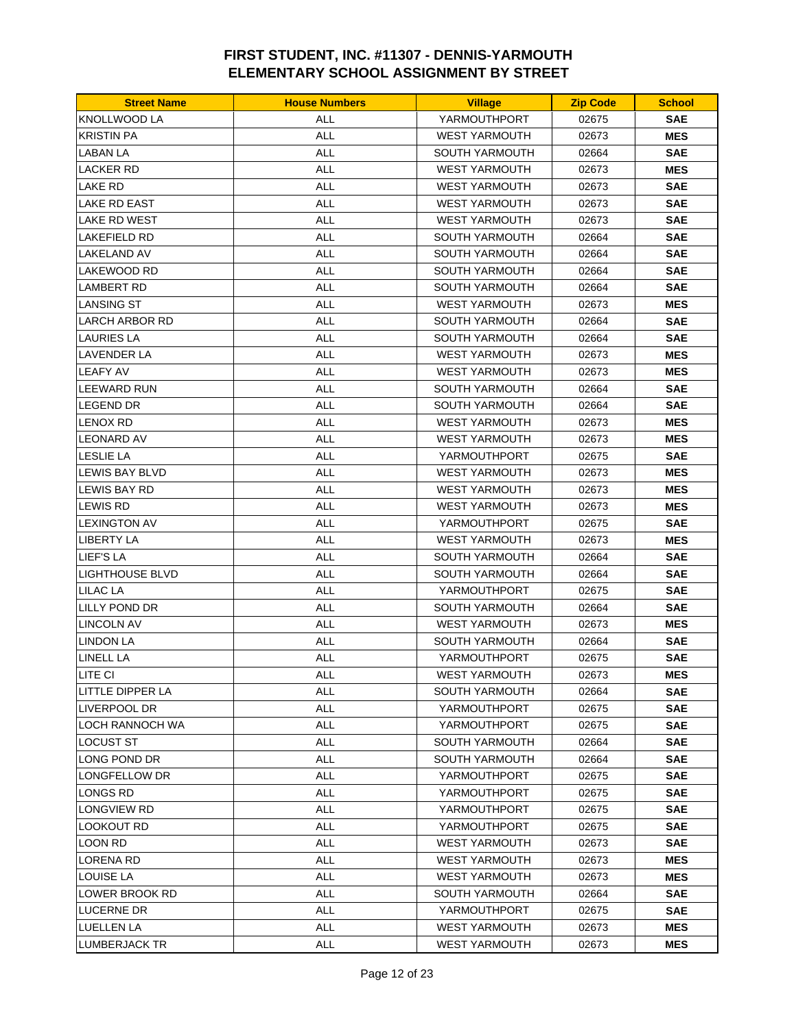| <b>Street Name</b>     | <b>House Numbers</b> | <b>Village</b>        | <b>Zip Code</b> | <b>School</b> |
|------------------------|----------------------|-----------------------|-----------------|---------------|
| <b>KNOLLWOOD LA</b>    | <b>ALL</b>           | YARMOUTHPORT          | 02675           | <b>SAE</b>    |
| <b>KRISTIN PA</b>      | <b>ALL</b>           | <b>WEST YARMOUTH</b>  | 02673           | <b>MES</b>    |
| <b>LABAN LA</b>        | <b>ALL</b>           | SOUTH YARMOUTH        | 02664           | <b>SAE</b>    |
| <b>LACKER RD</b>       | ALL                  | <b>WEST YARMOUTH</b>  | 02673           | <b>MES</b>    |
| LAKE RD                | <b>ALL</b>           | <b>WEST YARMOUTH</b>  | 02673           | <b>SAE</b>    |
| <b>LAKE RD EAST</b>    | <b>ALL</b>           | <b>WEST YARMOUTH</b>  | 02673           | <b>SAE</b>    |
| LAKE RD WEST           | ALL                  | <b>WEST YARMOUTH</b>  | 02673           | <b>SAE</b>    |
| LAKEFIELD RD           | <b>ALL</b>           | <b>SOUTH YARMOUTH</b> | 02664           | <b>SAE</b>    |
| <b>LAKELAND AV</b>     | <b>ALL</b>           | SOUTH YARMOUTH        | 02664           | <b>SAE</b>    |
| LAKEWOOD RD            | ALL                  | <b>SOUTH YARMOUTH</b> | 02664           | <b>SAE</b>    |
| <b>LAMBERT RD</b>      | <b>ALL</b>           | <b>SOUTH YARMOUTH</b> | 02664           | <b>SAE</b>    |
| <b>LANSING ST</b>      | <b>ALL</b>           | <b>WEST YARMOUTH</b>  | 02673           | <b>MES</b>    |
| LARCH ARBOR RD         | ALL                  | SOUTH YARMOUTH        | 02664           | <b>SAE</b>    |
| <b>LAURIES LA</b>      | <b>ALL</b>           | <b>SOUTH YARMOUTH</b> | 02664           | <b>SAE</b>    |
| LAVENDER LA            | <b>ALL</b>           | <b>WEST YARMOUTH</b>  | 02673           | <b>MES</b>    |
| <b>LEAFY AV</b>        | ALL                  | <b>WEST YARMOUTH</b>  | 02673           | <b>MES</b>    |
| LEEWARD RUN            | <b>ALL</b>           | <b>SOUTH YARMOUTH</b> | 02664           | <b>SAE</b>    |
| LEGEND DR              | <b>ALL</b>           | <b>SOUTH YARMOUTH</b> | 02664           | <b>SAE</b>    |
| <b>LENOX RD</b>        | ALL                  | <b>WEST YARMOUTH</b>  | 02673           | <b>MES</b>    |
| <b>LEONARD AV</b>      | ALL                  | <b>WEST YARMOUTH</b>  | 02673           | <b>MES</b>    |
| <b>I</b> LESLIE LA     | ALL                  | YARMOUTHPORT          | 02675           | <b>SAE</b>    |
| LEWIS BAY BLVD         | <b>ALL</b>           | <b>WEST YARMOUTH</b>  | 02673           | <b>MES</b>    |
| LEWIS BAY RD           | <b>ALL</b>           | <b>WEST YARMOUTH</b>  | 02673           | <b>MES</b>    |
| LEWIS RD               | <b>ALL</b>           | <b>WEST YARMOUTH</b>  | 02673           | <b>MES</b>    |
| <b>LEXINGTON AV</b>    | <b>ALL</b>           | YARMOUTHPORT          | 02675           | <b>SAE</b>    |
| <b>LIBERTY LA</b>      | ALL                  | <b>WEST YARMOUTH</b>  | 02673           | <b>MES</b>    |
| <b>LIEF'S LA</b>       | <b>ALL</b>           | <b>SOUTH YARMOUTH</b> | 02664           | <b>SAE</b>    |
| <b>LIGHTHOUSE BLVD</b> | <b>ALL</b>           | SOUTH YARMOUTH        | 02664           | <b>SAE</b>    |
| LILAC LA               | ALL                  | YARMOUTHPORT          | 02675           | <b>SAE</b>    |
| LILLY POND DR          | <b>ALL</b>           | SOUTH YARMOUTH        | 02664           | <b>SAE</b>    |
| <b>LINCOLN AV</b>      | <b>ALL</b>           | <b>WEST YARMOUTH</b>  | 02673           | <b>MES</b>    |
| <b>LINDON LA</b>       | ALL                  | <b>SOUTH YARMOUTH</b> | 02664           | <b>SAE</b>    |
| <b>LINELL LA</b>       | <b>ALL</b>           | YARMOUTHPORT          | 02675           | <b>SAE</b>    |
| LITE CI                | <b>ALL</b>           | <b>WEST YARMOUTH</b>  | 02673           | <b>MES</b>    |
| LITTLE DIPPER LA       | ALL                  | SOUTH YARMOUTH        | 02664           | <b>SAE</b>    |
| LIVERPOOL DR           | <b>ALL</b>           | YARMOUTHPORT          | 02675           | <b>SAE</b>    |
| LOCH RANNOCH WA        | <b>ALL</b>           | YARMOUTHPORT          | 02675           | <b>SAE</b>    |
| LOCUST ST              | <b>ALL</b>           | SOUTH YARMOUTH        | 02664           | <b>SAE</b>    |
| LONG POND DR           | ALL                  | SOUTH YARMOUTH        | 02664           | <b>SAE</b>    |
| LONGFELLOW DR          | ALL                  | YARMOUTHPORT          | 02675           | <b>SAE</b>    |
| LONGS RD               | <b>ALL</b>           | YARMOUTHPORT          | 02675           | <b>SAE</b>    |
| <b>LONGVIEW RD</b>     | <b>ALL</b>           | YARMOUTHPORT          | 02675           | <b>SAE</b>    |
| LOOKOUT RD             | ALL                  | YARMOUTHPORT          | 02675           | <b>SAE</b>    |
| LOON RD                | <b>ALL</b>           | WEST YARMOUTH         | 02673           | <b>SAE</b>    |
| <b>LORENA RD</b>       | <b>ALL</b>           | <b>WEST YARMOUTH</b>  | 02673           | <b>MES</b>    |
| LOUISE LA              | ALL                  | <b>WEST YARMOUTH</b>  | 02673           | <b>MES</b>    |
| LOWER BROOK RD         | <b>ALL</b>           | SOUTH YARMOUTH        | 02664           | <b>SAE</b>    |
| LUCERNE DR             | ALL                  | YARMOUTHPORT          | 02675           | <b>SAE</b>    |
| <b>LUELLEN LA</b>      | ALL                  | WEST YARMOUTH         | 02673           | <b>MES</b>    |
| LUMBERJACK TR          | ALL                  | <b>WEST YARMOUTH</b>  | 02673           | <b>MES</b>    |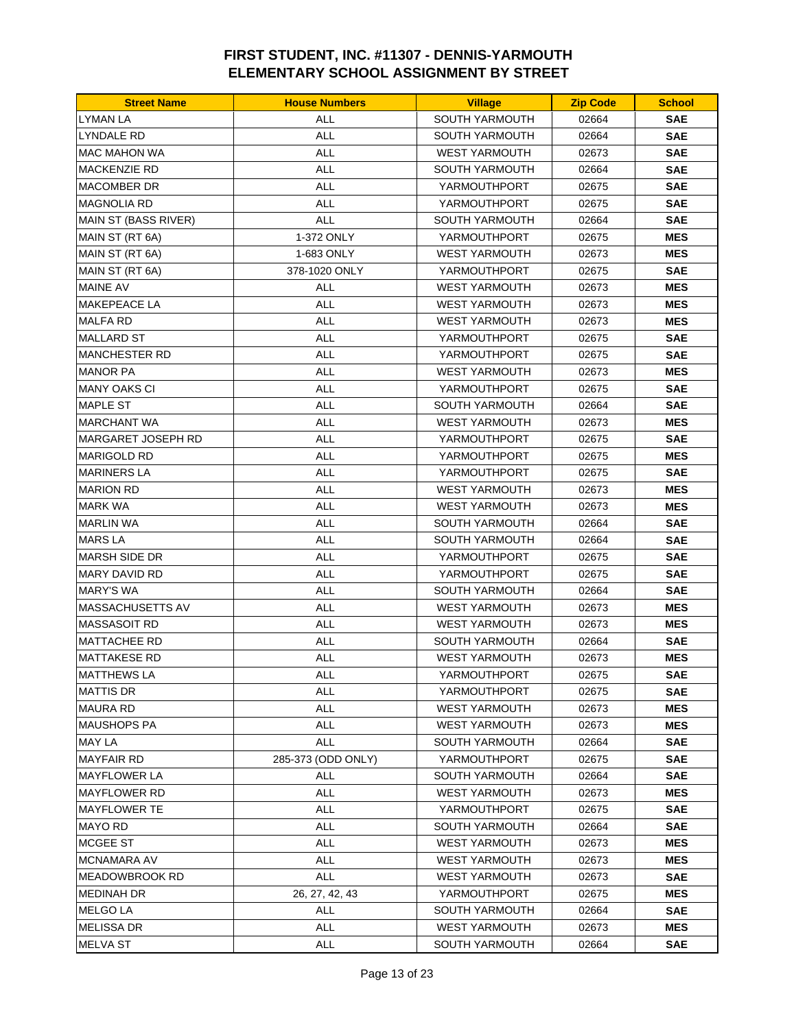| <b>Street Name</b>   | <b>House Numbers</b> | <b>Village</b>        | <b>Zip Code</b> | <b>School</b> |
|----------------------|----------------------|-----------------------|-----------------|---------------|
| LYMAN LA             | ALL                  | SOUTH YARMOUTH        | 02664           | <b>SAE</b>    |
| LYNDALE RD           | <b>ALL</b>           | <b>SOUTH YARMOUTH</b> | 02664           | <b>SAE</b>    |
| <b>MAC MAHON WA</b>  | <b>ALL</b>           | <b>WEST YARMOUTH</b>  | 02673           | <b>SAE</b>    |
| MACKENZIE RD         | <b>ALL</b>           | <b>SOUTH YARMOUTH</b> | 02664           | <b>SAE</b>    |
| MACOMBER DR          | <b>ALL</b>           | YARMOUTHPORT          | 02675           | <b>SAE</b>    |
| <b>MAGNOLIA RD</b>   | ALL                  | YARMOUTHPORT          | 02675           | <b>SAE</b>    |
| MAIN ST (BASS RIVER) | ALL                  | SOUTH YARMOUTH        | 02664           | <b>SAE</b>    |
| MAIN ST (RT 6A)      | 1-372 ONLY           | YARMOUTHPORT          | 02675           | MES           |
| MAIN ST (RT 6A)      | 1-683 ONLY           | <b>WEST YARMOUTH</b>  | 02673           | <b>MES</b>    |
| MAIN ST (RT 6A)      | 378-1020 ONLY        | YARMOUTHPORT          | 02675           | <b>SAE</b>    |
| <b>MAINE AV</b>      | <b>ALL</b>           | <b>WEST YARMOUTH</b>  | 02673           | <b>MES</b>    |
| <b>MAKEPEACE LA</b>  | <b>ALL</b>           | <b>WEST YARMOUTH</b>  | 02673           | <b>MES</b>    |
| MALFA RD             | <b>ALL</b>           | <b>WEST YARMOUTH</b>  | 02673           | <b>MES</b>    |
| MALLARD ST           | <b>ALL</b>           | YARMOUTHPORT          | 02675           | <b>SAE</b>    |
| <b>MANCHESTER RD</b> | <b>ALL</b>           | YARMOUTHPORT          | 02675           | <b>SAE</b>    |
| <b>MANOR PA</b>      | ALL                  | <b>WEST YARMOUTH</b>  | 02673           | <b>MES</b>    |
| <b>MANY OAKS CI</b>  | <b>ALL</b>           | YARMOUTHPORT          | 02675           | <b>SAE</b>    |
| <b>MAPLE ST</b>      | <b>ALL</b>           | <b>SOUTH YARMOUTH</b> | 02664           | <b>SAE</b>    |
| <b>MARCHANT WA</b>   | ALL                  | <b>WEST YARMOUTH</b>  | 02673           | <b>MES</b>    |
| MARGARET JOSEPH RD   | <b>ALL</b>           | YARMOUTHPORT          | 02675           | <b>SAE</b>    |
| <b>MARIGOLD RD</b>   | <b>ALL</b>           | YARMOUTHPORT          | 02675           | <b>MES</b>    |
| <b>MARINERS LA</b>   | <b>ALL</b>           | YARMOUTHPORT          | 02675           | <b>SAE</b>    |
| <b>MARION RD</b>     | <b>ALL</b>           | <b>WEST YARMOUTH</b>  | 02673           | <b>MES</b>    |
| <b>MARK WA</b>       | <b>ALL</b>           | <b>WEST YARMOUTH</b>  | 02673           | <b>MES</b>    |
| <b>MARLIN WA</b>     | <b>ALL</b>           | <b>SOUTH YARMOUTH</b> | 02664           | <b>SAE</b>    |
| MARS LA              | <b>ALL</b>           | <b>SOUTH YARMOUTH</b> | 02664           | <b>SAE</b>    |
| <b>MARSH SIDE DR</b> | <b>ALL</b>           | YARMOUTHPORT          | 02675           | <b>SAE</b>    |
| <b>MARY DAVID RD</b> | <b>ALL</b>           | YARMOUTHPORT          | 02675           | <b>SAE</b>    |
| <b>MARY'S WA</b>     | <b>ALL</b>           | <b>SOUTH YARMOUTH</b> | 02664           | <b>SAE</b>    |
| MASSACHUSETTS AV     | <b>ALL</b>           | <b>WEST YARMOUTH</b>  | 02673           | <b>MES</b>    |
| <b>MASSASOIT RD</b>  | <b>ALL</b>           | <b>WEST YARMOUTH</b>  | 02673           | <b>MES</b>    |
| <b>MATTACHEE RD</b>  | ALL                  | <b>SOUTH YARMOUTH</b> | 02664           | <b>SAE</b>    |
| <b>MATTAKESE RD</b>  | <b>ALL</b>           | <b>WEST YARMOUTH</b>  | 02673           | <b>MES</b>    |
| <b>MATTHEWS LA</b>   | <b>ALL</b>           | YARMOUTHPORT          | 02675           | <b>SAE</b>    |
| MATTIS DR            | ALL                  | YARMOUTHPORT          | 02675           | <b>SAE</b>    |
| <b>MAURA RD</b>      | <b>ALL</b>           | <b>WEST YARMOUTH</b>  | 02673           | MES           |
| MAUSHOPS PA          | <b>ALL</b>           | <b>WEST YARMOUTH</b>  | 02673           | <b>MES</b>    |
| MAY LA               | <b>ALL</b>           | <b>SOUTH YARMOUTH</b> | 02664           | <b>SAE</b>    |
| <b>MAYFAIR RD</b>    | 285-373 (ODD ONLY)   | YARMOUTHPORT          | 02675           | <b>SAE</b>    |
| MAYFLOWER LA         | <b>ALL</b>           | <b>SOUTH YARMOUTH</b> | 02664           | <b>SAE</b>    |
| <b>MAYFLOWER RD</b>  | <b>ALL</b>           | <b>WEST YARMOUTH</b>  | 02673           | MES           |
| MAYFLOWER TE         | <b>ALL</b>           | YARMOUTHPORT          | 02675           | <b>SAE</b>    |
| MAYO RD              | <b>ALL</b>           | <b>SOUTH YARMOUTH</b> | 02664           | <b>SAE</b>    |
| MCGEE ST             | <b>ALL</b>           | <b>WEST YARMOUTH</b>  | 02673           | MES           |
| MCNAMARA AV          | <b>ALL</b>           | <b>WEST YARMOUTH</b>  | 02673           | <b>MES</b>    |
| MEADOWBROOK RD       | ALL                  | <b>WEST YARMOUTH</b>  | 02673           | <b>SAE</b>    |
| <b>MEDINAH DR</b>    | 26, 27, 42, 43       | YARMOUTHPORT          | 02675           | MES           |
| <b>MELGO LA</b>      | <b>ALL</b>           | SOUTH YARMOUTH        | 02664           | <b>SAE</b>    |
| MELISSA DR           | <b>ALL</b>           | <b>WEST YARMOUTH</b>  | 02673           | MES           |
| MELVA ST             | ALL                  | SOUTH YARMOUTH        | 02664           | <b>SAE</b>    |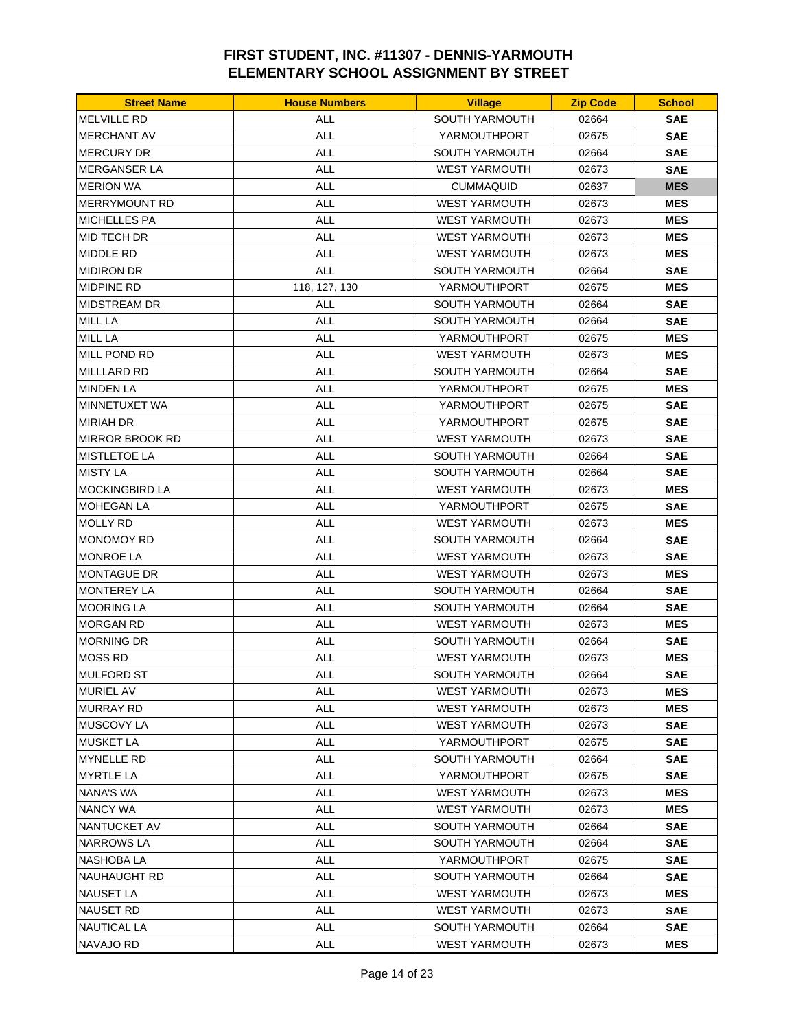| <b>Street Name</b>     | <b>House Numbers</b> | <b>Village</b>        | <b>Zip Code</b> | <b>School</b> |
|------------------------|----------------------|-----------------------|-----------------|---------------|
| <b>MELVILLE RD</b>     | ALL                  | SOUTH YARMOUTH        | 02664           | <b>SAE</b>    |
| <b>MERCHANT AV</b>     | <b>ALL</b>           | YARMOUTHPORT          | 02675           | <b>SAE</b>    |
| <b>MERCURY DR</b>      | <b>ALL</b>           | <b>SOUTH YARMOUTH</b> | 02664           | <b>SAE</b>    |
| <b>MERGANSER LA</b>    | <b>ALL</b>           | <b>WEST YARMOUTH</b>  | 02673           | <b>SAE</b>    |
| <b>MERION WA</b>       | ALL                  | <b>CUMMAQUID</b>      | 02637           | <b>MES</b>    |
| <b>MERRYMOUNT RD</b>   | ALL                  | <b>WEST YARMOUTH</b>  | 02673           | <b>MES</b>    |
| <b>MICHELLES PA</b>    | ALL                  | <b>WEST YARMOUTH</b>  | 02673           | <b>MES</b>    |
| MID TECH DR            | <b>ALL</b>           | <b>WEST YARMOUTH</b>  | 02673           | <b>MES</b>    |
| <b>MIDDLE RD</b>       | <b>ALL</b>           | <b>WEST YARMOUTH</b>  | 02673           | <b>MES</b>    |
| <b>MIDIRON DR</b>      | <b>ALL</b>           | <b>SOUTH YARMOUTH</b> | 02664           | <b>SAE</b>    |
| <b>MIDPINE RD</b>      | 118, 127, 130        | YARMOUTHPORT          | 02675           | <b>MES</b>    |
| <b>MIDSTREAM DR</b>    | ALL                  | <b>SOUTH YARMOUTH</b> | 02664           | <b>SAE</b>    |
| MILL LA                | <b>ALL</b>           | <b>SOUTH YARMOUTH</b> | 02664           | <b>SAE</b>    |
| <b>MILL LA</b>         | <b>ALL</b>           | YARMOUTHPORT          | 02675           | <b>MES</b>    |
| <b>MILL POND RD</b>    | <b>ALL</b>           | <b>WEST YARMOUTH</b>  | 02673           | <b>MES</b>    |
| <b>MILLLARD RD</b>     | <b>ALL</b>           | <b>SOUTH YARMOUTH</b> | 02664           | <b>SAE</b>    |
| <b>MINDEN LA</b>       | <b>ALL</b>           | YARMOUTHPORT          | 02675           | <b>MES</b>    |
| MINNETUXET WA          | ALL                  | YARMOUTHPORT          | 02675           | <b>SAE</b>    |
| <b>MIRIAH DR</b>       | ALL                  | YARMOUTHPORT          | 02675           | SAE           |
| <b>MIRROR BROOK RD</b> | <b>ALL</b>           | <b>WEST YARMOUTH</b>  | 02673           | <b>SAE</b>    |
|                        |                      |                       |                 |               |
| <b>MISTLETOE LA</b>    | <b>ALL</b>           | SOUTH YARMOUTH        | 02664           | <b>SAE</b>    |
| <b>MISTY LA</b>        | ALL                  | <b>SOUTH YARMOUTH</b> | 02664           | <b>SAE</b>    |
| <b>MOCKINGBIRD LA</b>  | <b>ALL</b>           | <b>WEST YARMOUTH</b>  | 02673           | <b>MES</b>    |
| <b>MOHEGAN LA</b>      | <b>ALL</b>           | YARMOUTHPORT          | 02675           | <b>SAE</b>    |
| MOLLY RD               | <b>ALL</b>           | <b>WEST YARMOUTH</b>  | 02673           | <b>MES</b>    |
| <b>MONOMOY RD</b>      | <b>ALL</b>           | <b>SOUTH YARMOUTH</b> | 02664           | <b>SAE</b>    |
| <b>MONROE LA</b>       | <b>ALL</b>           | <b>WEST YARMOUTH</b>  | 02673           | <b>SAE</b>    |
| <b>MONTAGUE DR</b>     | <b>ALL</b>           | <b>WEST YARMOUTH</b>  | 02673           | <b>MES</b>    |
| <b>MONTEREY LA</b>     | <b>ALL</b>           | <b>SOUTH YARMOUTH</b> | 02664           | <b>SAE</b>    |
| <b>MOORING LA</b>      | ALL                  | <b>SOUTH YARMOUTH</b> | 02664           | <b>SAE</b>    |
| <b>MORGAN RD</b>       | <b>ALL</b>           | <b>WEST YARMOUTH</b>  | 02673           | <b>MES</b>    |
| <b>MORNING DR</b>      | <b>ALL</b>           | <b>SOUTH YARMOUTH</b> | 02664           | <b>SAE</b>    |
| <b>MOSS RD</b>         | <b>ALL</b>           | <b>WEST YARMOUTH</b>  | 02673           | <b>MES</b>    |
| <b>MULFORD ST</b>      | ALL                  | SOUTH YARMOUTH        | 02664           | <b>SAE</b>    |
| <b>MURIEL AV</b>       | ALL                  | <b>WEST YARMOUTH</b>  | 02673           | <b>MES</b>    |
| <b>MURRAY RD</b>       | ALL                  | <b>WEST YARMOUTH</b>  | 02673           | <b>MES</b>    |
| MUSCOVY LA             | <b>ALL</b>           | <b>WEST YARMOUTH</b>  | 02673           | <b>SAE</b>    |
| <b>MUSKET LA</b>       | ALL                  | YARMOUTHPORT          | 02675           | SAE           |
| <b>MYNELLE RD</b>      | ALL                  | <b>SOUTH YARMOUTH</b> | 02664           | <b>SAE</b>    |
| <b>MYRTLE LA</b>       | ALL                  | YARMOUTHPORT          | 02675           | SAE           |
| NANA'S WA              | <b>ALL</b>           | <b>WEST YARMOUTH</b>  | 02673           | <b>MES</b>    |
| <b>NANCY WA</b>        | ALL                  | <b>WEST YARMOUTH</b>  | 02673           | <b>MES</b>    |
| NANTUCKET AV           | <b>ALL</b>           | <b>SOUTH YARMOUTH</b> | 02664           | <b>SAE</b>    |
| NARROWS LA             | ALL                  | <b>SOUTH YARMOUTH</b> | 02664           | SAE           |
| NASHOBA LA             | <b>ALL</b>           | YARMOUTHPORT          | 02675           | <b>SAE</b>    |
| NAUHAUGHT RD           | ALL                  | <b>SOUTH YARMOUTH</b> | 02664           | <b>SAE</b>    |
| NAUSET LA              | <b>ALL</b>           | <b>WEST YARMOUTH</b>  | 02673           | <b>MES</b>    |
| <b>NAUSET RD</b>       | <b>ALL</b>           | <b>WEST YARMOUTH</b>  | 02673           | <b>SAE</b>    |
| NAUTICAL LA            | <b>ALL</b>           | <b>SOUTH YARMOUTH</b> | 02664           | SAE           |
| NAVAJO RD              | <b>ALL</b>           | <b>WEST YARMOUTH</b>  | 02673           | <b>MES</b>    |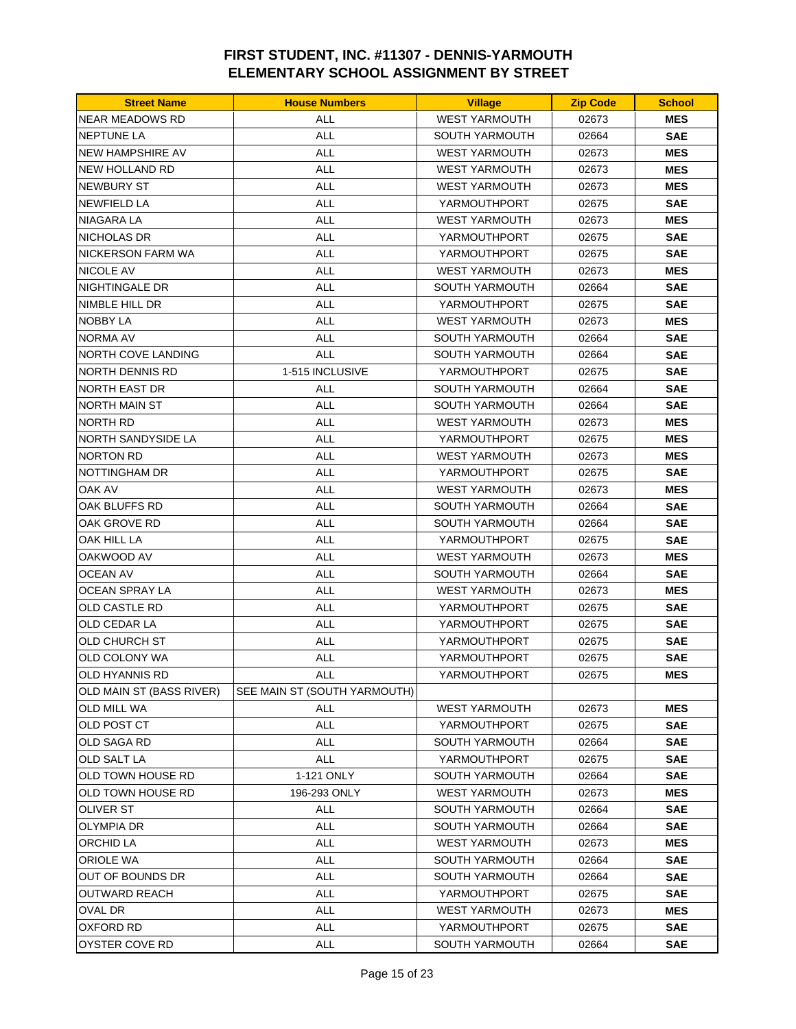| <b>Street Name</b>       | <b>House Numbers</b>         | <b>Village</b>        | <b>Zip Code</b> | <b>School</b> |
|--------------------------|------------------------------|-----------------------|-----------------|---------------|
| <b>NEAR MEADOWS RD</b>   | ALL                          | <b>WEST YARMOUTH</b>  | 02673           | <b>MES</b>    |
| <b>NEPTUNE LA</b>        | <b>ALL</b>                   | <b>SOUTH YARMOUTH</b> | 02664           | <b>SAE</b>    |
| <b>NEW HAMPSHIRE AV</b>  | <b>ALL</b>                   | <b>WEST YARMOUTH</b>  | 02673           | <b>MES</b>    |
| <b>NEW HOLLAND RD</b>    | <b>ALL</b>                   | <b>WEST YARMOUTH</b>  | 02673           | <b>MES</b>    |
| <b>NEWBURY ST</b>        | <b>ALL</b>                   | <b>WEST YARMOUTH</b>  | 02673           | <b>MES</b>    |
| <b>NEWFIELD LA</b>       | ALL                          | YARMOUTHPORT          | 02675           | <b>SAE</b>    |
| NIAGARA LA               | <b>ALL</b>                   | <b>WEST YARMOUTH</b>  | 02673           | <b>MES</b>    |
| NICHOLAS DR              | <b>ALL</b>                   | YARMOUTHPORT          | 02675           | <b>SAE</b>    |
| <b>NICKERSON FARM WA</b> | <b>ALL</b>                   | YARMOUTHPORT          | 02675           | <b>SAE</b>    |
| NICOLE AV                | <b>ALL</b>                   | <b>WEST YARMOUTH</b>  | 02673           | <b>MES</b>    |
| NIGHTINGALE DR           | <b>ALL</b>                   | <b>SOUTH YARMOUTH</b> | 02664           | <b>SAE</b>    |
| NIMBLE HILL DR           | ALL                          | YARMOUTHPORT          | 02675           | <b>SAE</b>    |
| NOBBY LA                 | <b>ALL</b>                   | <b>WEST YARMOUTH</b>  | 02673           | <b>MES</b>    |
| NORMA AV                 | <b>ALL</b>                   | <b>SOUTH YARMOUTH</b> | 02664           | <b>SAE</b>    |
| NORTH COVE LANDING       | <b>ALL</b>                   | <b>SOUTH YARMOUTH</b> | 02664           | <b>SAE</b>    |
| NORTH DENNIS RD          | 1-515 INCLUSIVE              | YARMOUTHPORT          | 02675           | <b>SAE</b>    |
| NORTH EAST DR            | <b>ALL</b>                   | <b>SOUTH YARMOUTH</b> | 02664           | <b>SAE</b>    |
| NORTH MAIN ST            | <b>ALL</b>                   | <b>SOUTH YARMOUTH</b> | 02664           | <b>SAE</b>    |
| NORTH RD                 | ALL                          | <b>WEST YARMOUTH</b>  | 02673           | <b>MES</b>    |
| NORTH SANDYSIDE LA       | <b>ALL</b>                   | YARMOUTHPORT          | 02675           | <b>MES</b>    |
| <b>NORTON RD</b>         | <b>ALL</b>                   | <b>WEST YARMOUTH</b>  | 02673           | <b>MES</b>    |
| NOTTINGHAM DR            | <b>ALL</b>                   | YARMOUTHPORT          | 02675           | <b>SAE</b>    |
| OAK AV                   | <b>ALL</b>                   | <b>WEST YARMOUTH</b>  | 02673           | <b>MES</b>    |
| OAK BLUFFS RD            | <b>ALL</b>                   | <b>SOUTH YARMOUTH</b> | 02664           | <b>SAE</b>    |
| OAK GROVE RD             | <b>ALL</b>                   | <b>SOUTH YARMOUTH</b> | 02664           | <b>SAE</b>    |
| OAK HILL LA              | <b>ALL</b>                   | YARMOUTHPORT          | 02675           | <b>SAE</b>    |
| OAKWOOD AV               | <b>ALL</b>                   | <b>WEST YARMOUTH</b>  | 02673           | <b>MES</b>    |
| OCEAN AV                 | <b>ALL</b>                   | <b>SOUTH YARMOUTH</b> | 02664           | <b>SAE</b>    |
| OCEAN SPRAY LA           | <b>ALL</b>                   | <b>WEST YARMOUTH</b>  | 02673           | <b>MES</b>    |
| OLD CASTLE RD            | <b>ALL</b>                   | YARMOUTHPORT          | 02675           | <b>SAE</b>    |
| OLD CEDAR LA             | ALL                          | YARMOUTHPORT          | 02675           | <b>SAE</b>    |
| OLD CHURCH ST            | ALL                          | YARMOUTHPORT          | 02675           | <b>SAE</b>    |
| OLD COLONY WA            | <b>ALL</b>                   | YARMOUTHPORT          | 02675           | <b>SAE</b>    |
| OLD HYANNIS RD           | <b>ALL</b>                   | YARMOUTHPORT          | 02675           | <b>MES</b>    |
| OLD MAIN ST (BASS RIVER) | SEE MAIN ST (SOUTH YARMOUTH) |                       |                 |               |
| OLD MILL WA              | ALL                          | <b>WEST YARMOUTH</b>  | 02673           | <b>MES</b>    |
| OLD POST CT              | <b>ALL</b>                   | YARMOUTHPORT          | 02675           | <b>SAE</b>    |
| OLD SAGA RD              | ALL                          | SOUTH YARMOUTH        | 02664           | <b>SAE</b>    |
| OLD SALT LA              | ALL                          | YARMOUTHPORT          | 02675           | <b>SAE</b>    |
| OLD TOWN HOUSE RD        | 1-121 ONLY                   | SOUTH YARMOUTH        | 02664           | <b>SAE</b>    |
| OLD TOWN HOUSE RD        | 196-293 ONLY                 | <b>WEST YARMOUTH</b>  | 02673           | <b>MES</b>    |
| OLIVER ST                | <b>ALL</b>                   | SOUTH YARMOUTH        | 02664           | <b>SAE</b>    |
| OLYMPIA DR               | ALL                          | SOUTH YARMOUTH        | 02664           | <b>SAE</b>    |
| ORCHID LA                | <b>ALL</b>                   | <b>WEST YARMOUTH</b>  | 02673           | <b>MES</b>    |
| ORIOLE WA                | ALL                          | SOUTH YARMOUTH        | 02664           | <b>SAE</b>    |
| OUT OF BOUNDS DR         | ALL                          | SOUTH YARMOUTH        | 02664           | <b>SAE</b>    |
| OUTWARD REACH            | <b>ALL</b>                   | YARMOUTHPORT          | 02675           | <b>SAE</b>    |
| OVAL DR                  | <b>ALL</b>                   | <b>WEST YARMOUTH</b>  | 02673           | <b>MES</b>    |
| OXFORD RD                | ALL                          | YARMOUTHPORT          | 02675           | <b>SAE</b>    |
| OYSTER COVE RD           | ALL                          | SOUTH YARMOUTH        | 02664           | <b>SAE</b>    |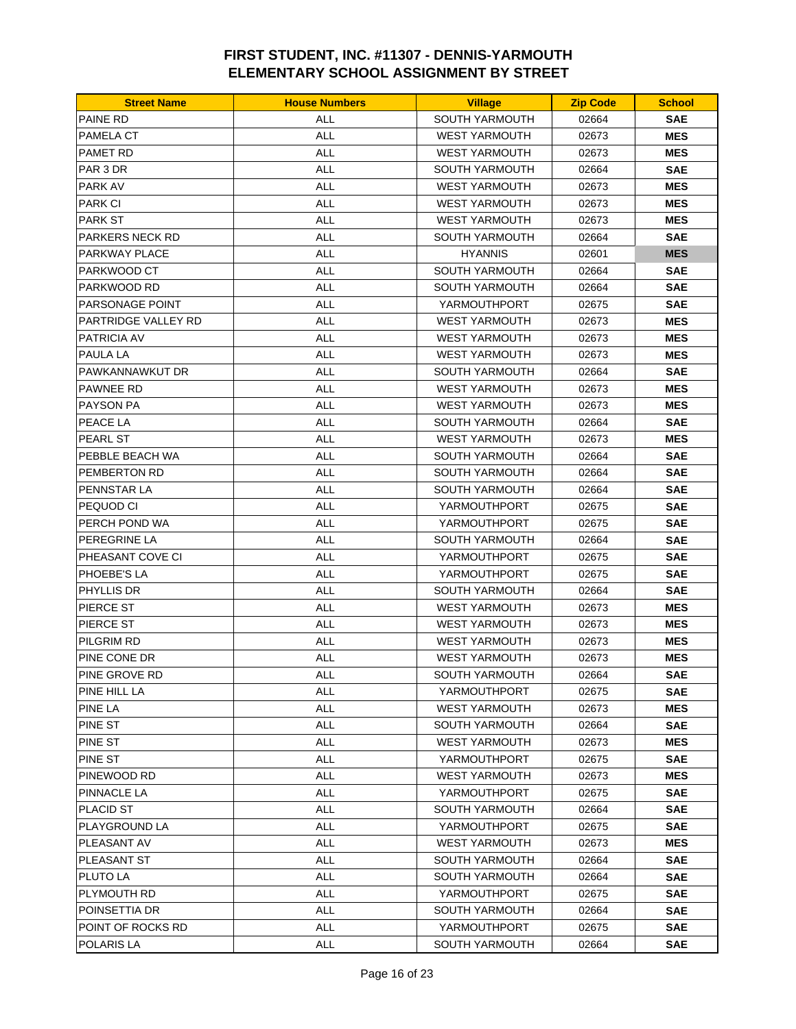| <b>PAINE RD</b><br><b>SOUTH YARMOUTH</b><br>ALL<br>02664<br><b>SAE</b><br><b>ALL</b><br>PAMELA CT<br><b>WEST YARMOUTH</b><br>02673<br><b>MES</b><br><b>ALL</b><br>PAMET RD<br><b>WEST YARMOUTH</b><br>02673<br><b>MES</b><br><b>ALL</b><br>PAR 3 DR<br><b>SOUTH YARMOUTH</b><br>02664<br><b>SAE</b><br><b>ALL</b><br><b>MES</b><br>PARK AV<br><b>WEST YARMOUTH</b><br>02673<br><b>PARK CI</b><br>ALL<br><b>WEST YARMOUTH</b><br>02673<br><b>MES</b><br><b>PARK ST</b><br><b>ALL</b><br><b>WEST YARMOUTH</b><br>02673<br><b>MES</b><br><b>ALL</b><br><b>PARKERS NECK RD</b><br><b>SOUTH YARMOUTH</b><br>02664<br><b>SAE</b><br><b>ALL</b><br>PARKWAY PLACE<br><b>HYANNIS</b><br><b>MES</b><br>02601<br><b>ALL</b><br>PARKWOOD CT<br><b>SOUTH YARMOUTH</b><br>02664<br><b>SAE</b><br><b>ALL</b><br><b>SAE</b><br>PARKWOOD RD<br><b>SOUTH YARMOUTH</b><br>02664<br>ALL<br>YARMOUTHPORT<br><b>SAE</b><br>PARSONAGE POINT<br>02675<br><b>ALL</b><br>PARTRIDGE VALLEY RD<br><b>WEST YARMOUTH</b><br>02673<br><b>MES</b><br><b>ALL</b><br><b>MES</b><br>PATRICIA AV<br><b>WEST YARMOUTH</b><br>02673 |
|-----------------------------------------------------------------------------------------------------------------------------------------------------------------------------------------------------------------------------------------------------------------------------------------------------------------------------------------------------------------------------------------------------------------------------------------------------------------------------------------------------------------------------------------------------------------------------------------------------------------------------------------------------------------------------------------------------------------------------------------------------------------------------------------------------------------------------------------------------------------------------------------------------------------------------------------------------------------------------------------------------------------------------------------------------------------------------------------------|
|                                                                                                                                                                                                                                                                                                                                                                                                                                                                                                                                                                                                                                                                                                                                                                                                                                                                                                                                                                                                                                                                                               |
|                                                                                                                                                                                                                                                                                                                                                                                                                                                                                                                                                                                                                                                                                                                                                                                                                                                                                                                                                                                                                                                                                               |
|                                                                                                                                                                                                                                                                                                                                                                                                                                                                                                                                                                                                                                                                                                                                                                                                                                                                                                                                                                                                                                                                                               |
|                                                                                                                                                                                                                                                                                                                                                                                                                                                                                                                                                                                                                                                                                                                                                                                                                                                                                                                                                                                                                                                                                               |
|                                                                                                                                                                                                                                                                                                                                                                                                                                                                                                                                                                                                                                                                                                                                                                                                                                                                                                                                                                                                                                                                                               |
|                                                                                                                                                                                                                                                                                                                                                                                                                                                                                                                                                                                                                                                                                                                                                                                                                                                                                                                                                                                                                                                                                               |
|                                                                                                                                                                                                                                                                                                                                                                                                                                                                                                                                                                                                                                                                                                                                                                                                                                                                                                                                                                                                                                                                                               |
|                                                                                                                                                                                                                                                                                                                                                                                                                                                                                                                                                                                                                                                                                                                                                                                                                                                                                                                                                                                                                                                                                               |
|                                                                                                                                                                                                                                                                                                                                                                                                                                                                                                                                                                                                                                                                                                                                                                                                                                                                                                                                                                                                                                                                                               |
|                                                                                                                                                                                                                                                                                                                                                                                                                                                                                                                                                                                                                                                                                                                                                                                                                                                                                                                                                                                                                                                                                               |
|                                                                                                                                                                                                                                                                                                                                                                                                                                                                                                                                                                                                                                                                                                                                                                                                                                                                                                                                                                                                                                                                                               |
|                                                                                                                                                                                                                                                                                                                                                                                                                                                                                                                                                                                                                                                                                                                                                                                                                                                                                                                                                                                                                                                                                               |
|                                                                                                                                                                                                                                                                                                                                                                                                                                                                                                                                                                                                                                                                                                                                                                                                                                                                                                                                                                                                                                                                                               |
|                                                                                                                                                                                                                                                                                                                                                                                                                                                                                                                                                                                                                                                                                                                                                                                                                                                                                                                                                                                                                                                                                               |
| <b>PAULA LA</b><br><b>ALL</b><br><b>WEST YARMOUTH</b><br>02673<br><b>MES</b>                                                                                                                                                                                                                                                                                                                                                                                                                                                                                                                                                                                                                                                                                                                                                                                                                                                                                                                                                                                                                  |
| PAWKANNAWKUT DR<br><b>ALL</b><br>SOUTH YARMOUTH<br>02664<br><b>SAE</b>                                                                                                                                                                                                                                                                                                                                                                                                                                                                                                                                                                                                                                                                                                                                                                                                                                                                                                                                                                                                                        |
| <b>ALL</b><br>PAWNEE RD<br><b>WEST YARMOUTH</b><br>02673<br><b>MES</b>                                                                                                                                                                                                                                                                                                                                                                                                                                                                                                                                                                                                                                                                                                                                                                                                                                                                                                                                                                                                                        |
| <b>ALL</b><br><b>MES</b><br>PAYSON PA<br><b>WEST YARMOUTH</b><br>02673                                                                                                                                                                                                                                                                                                                                                                                                                                                                                                                                                                                                                                                                                                                                                                                                                                                                                                                                                                                                                        |
| PEACE LA<br>ALL<br>SOUTH YARMOUTH<br>02664<br><b>SAE</b>                                                                                                                                                                                                                                                                                                                                                                                                                                                                                                                                                                                                                                                                                                                                                                                                                                                                                                                                                                                                                                      |
| <b>ALL</b><br><b>MES</b><br>PEARL ST<br><b>WEST YARMOUTH</b><br>02673                                                                                                                                                                                                                                                                                                                                                                                                                                                                                                                                                                                                                                                                                                                                                                                                                                                                                                                                                                                                                         |
| PEBBLE BEACH WA<br><b>ALL</b><br>SOUTH YARMOUTH<br><b>SAE</b><br>02664                                                                                                                                                                                                                                                                                                                                                                                                                                                                                                                                                                                                                                                                                                                                                                                                                                                                                                                                                                                                                        |
| <b>ALL</b><br>PEMBERTON RD<br><b>SOUTH YARMOUTH</b><br>02664<br><b>SAE</b>                                                                                                                                                                                                                                                                                                                                                                                                                                                                                                                                                                                                                                                                                                                                                                                                                                                                                                                                                                                                                    |
| <b>ALL</b><br>PENNSTAR LA<br><b>SOUTH YARMOUTH</b><br>02664<br><b>SAE</b>                                                                                                                                                                                                                                                                                                                                                                                                                                                                                                                                                                                                                                                                                                                                                                                                                                                                                                                                                                                                                     |
| <b>ALL</b><br>PEQUOD CI<br>YARMOUTHPORT<br>02675<br><b>SAE</b>                                                                                                                                                                                                                                                                                                                                                                                                                                                                                                                                                                                                                                                                                                                                                                                                                                                                                                                                                                                                                                |
| <b>ALL</b><br><b>SAE</b><br>PERCH POND WA<br>YARMOUTHPORT<br>02675                                                                                                                                                                                                                                                                                                                                                                                                                                                                                                                                                                                                                                                                                                                                                                                                                                                                                                                                                                                                                            |
| PEREGRINE LA<br><b>ALL</b><br><b>SOUTH YARMOUTH</b><br>02664<br><b>SAE</b>                                                                                                                                                                                                                                                                                                                                                                                                                                                                                                                                                                                                                                                                                                                                                                                                                                                                                                                                                                                                                    |
| PHEASANT COVE CI<br><b>ALL</b><br>YARMOUTHPORT<br><b>SAE</b><br>02675                                                                                                                                                                                                                                                                                                                                                                                                                                                                                                                                                                                                                                                                                                                                                                                                                                                                                                                                                                                                                         |
| <b>ALL</b><br><b>SAE</b><br>PHOEBE'S LA<br>YARMOUTHPORT<br>02675                                                                                                                                                                                                                                                                                                                                                                                                                                                                                                                                                                                                                                                                                                                                                                                                                                                                                                                                                                                                                              |
| <b>ALL</b><br>PHYLLIS DR<br>SOUTH YARMOUTH<br>02664<br><b>SAE</b>                                                                                                                                                                                                                                                                                                                                                                                                                                                                                                                                                                                                                                                                                                                                                                                                                                                                                                                                                                                                                             |
| <b>ALL</b><br><b>MES</b><br>PIERCE ST<br><b>WEST YARMOUTH</b><br>02673                                                                                                                                                                                                                                                                                                                                                                                                                                                                                                                                                                                                                                                                                                                                                                                                                                                                                                                                                                                                                        |
| PIERCE ST<br><b>ALL</b><br><b>WEST YARMOUTH</b><br>02673<br><b>MES</b>                                                                                                                                                                                                                                                                                                                                                                                                                                                                                                                                                                                                                                                                                                                                                                                                                                                                                                                                                                                                                        |
| <b>ALL</b><br>PILGRIM RD<br><b>WEST YARMOUTH</b><br>02673<br><b>MES</b>                                                                                                                                                                                                                                                                                                                                                                                                                                                                                                                                                                                                                                                                                                                                                                                                                                                                                                                                                                                                                       |
| <b>ALL</b><br>PINE CONE DR<br><b>WEST YARMOUTH</b><br>02673<br><b>MES</b>                                                                                                                                                                                                                                                                                                                                                                                                                                                                                                                                                                                                                                                                                                                                                                                                                                                                                                                                                                                                                     |
| <b>SAE</b><br>PINE GROVE RD<br>ALL<br>SOUTH YARMOUTH<br>02664                                                                                                                                                                                                                                                                                                                                                                                                                                                                                                                                                                                                                                                                                                                                                                                                                                                                                                                                                                                                                                 |
| PINE HILL LA<br><b>ALL</b><br>YARMOUTHPORT<br>02675<br><b>SAE</b>                                                                                                                                                                                                                                                                                                                                                                                                                                                                                                                                                                                                                                                                                                                                                                                                                                                                                                                                                                                                                             |
| <b>PINE LA</b><br>ALL<br>MES<br><b>WEST YARMOUTH</b><br>02673                                                                                                                                                                                                                                                                                                                                                                                                                                                                                                                                                                                                                                                                                                                                                                                                                                                                                                                                                                                                                                 |
| <b>PINE ST</b><br><b>ALL</b><br><b>SAE</b><br>SOUTH YARMOUTH<br>02664                                                                                                                                                                                                                                                                                                                                                                                                                                                                                                                                                                                                                                                                                                                                                                                                                                                                                                                                                                                                                         |
| PINE ST<br>ALL<br><b>WEST YARMOUTH</b><br>02673<br>MES                                                                                                                                                                                                                                                                                                                                                                                                                                                                                                                                                                                                                                                                                                                                                                                                                                                                                                                                                                                                                                        |
| PINE ST<br><b>ALL</b><br>YARMOUTHPORT<br>02675<br><b>SAE</b>                                                                                                                                                                                                                                                                                                                                                                                                                                                                                                                                                                                                                                                                                                                                                                                                                                                                                                                                                                                                                                  |
| <b>ALL</b><br>PINEWOOD RD<br><b>WEST YARMOUTH</b><br>02673<br>MES                                                                                                                                                                                                                                                                                                                                                                                                                                                                                                                                                                                                                                                                                                                                                                                                                                                                                                                                                                                                                             |
| <b>ALL</b><br>PINNACLE LA<br>YARMOUTHPORT<br>02675<br><b>SAE</b>                                                                                                                                                                                                                                                                                                                                                                                                                                                                                                                                                                                                                                                                                                                                                                                                                                                                                                                                                                                                                              |
| ALL<br><b>PLACID ST</b><br><b>SOUTH YARMOUTH</b><br>02664<br><b>SAE</b>                                                                                                                                                                                                                                                                                                                                                                                                                                                                                                                                                                                                                                                                                                                                                                                                                                                                                                                                                                                                                       |
| ALL<br><b>SAE</b><br>PLAYGROUND LA<br>YARMOUTHPORT<br>02675                                                                                                                                                                                                                                                                                                                                                                                                                                                                                                                                                                                                                                                                                                                                                                                                                                                                                                                                                                                                                                   |
| PLEASANT AV<br><b>ALL</b><br><b>WEST YARMOUTH</b><br>02673<br>MES                                                                                                                                                                                                                                                                                                                                                                                                                                                                                                                                                                                                                                                                                                                                                                                                                                                                                                                                                                                                                             |
| PLEASANT ST<br><b>ALL</b><br>SOUTH YARMOUTH<br>02664<br><b>SAE</b>                                                                                                                                                                                                                                                                                                                                                                                                                                                                                                                                                                                                                                                                                                                                                                                                                                                                                                                                                                                                                            |
| PLUTO LA<br>ALL<br><b>SAE</b><br>SOUTH YARMOUTH<br>02664                                                                                                                                                                                                                                                                                                                                                                                                                                                                                                                                                                                                                                                                                                                                                                                                                                                                                                                                                                                                                                      |
| PLYMOUTH RD<br><b>ALL</b><br>YARMOUTHPORT<br>02675<br><b>SAE</b>                                                                                                                                                                                                                                                                                                                                                                                                                                                                                                                                                                                                                                                                                                                                                                                                                                                                                                                                                                                                                              |
| <b>ALL</b><br><b>SAE</b><br>POINSETTIA DR<br>SOUTH YARMOUTH<br>02664                                                                                                                                                                                                                                                                                                                                                                                                                                                                                                                                                                                                                                                                                                                                                                                                                                                                                                                                                                                                                          |
| ALL<br>POINT OF ROCKS RD<br>YARMOUTHPORT<br>02675<br><b>SAE</b>                                                                                                                                                                                                                                                                                                                                                                                                                                                                                                                                                                                                                                                                                                                                                                                                                                                                                                                                                                                                                               |
| POLARIS LA<br><b>SAE</b><br>ALL<br>SOUTH YARMOUTH<br>02664                                                                                                                                                                                                                                                                                                                                                                                                                                                                                                                                                                                                                                                                                                                                                                                                                                                                                                                                                                                                                                    |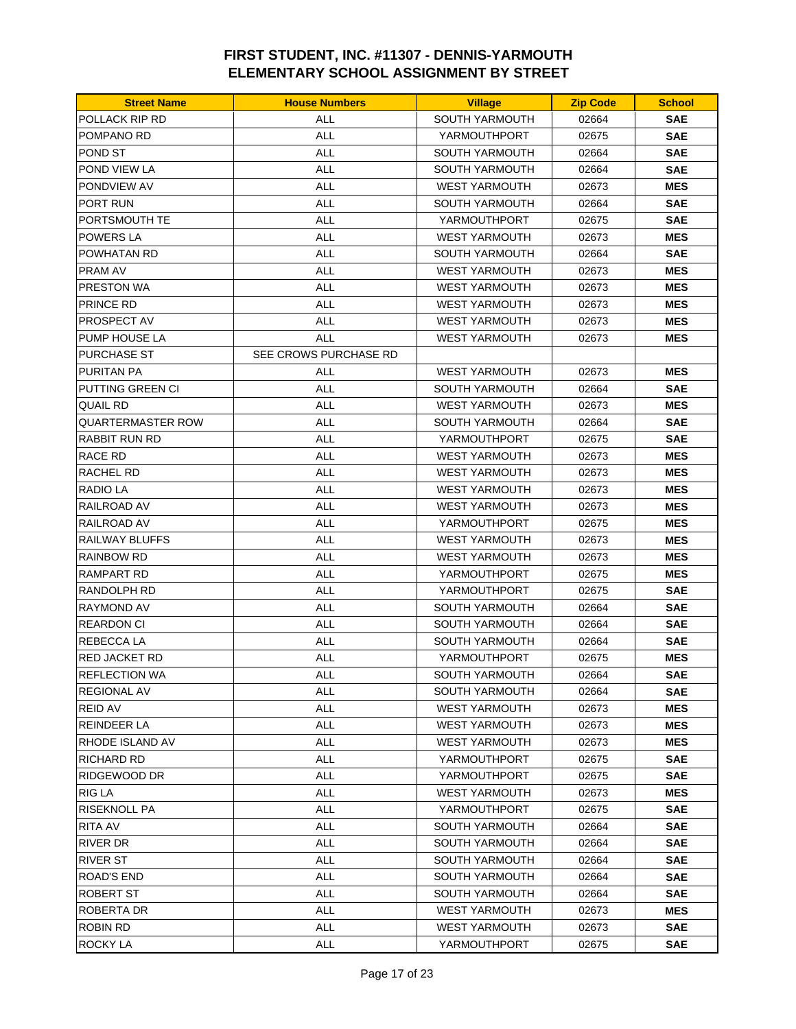| <b>Street Name</b> | <b>House Numbers</b>  | <b>Village</b>        | <b>Zip Code</b> | <b>School</b> |
|--------------------|-----------------------|-----------------------|-----------------|---------------|
| POLLACK RIP RD     | ALL                   | SOUTH YARMOUTH        | 02664           | <b>SAE</b>    |
| POMPANO RD         | <b>ALL</b>            | YARMOUTHPORT          | 02675           | <b>SAE</b>    |
| POND ST            | <b>ALL</b>            | <b>SOUTH YARMOUTH</b> | 02664           | <b>SAE</b>    |
| POND VIEW LA       | <b>ALL</b>            | <b>SOUTH YARMOUTH</b> | 02664           | <b>SAE</b>    |
| PONDVIEW AV        | <b>ALL</b>            | <b>WEST YARMOUTH</b>  | 02673           | <b>MES</b>    |
| PORT RUN           | <b>ALL</b>            | <b>SOUTH YARMOUTH</b> | 02664           | <b>SAE</b>    |
| PORTSMOUTH TE      | ALL                   | YARMOUTHPORT          | 02675           | <b>SAE</b>    |
| <b>POWERS LA</b>   | <b>ALL</b>            | <b>WEST YARMOUTH</b>  | 02673           | <b>MES</b>    |
| POWHATAN RD        | <b>ALL</b>            | <b>SOUTH YARMOUTH</b> | 02664           | <b>SAE</b>    |
| PRAM AV            | <b>ALL</b>            | <b>WEST YARMOUTH</b>  | 02673           | <b>MES</b>    |
| PRESTON WA         | <b>ALL</b>            | <b>WEST YARMOUTH</b>  | 02673           | <b>MES</b>    |
| PRINCE RD          | <b>ALL</b>            | <b>WEST YARMOUTH</b>  | 02673           | <b>MES</b>    |
| PROSPECT AV        | ALL                   | <b>WEST YARMOUTH</b>  | 02673           | <b>MES</b>    |
| PUMP HOUSE LA      | <b>ALL</b>            | <b>WEST YARMOUTH</b>  | 02673           | <b>MES</b>    |
| <b>PURCHASE ST</b> | SEE CROWS PURCHASE RD |                       |                 |               |
| PURITAN PA         | <b>ALL</b>            | <b>WEST YARMOUTH</b>  | 02673           | <b>MES</b>    |
| PUTTING GREEN CI   | <b>ALL</b>            | <b>SOUTH YARMOUTH</b> | 02664           | <b>SAE</b>    |
| QUAIL RD           | <b>ALL</b>            | <b>WEST YARMOUTH</b>  | 02673           | <b>MES</b>    |
| QUARTERMASTER ROW  | ALL                   | <b>SOUTH YARMOUTH</b> | 02664           | <b>SAE</b>    |
| RABBIT RUN RD      | <b>ALL</b>            | YARMOUTHPORT          | 02675           | <b>SAE</b>    |
| RACE RD            | <b>ALL</b>            | <b>WEST YARMOUTH</b>  | 02673           | <b>MES</b>    |
| RACHEL RD          | <b>ALL</b>            | <b>WEST YARMOUTH</b>  | 02673           | <b>MES</b>    |
| RADIO LA           | <b>ALL</b>            | <b>WEST YARMOUTH</b>  | 02673           | <b>MES</b>    |
| RAILROAD AV        | <b>ALL</b>            | <b>WEST YARMOUTH</b>  | 02673           | <b>MES</b>    |
| RAILROAD AV        | <b>ALL</b>            | YARMOUTHPORT          | 02675           | <b>MES</b>    |
| RAILWAY BLUFFS     | ALL                   | <b>WEST YARMOUTH</b>  | 02673           | <b>MES</b>    |
| RAINBOW RD         | <b>ALL</b>            | <b>WEST YARMOUTH</b>  | 02673           | <b>MES</b>    |
| RAMPART RD         | <b>ALL</b>            | YARMOUTHPORT          | 02675           | <b>MES</b>    |
| RANDOLPH RD        | <b>ALL</b>            | YARMOUTHPORT          | 02675           | <b>SAE</b>    |
| RAYMOND AV         | ALL                   | <b>SOUTH YARMOUTH</b> | 02664           | <b>SAE</b>    |
| REARDON CI         | <b>ALL</b>            | <b>SOUTH YARMOUTH</b> | 02664           | <b>SAE</b>    |
| <b>REBECCALA</b>   | <b>ALL</b>            | SOUTH YARMOUTH        | 02664           | <b>SAE</b>    |
| RED JACKET RD      | <b>ALL</b>            | YARMOUTHPORT          | 02675           | <b>MES</b>    |
| REFLECTION WA      | <b>ALL</b>            | SOUTH YARMOUTH        | 02664           | <b>SAE</b>    |
| <b>REGIONAL AV</b> | <b>ALL</b>            | SOUTH YARMOUTH        | 02664           | <b>SAE</b>    |
| <b>REID AV</b>     | ALL                   | WEST YARMOUTH         | 02673           | <b>MES</b>    |
| REINDEER LA        | <b>ALL</b>            | <b>WEST YARMOUTH</b>  | 02673           | <b>MES</b>    |
| RHODE ISLAND AV    | ALL                   | <b>WEST YARMOUTH</b>  | 02673           | <b>MES</b>    |
| <b>RICHARD RD</b>  | <b>ALL</b>            | YARMOUTHPORT          | 02675           | <b>SAE</b>    |
| RIDGEWOOD DR       | ALL                   | YARMOUTHPORT          | 02675           | <b>SAE</b>    |
| <b>RIG LA</b>      | <b>ALL</b>            | <b>WEST YARMOUTH</b>  | 02673           | <b>MES</b>    |
| RISEKNOLL PA       | ALL                   | YARMOUTHPORT          | 02675           | <b>SAE</b>    |
| RITA AV            | <b>ALL</b>            | <b>SOUTH YARMOUTH</b> | 02664           | <b>SAE</b>    |
| RIVER DR           | <b>ALL</b>            | <b>SOUTH YARMOUTH</b> | 02664           | <b>SAE</b>    |
| <b>RIVER ST</b>    | <b>ALL</b>            | <b>SOUTH YARMOUTH</b> | 02664           | <b>SAE</b>    |
| <b>ROAD'S END</b>  | ALL                   | <b>SOUTH YARMOUTH</b> | 02664           | <b>SAE</b>    |
| ROBERT ST          | <b>ALL</b>            | SOUTH YARMOUTH        | 02664           | <b>SAE</b>    |
| ROBERTA DR         | <b>ALL</b>            | <b>WEST YARMOUTH</b>  | 02673           | <b>MES</b>    |
| <b>ROBIN RD</b>    | ALL                   | <b>WEST YARMOUTH</b>  | 02673           | <b>SAE</b>    |
| ROCKY LA           | ALL                   | YARMOUTHPORT          | 02675           | <b>SAE</b>    |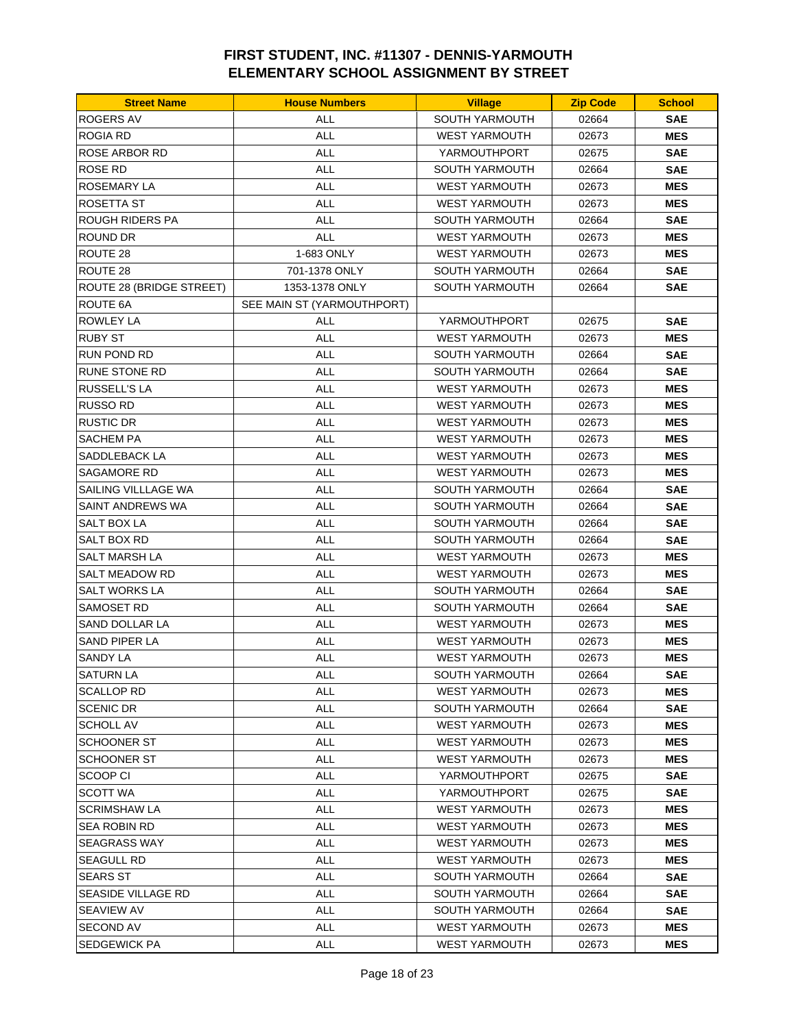| <b>Street Name</b>       | <b>House Numbers</b>       | <b>Village</b>        | <b>Zip Code</b> | <b>School</b> |
|--------------------------|----------------------------|-----------------------|-----------------|---------------|
| <b>ROGERS AV</b>         | <b>ALL</b>                 | <b>SOUTH YARMOUTH</b> | 02664           | <b>SAE</b>    |
| ROGIA RD                 | <b>ALL</b>                 | <b>WEST YARMOUTH</b>  | 02673           | <b>MES</b>    |
| <b>ROSE ARBOR RD</b>     | <b>ALL</b>                 | YARMOUTHPORT          | 02675           | <b>SAE</b>    |
| ROSE RD                  | <b>ALL</b>                 | <b>SOUTH YARMOUTH</b> | 02664           | <b>SAE</b>    |
| ROSEMARY LA              | <b>ALL</b>                 | <b>WEST YARMOUTH</b>  | 02673           | <b>MES</b>    |
| <b>ROSETTA ST</b>        | <b>ALL</b>                 | <b>WEST YARMOUTH</b>  | 02673           | <b>MES</b>    |
| ROUGH RIDERS PA          | <b>ALL</b>                 | <b>SOUTH YARMOUTH</b> | 02664           | SAE           |
| ROUND DR                 | <b>ALL</b>                 | <b>WEST YARMOUTH</b>  | 02673           | <b>MES</b>    |
| ROUTE 28                 | 1-683 ONLY                 | <b>WEST YARMOUTH</b>  | 02673           | <b>MES</b>    |
| ROUTE 28                 | 701-1378 ONLY              | SOUTH YARMOUTH        | 02664           | <b>SAE</b>    |
| ROUTE 28 (BRIDGE STREET) | 1353-1378 ONLY             | <b>SOUTH YARMOUTH</b> | 02664           | SAE           |
| ROUTE 6A                 | SEE MAIN ST (YARMOUTHPORT) |                       |                 |               |
| ROWLEY LA                | <b>ALL</b>                 | YARMOUTHPORT          | 02675           | <b>SAE</b>    |
| <b>RUBY ST</b>           | <b>ALL</b>                 | <b>WEST YARMOUTH</b>  | 02673           | <b>MES</b>    |
| <b>RUN POND RD</b>       | <b>ALL</b>                 | <b>SOUTH YARMOUTH</b> | 02664           | <b>SAE</b>    |
| <b>RUNE STONE RD</b>     | <b>ALL</b>                 | <b>SOUTH YARMOUTH</b> | 02664           | SAE           |
| <b>RUSSELL'S LA</b>      | <b>ALL</b>                 | <b>WEST YARMOUTH</b>  | 02673           | <b>MES</b>    |
| <b>RUSSO RD</b>          | ALL                        | <b>WEST YARMOUTH</b>  | 02673           | <b>MES</b>    |
| RUSTIC DR                | ALL                        | <b>WEST YARMOUTH</b>  | 02673           | <b>MES</b>    |
| SACHEM PA                | <b>ALL</b>                 | <b>WEST YARMOUTH</b>  | 02673           | <b>MES</b>    |
| SADDLEBACK LA            | <b>ALL</b>                 | <b>WEST YARMOUTH</b>  | 02673           | <b>MES</b>    |
| SAGAMORE RD              | ALL                        | <b>WEST YARMOUTH</b>  | 02673           | <b>MES</b>    |
| SAILING VILLLAGE WA      | <b>ALL</b>                 | <b>SOUTH YARMOUTH</b> | 02664           | SAE           |
| SAINT ANDREWS WA         | <b>ALL</b>                 | <b>SOUTH YARMOUTH</b> | 02664           | <b>SAE</b>    |
| SALT BOX LA              | ALL                        | <b>SOUTH YARMOUTH</b> | 02664           | SAE           |
| SALT BOX RD              | <b>ALL</b>                 | <b>SOUTH YARMOUTH</b> | 02664           | <b>SAE</b>    |
| SALT MARSH LA            | <b>ALL</b>                 | <b>WEST YARMOUTH</b>  | 02673           | <b>MES</b>    |
| SALT MEADOW RD           | <b>ALL</b>                 | <b>WEST YARMOUTH</b>  | 02673           | <b>MES</b>    |
| SALT WORKS LA            | <b>ALL</b>                 | <b>SOUTH YARMOUTH</b> | 02664           | SAE           |
| SAMOSET RD               | <b>ALL</b>                 | <b>SOUTH YARMOUTH</b> | 02664           | <b>SAE</b>    |
| <b>SAND DOLLAR LA</b>    | <b>ALL</b>                 | <b>WEST YARMOUTH</b>  | 02673           | <b>MES</b>    |
| SAND PIPER LA            | <b>ALL</b>                 | <b>WEST YARMOUTH</b>  | 02673           | <b>MES</b>    |
| <b>SANDY LA</b>          | <b>ALL</b>                 | <b>WEST YARMOUTH</b>  | 02673           | <b>MES</b>    |
| SATURN LA                | ALL                        | SOUTH YARMOUTH        | 02664           | <b>SAE</b>    |
| SCALLOP RD               | ALL                        | <b>WEST YARMOUTH</b>  | 02673           | <b>MES</b>    |
| <b>SCENIC DR</b>         | ALL                        | SOUTH YARMOUTH        | 02664           | <b>SAE</b>    |
| <b>SCHOLL AV</b>         | <b>ALL</b>                 | <b>WEST YARMOUTH</b>  | 02673           | <b>MES</b>    |
| SCHOONER ST              | ALL                        | <b>WEST YARMOUTH</b>  | 02673           | MES           |
| SCHOONER ST              | <b>ALL</b>                 | <b>WEST YARMOUTH</b>  | 02673           | MES           |
| SCOOP CI                 | ALL                        | YARMOUTHPORT          | 02675           | SAE           |
| SCOTT WA                 | ALL                        | YARMOUTHPORT          | 02675           | SAE           |
| <b>SCRIMSHAW LA</b>      | ALL                        | <b>WEST YARMOUTH</b>  | 02673           | MES           |
| SEA ROBIN RD             | <b>ALL</b>                 | <b>WEST YARMOUTH</b>  | 02673           | <b>MES</b>    |
| SEAGRASS WAY             | ALL                        | <b>WEST YARMOUTH</b>  | 02673           | MES           |
| SEAGULL RD               | ALL                        | <b>WEST YARMOUTH</b>  | 02673           | MES           |
| <b>SEARS ST</b>          | ALL                        | <b>SOUTH YARMOUTH</b> | 02664           | SAE           |
| SEASIDE VILLAGE RD       | <b>ALL</b>                 | SOUTH YARMOUTH        | 02664           | SAE           |
| <b>SEAVIEW AV</b>        | <b>ALL</b>                 | SOUTH YARMOUTH        | 02664           | SAE           |
| <b>SECOND AV</b>         | ALL                        | <b>WEST YARMOUTH</b>  | 02673           | <b>MES</b>    |
| SEDGEWICK PA             | ALL                        | <b>WEST YARMOUTH</b>  | 02673           | <b>MES</b>    |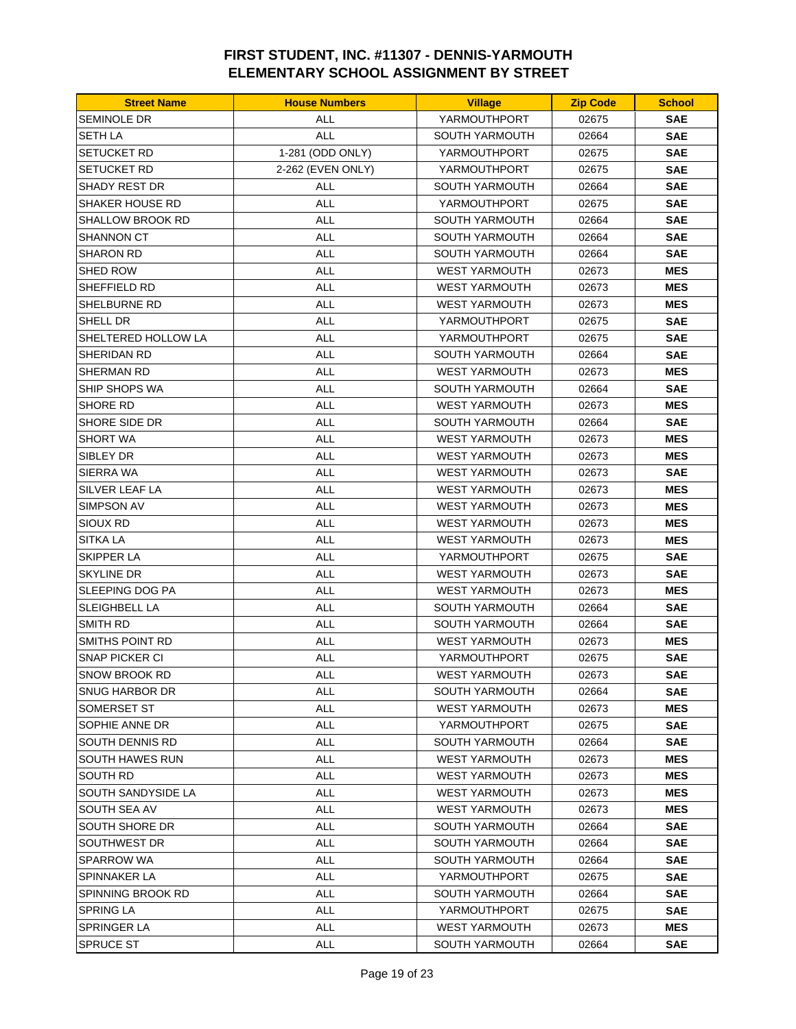| <b>SEMINOLE DR</b><br>YARMOUTHPORT<br>ALL<br>02675<br><b>SAE</b><br><b>ALL</b><br><b>SETH LA</b><br><b>SOUTH YARMOUTH</b><br><b>SAE</b><br>02664<br><b>SETUCKET RD</b><br>1-281 (ODD ONLY)<br><b>SAE</b><br>YARMOUTHPORT<br>02675<br>2-262 (EVEN ONLY)<br><b>SETUCKET RD</b><br>YARMOUTHPORT<br>02675<br><b>SAE</b><br><b>ALL</b><br><b>SAE</b><br>SHADY REST DR<br><b>SOUTH YARMOUTH</b><br>02664<br>SHAKER HOUSE RD<br><b>ALL</b><br>YARMOUTHPORT<br>02675<br><b>SAE</b><br>SHALLOW BROOK RD<br>ALL<br><b>SOUTH YARMOUTH</b><br>02664<br><b>SAE</b><br><b>ALL</b><br><b>SHANNON CT</b><br><b>SOUTH YARMOUTH</b><br>02664<br><b>SAE</b><br><b>SHARON RD</b><br><b>ALL</b><br>SOUTH YARMOUTH<br><b>SAE</b><br>02664<br><b>ALL</b><br>SHED ROW<br><b>WEST YARMOUTH</b><br>02673<br><b>MES</b><br><b>ALL</b><br><b>MES</b><br>SHEFFIELD RD<br><b>WEST YARMOUTH</b><br>02673<br>SHELBURNE RD<br><b>ALL</b><br><b>MES</b><br><b>WEST YARMOUTH</b><br>02673<br><b>ALL</b><br>SHELL DR<br>YARMOUTHPORT<br>02675<br><b>SAE</b><br><b>ALL</b><br><b>SAE</b><br>SHELTERED HOLLOW LA<br>YARMOUTHPORT<br>02675<br>SHERIDAN RD<br><b>ALL</b><br>SOUTH YARMOUTH<br>02664<br><b>SAE</b><br><b>ALL</b><br>SHERMAN RD<br><b>WEST YARMOUTH</b><br>02673<br><b>MES</b><br><b>ALL</b><br>SHIP SHOPS WA<br><b>SOUTH YARMOUTH</b><br>02664<br><b>SAE</b><br><b>ALL</b><br><b>MES</b><br>SHORE RD<br><b>WEST YARMOUTH</b><br>02673<br>SHORE SIDE DR<br><b>SAE</b><br>ALL<br>SOUTH YARMOUTH<br>02664<br><b>SHORT WA</b><br><b>ALL</b><br><b>MES</b><br><b>WEST YARMOUTH</b><br>02673<br>SIBLEY DR<br><b>ALL</b><br><b>WEST YARMOUTH</b><br><b>MES</b><br>02673<br>SIERRA WA<br><b>ALL</b><br><b>WEST YARMOUTH</b><br>02673<br><b>SAE</b><br><b>ALL</b><br><b>MES</b><br>SILVER LEAF LA<br><b>WEST YARMOUTH</b><br>02673<br><b>ALL</b><br>SIMPSON AV<br><b>WEST YARMOUTH</b><br>02673<br><b>MES</b><br><b>ALL</b><br><b>MES</b><br>Sioux Rd<br><b>WEST YARMOUTH</b><br>02673<br><b>SITKA LA</b><br>ALL<br><b>WEST YARMOUTH</b><br>02673<br><b>MES</b><br><b>SKIPPER LA</b><br><b>ALL</b><br>YARMOUTHPORT<br>02675<br><b>SAE</b><br><b>ALL</b><br><b>SAE</b><br>SKYLINE DR<br><b>WEST YARMOUTH</b><br>02673<br><b>ALL</b><br>SLEEPING DOG PA<br><b>WEST YARMOUTH</b><br>02673<br><b>MES</b><br>SLEIGHBELL LA<br>ALL<br><b>SOUTH YARMOUTH</b><br>02664<br><b>SAE</b><br>SMITH RD<br><b>ALL</b><br><b>SOUTH YARMOUTH</b><br>02664<br><b>SAE</b><br>SMITHS POINT RD<br><b>ALL</b><br><b>WEST YARMOUTH</b><br>02673<br><b>MES</b><br><b>SNAP PICKER CI</b><br><b>ALL</b><br>YARMOUTHPORT<br>02675<br><b>SAE</b><br><b>SAE</b><br>SNOW BROOK RD<br>ALL<br>WEST YARMOUTH<br>02673<br><b>ALL</b><br>SNUG HARBOR DR<br>SOUTH YARMOUTH<br>02664<br><b>SAE</b><br>ALL<br><b>MES</b><br><b>SOMERSET ST</b><br>WEST YARMOUTH<br>02673<br>SOPHIE ANNE DR<br><b>ALL</b><br>YARMOUTHPORT<br><b>SAE</b><br>02675<br>SOUTH DENNIS RD<br>ALL<br><b>SOUTH YARMOUTH</b><br>02664<br><b>SAE</b><br>SOUTH HAWES RUN<br><b>ALL</b><br><b>WEST YARMOUTH</b><br>02673<br><b>MES</b><br>ALL<br>SOUTH RD<br><b>WEST YARMOUTH</b><br>02673<br><b>MES</b><br>SOUTH SANDYSIDE LA<br><b>ALL</b><br><b>WEST YARMOUTH</b><br>02673<br><b>MES</b><br>ALL<br>SOUTH SEA AV<br><b>WEST YARMOUTH</b><br>02673<br><b>MES</b><br>SOUTH SHORE DR<br><b>ALL</b><br><b>SOUTH YARMOUTH</b><br>02664<br><b>SAE</b><br>SOUTHWEST DR<br><b>ALL</b><br>SOUTH YARMOUTH<br>02664<br><b>SAE</b> | <b>Street Name</b> | <b>House Numbers</b> | <b>Village</b> | <b>Zip Code</b> | <b>School</b> |
|---------------------------------------------------------------------------------------------------------------------------------------------------------------------------------------------------------------------------------------------------------------------------------------------------------------------------------------------------------------------------------------------------------------------------------------------------------------------------------------------------------------------------------------------------------------------------------------------------------------------------------------------------------------------------------------------------------------------------------------------------------------------------------------------------------------------------------------------------------------------------------------------------------------------------------------------------------------------------------------------------------------------------------------------------------------------------------------------------------------------------------------------------------------------------------------------------------------------------------------------------------------------------------------------------------------------------------------------------------------------------------------------------------------------------------------------------------------------------------------------------------------------------------------------------------------------------------------------------------------------------------------------------------------------------------------------------------------------------------------------------------------------------------------------------------------------------------------------------------------------------------------------------------------------------------------------------------------------------------------------------------------------------------------------------------------------------------------------------------------------------------------------------------------------------------------------------------------------------------------------------------------------------------------------------------------------------------------------------------------------------------------------------------------------------------------------------------------------------------------------------------------------------------------------------------------------------------------------------------------------------------------------------------------------------------------------------------------------------------------------------------------------------------------------------------------------------------------------------------------------------------------------------------------------------------------------------------------------------------------------------------------------------------------------------------------------------------------------------------------------------------------------------------------------------------------------------------------------------------------------------------------------------------------------------------------------------------------------------------------------------------------------------------------------|--------------------|----------------------|----------------|-----------------|---------------|
|                                                                                                                                                                                                                                                                                                                                                                                                                                                                                                                                                                                                                                                                                                                                                                                                                                                                                                                                                                                                                                                                                                                                                                                                                                                                                                                                                                                                                                                                                                                                                                                                                                                                                                                                                                                                                                                                                                                                                                                                                                                                                                                                                                                                                                                                                                                                                                                                                                                                                                                                                                                                                                                                                                                                                                                                                                                                                                                                                                                                                                                                                                                                                                                                                                                                                                                                                                                                                     |                    |                      |                |                 |               |
|                                                                                                                                                                                                                                                                                                                                                                                                                                                                                                                                                                                                                                                                                                                                                                                                                                                                                                                                                                                                                                                                                                                                                                                                                                                                                                                                                                                                                                                                                                                                                                                                                                                                                                                                                                                                                                                                                                                                                                                                                                                                                                                                                                                                                                                                                                                                                                                                                                                                                                                                                                                                                                                                                                                                                                                                                                                                                                                                                                                                                                                                                                                                                                                                                                                                                                                                                                                                                     |                    |                      |                |                 |               |
|                                                                                                                                                                                                                                                                                                                                                                                                                                                                                                                                                                                                                                                                                                                                                                                                                                                                                                                                                                                                                                                                                                                                                                                                                                                                                                                                                                                                                                                                                                                                                                                                                                                                                                                                                                                                                                                                                                                                                                                                                                                                                                                                                                                                                                                                                                                                                                                                                                                                                                                                                                                                                                                                                                                                                                                                                                                                                                                                                                                                                                                                                                                                                                                                                                                                                                                                                                                                                     |                    |                      |                |                 |               |
|                                                                                                                                                                                                                                                                                                                                                                                                                                                                                                                                                                                                                                                                                                                                                                                                                                                                                                                                                                                                                                                                                                                                                                                                                                                                                                                                                                                                                                                                                                                                                                                                                                                                                                                                                                                                                                                                                                                                                                                                                                                                                                                                                                                                                                                                                                                                                                                                                                                                                                                                                                                                                                                                                                                                                                                                                                                                                                                                                                                                                                                                                                                                                                                                                                                                                                                                                                                                                     |                    |                      |                |                 |               |
|                                                                                                                                                                                                                                                                                                                                                                                                                                                                                                                                                                                                                                                                                                                                                                                                                                                                                                                                                                                                                                                                                                                                                                                                                                                                                                                                                                                                                                                                                                                                                                                                                                                                                                                                                                                                                                                                                                                                                                                                                                                                                                                                                                                                                                                                                                                                                                                                                                                                                                                                                                                                                                                                                                                                                                                                                                                                                                                                                                                                                                                                                                                                                                                                                                                                                                                                                                                                                     |                    |                      |                |                 |               |
|                                                                                                                                                                                                                                                                                                                                                                                                                                                                                                                                                                                                                                                                                                                                                                                                                                                                                                                                                                                                                                                                                                                                                                                                                                                                                                                                                                                                                                                                                                                                                                                                                                                                                                                                                                                                                                                                                                                                                                                                                                                                                                                                                                                                                                                                                                                                                                                                                                                                                                                                                                                                                                                                                                                                                                                                                                                                                                                                                                                                                                                                                                                                                                                                                                                                                                                                                                                                                     |                    |                      |                |                 |               |
|                                                                                                                                                                                                                                                                                                                                                                                                                                                                                                                                                                                                                                                                                                                                                                                                                                                                                                                                                                                                                                                                                                                                                                                                                                                                                                                                                                                                                                                                                                                                                                                                                                                                                                                                                                                                                                                                                                                                                                                                                                                                                                                                                                                                                                                                                                                                                                                                                                                                                                                                                                                                                                                                                                                                                                                                                                                                                                                                                                                                                                                                                                                                                                                                                                                                                                                                                                                                                     |                    |                      |                |                 |               |
|                                                                                                                                                                                                                                                                                                                                                                                                                                                                                                                                                                                                                                                                                                                                                                                                                                                                                                                                                                                                                                                                                                                                                                                                                                                                                                                                                                                                                                                                                                                                                                                                                                                                                                                                                                                                                                                                                                                                                                                                                                                                                                                                                                                                                                                                                                                                                                                                                                                                                                                                                                                                                                                                                                                                                                                                                                                                                                                                                                                                                                                                                                                                                                                                                                                                                                                                                                                                                     |                    |                      |                |                 |               |
|                                                                                                                                                                                                                                                                                                                                                                                                                                                                                                                                                                                                                                                                                                                                                                                                                                                                                                                                                                                                                                                                                                                                                                                                                                                                                                                                                                                                                                                                                                                                                                                                                                                                                                                                                                                                                                                                                                                                                                                                                                                                                                                                                                                                                                                                                                                                                                                                                                                                                                                                                                                                                                                                                                                                                                                                                                                                                                                                                                                                                                                                                                                                                                                                                                                                                                                                                                                                                     |                    |                      |                |                 |               |
|                                                                                                                                                                                                                                                                                                                                                                                                                                                                                                                                                                                                                                                                                                                                                                                                                                                                                                                                                                                                                                                                                                                                                                                                                                                                                                                                                                                                                                                                                                                                                                                                                                                                                                                                                                                                                                                                                                                                                                                                                                                                                                                                                                                                                                                                                                                                                                                                                                                                                                                                                                                                                                                                                                                                                                                                                                                                                                                                                                                                                                                                                                                                                                                                                                                                                                                                                                                                                     |                    |                      |                |                 |               |
|                                                                                                                                                                                                                                                                                                                                                                                                                                                                                                                                                                                                                                                                                                                                                                                                                                                                                                                                                                                                                                                                                                                                                                                                                                                                                                                                                                                                                                                                                                                                                                                                                                                                                                                                                                                                                                                                                                                                                                                                                                                                                                                                                                                                                                                                                                                                                                                                                                                                                                                                                                                                                                                                                                                                                                                                                                                                                                                                                                                                                                                                                                                                                                                                                                                                                                                                                                                                                     |                    |                      |                |                 |               |
|                                                                                                                                                                                                                                                                                                                                                                                                                                                                                                                                                                                                                                                                                                                                                                                                                                                                                                                                                                                                                                                                                                                                                                                                                                                                                                                                                                                                                                                                                                                                                                                                                                                                                                                                                                                                                                                                                                                                                                                                                                                                                                                                                                                                                                                                                                                                                                                                                                                                                                                                                                                                                                                                                                                                                                                                                                                                                                                                                                                                                                                                                                                                                                                                                                                                                                                                                                                                                     |                    |                      |                |                 |               |
|                                                                                                                                                                                                                                                                                                                                                                                                                                                                                                                                                                                                                                                                                                                                                                                                                                                                                                                                                                                                                                                                                                                                                                                                                                                                                                                                                                                                                                                                                                                                                                                                                                                                                                                                                                                                                                                                                                                                                                                                                                                                                                                                                                                                                                                                                                                                                                                                                                                                                                                                                                                                                                                                                                                                                                                                                                                                                                                                                                                                                                                                                                                                                                                                                                                                                                                                                                                                                     |                    |                      |                |                 |               |
|                                                                                                                                                                                                                                                                                                                                                                                                                                                                                                                                                                                                                                                                                                                                                                                                                                                                                                                                                                                                                                                                                                                                                                                                                                                                                                                                                                                                                                                                                                                                                                                                                                                                                                                                                                                                                                                                                                                                                                                                                                                                                                                                                                                                                                                                                                                                                                                                                                                                                                                                                                                                                                                                                                                                                                                                                                                                                                                                                                                                                                                                                                                                                                                                                                                                                                                                                                                                                     |                    |                      |                |                 |               |
|                                                                                                                                                                                                                                                                                                                                                                                                                                                                                                                                                                                                                                                                                                                                                                                                                                                                                                                                                                                                                                                                                                                                                                                                                                                                                                                                                                                                                                                                                                                                                                                                                                                                                                                                                                                                                                                                                                                                                                                                                                                                                                                                                                                                                                                                                                                                                                                                                                                                                                                                                                                                                                                                                                                                                                                                                                                                                                                                                                                                                                                                                                                                                                                                                                                                                                                                                                                                                     |                    |                      |                |                 |               |
|                                                                                                                                                                                                                                                                                                                                                                                                                                                                                                                                                                                                                                                                                                                                                                                                                                                                                                                                                                                                                                                                                                                                                                                                                                                                                                                                                                                                                                                                                                                                                                                                                                                                                                                                                                                                                                                                                                                                                                                                                                                                                                                                                                                                                                                                                                                                                                                                                                                                                                                                                                                                                                                                                                                                                                                                                                                                                                                                                                                                                                                                                                                                                                                                                                                                                                                                                                                                                     |                    |                      |                |                 |               |
|                                                                                                                                                                                                                                                                                                                                                                                                                                                                                                                                                                                                                                                                                                                                                                                                                                                                                                                                                                                                                                                                                                                                                                                                                                                                                                                                                                                                                                                                                                                                                                                                                                                                                                                                                                                                                                                                                                                                                                                                                                                                                                                                                                                                                                                                                                                                                                                                                                                                                                                                                                                                                                                                                                                                                                                                                                                                                                                                                                                                                                                                                                                                                                                                                                                                                                                                                                                                                     |                    |                      |                |                 |               |
|                                                                                                                                                                                                                                                                                                                                                                                                                                                                                                                                                                                                                                                                                                                                                                                                                                                                                                                                                                                                                                                                                                                                                                                                                                                                                                                                                                                                                                                                                                                                                                                                                                                                                                                                                                                                                                                                                                                                                                                                                                                                                                                                                                                                                                                                                                                                                                                                                                                                                                                                                                                                                                                                                                                                                                                                                                                                                                                                                                                                                                                                                                                                                                                                                                                                                                                                                                                                                     |                    |                      |                |                 |               |
|                                                                                                                                                                                                                                                                                                                                                                                                                                                                                                                                                                                                                                                                                                                                                                                                                                                                                                                                                                                                                                                                                                                                                                                                                                                                                                                                                                                                                                                                                                                                                                                                                                                                                                                                                                                                                                                                                                                                                                                                                                                                                                                                                                                                                                                                                                                                                                                                                                                                                                                                                                                                                                                                                                                                                                                                                                                                                                                                                                                                                                                                                                                                                                                                                                                                                                                                                                                                                     |                    |                      |                |                 |               |
|                                                                                                                                                                                                                                                                                                                                                                                                                                                                                                                                                                                                                                                                                                                                                                                                                                                                                                                                                                                                                                                                                                                                                                                                                                                                                                                                                                                                                                                                                                                                                                                                                                                                                                                                                                                                                                                                                                                                                                                                                                                                                                                                                                                                                                                                                                                                                                                                                                                                                                                                                                                                                                                                                                                                                                                                                                                                                                                                                                                                                                                                                                                                                                                                                                                                                                                                                                                                                     |                    |                      |                |                 |               |
|                                                                                                                                                                                                                                                                                                                                                                                                                                                                                                                                                                                                                                                                                                                                                                                                                                                                                                                                                                                                                                                                                                                                                                                                                                                                                                                                                                                                                                                                                                                                                                                                                                                                                                                                                                                                                                                                                                                                                                                                                                                                                                                                                                                                                                                                                                                                                                                                                                                                                                                                                                                                                                                                                                                                                                                                                                                                                                                                                                                                                                                                                                                                                                                                                                                                                                                                                                                                                     |                    |                      |                |                 |               |
|                                                                                                                                                                                                                                                                                                                                                                                                                                                                                                                                                                                                                                                                                                                                                                                                                                                                                                                                                                                                                                                                                                                                                                                                                                                                                                                                                                                                                                                                                                                                                                                                                                                                                                                                                                                                                                                                                                                                                                                                                                                                                                                                                                                                                                                                                                                                                                                                                                                                                                                                                                                                                                                                                                                                                                                                                                                                                                                                                                                                                                                                                                                                                                                                                                                                                                                                                                                                                     |                    |                      |                |                 |               |
|                                                                                                                                                                                                                                                                                                                                                                                                                                                                                                                                                                                                                                                                                                                                                                                                                                                                                                                                                                                                                                                                                                                                                                                                                                                                                                                                                                                                                                                                                                                                                                                                                                                                                                                                                                                                                                                                                                                                                                                                                                                                                                                                                                                                                                                                                                                                                                                                                                                                                                                                                                                                                                                                                                                                                                                                                                                                                                                                                                                                                                                                                                                                                                                                                                                                                                                                                                                                                     |                    |                      |                |                 |               |
|                                                                                                                                                                                                                                                                                                                                                                                                                                                                                                                                                                                                                                                                                                                                                                                                                                                                                                                                                                                                                                                                                                                                                                                                                                                                                                                                                                                                                                                                                                                                                                                                                                                                                                                                                                                                                                                                                                                                                                                                                                                                                                                                                                                                                                                                                                                                                                                                                                                                                                                                                                                                                                                                                                                                                                                                                                                                                                                                                                                                                                                                                                                                                                                                                                                                                                                                                                                                                     |                    |                      |                |                 |               |
|                                                                                                                                                                                                                                                                                                                                                                                                                                                                                                                                                                                                                                                                                                                                                                                                                                                                                                                                                                                                                                                                                                                                                                                                                                                                                                                                                                                                                                                                                                                                                                                                                                                                                                                                                                                                                                                                                                                                                                                                                                                                                                                                                                                                                                                                                                                                                                                                                                                                                                                                                                                                                                                                                                                                                                                                                                                                                                                                                                                                                                                                                                                                                                                                                                                                                                                                                                                                                     |                    |                      |                |                 |               |
|                                                                                                                                                                                                                                                                                                                                                                                                                                                                                                                                                                                                                                                                                                                                                                                                                                                                                                                                                                                                                                                                                                                                                                                                                                                                                                                                                                                                                                                                                                                                                                                                                                                                                                                                                                                                                                                                                                                                                                                                                                                                                                                                                                                                                                                                                                                                                                                                                                                                                                                                                                                                                                                                                                                                                                                                                                                                                                                                                                                                                                                                                                                                                                                                                                                                                                                                                                                                                     |                    |                      |                |                 |               |
|                                                                                                                                                                                                                                                                                                                                                                                                                                                                                                                                                                                                                                                                                                                                                                                                                                                                                                                                                                                                                                                                                                                                                                                                                                                                                                                                                                                                                                                                                                                                                                                                                                                                                                                                                                                                                                                                                                                                                                                                                                                                                                                                                                                                                                                                                                                                                                                                                                                                                                                                                                                                                                                                                                                                                                                                                                                                                                                                                                                                                                                                                                                                                                                                                                                                                                                                                                                                                     |                    |                      |                |                 |               |
|                                                                                                                                                                                                                                                                                                                                                                                                                                                                                                                                                                                                                                                                                                                                                                                                                                                                                                                                                                                                                                                                                                                                                                                                                                                                                                                                                                                                                                                                                                                                                                                                                                                                                                                                                                                                                                                                                                                                                                                                                                                                                                                                                                                                                                                                                                                                                                                                                                                                                                                                                                                                                                                                                                                                                                                                                                                                                                                                                                                                                                                                                                                                                                                                                                                                                                                                                                                                                     |                    |                      |                |                 |               |
|                                                                                                                                                                                                                                                                                                                                                                                                                                                                                                                                                                                                                                                                                                                                                                                                                                                                                                                                                                                                                                                                                                                                                                                                                                                                                                                                                                                                                                                                                                                                                                                                                                                                                                                                                                                                                                                                                                                                                                                                                                                                                                                                                                                                                                                                                                                                                                                                                                                                                                                                                                                                                                                                                                                                                                                                                                                                                                                                                                                                                                                                                                                                                                                                                                                                                                                                                                                                                     |                    |                      |                |                 |               |
|                                                                                                                                                                                                                                                                                                                                                                                                                                                                                                                                                                                                                                                                                                                                                                                                                                                                                                                                                                                                                                                                                                                                                                                                                                                                                                                                                                                                                                                                                                                                                                                                                                                                                                                                                                                                                                                                                                                                                                                                                                                                                                                                                                                                                                                                                                                                                                                                                                                                                                                                                                                                                                                                                                                                                                                                                                                                                                                                                                                                                                                                                                                                                                                                                                                                                                                                                                                                                     |                    |                      |                |                 |               |
|                                                                                                                                                                                                                                                                                                                                                                                                                                                                                                                                                                                                                                                                                                                                                                                                                                                                                                                                                                                                                                                                                                                                                                                                                                                                                                                                                                                                                                                                                                                                                                                                                                                                                                                                                                                                                                                                                                                                                                                                                                                                                                                                                                                                                                                                                                                                                                                                                                                                                                                                                                                                                                                                                                                                                                                                                                                                                                                                                                                                                                                                                                                                                                                                                                                                                                                                                                                                                     |                    |                      |                |                 |               |
|                                                                                                                                                                                                                                                                                                                                                                                                                                                                                                                                                                                                                                                                                                                                                                                                                                                                                                                                                                                                                                                                                                                                                                                                                                                                                                                                                                                                                                                                                                                                                                                                                                                                                                                                                                                                                                                                                                                                                                                                                                                                                                                                                                                                                                                                                                                                                                                                                                                                                                                                                                                                                                                                                                                                                                                                                                                                                                                                                                                                                                                                                                                                                                                                                                                                                                                                                                                                                     |                    |                      |                |                 |               |
|                                                                                                                                                                                                                                                                                                                                                                                                                                                                                                                                                                                                                                                                                                                                                                                                                                                                                                                                                                                                                                                                                                                                                                                                                                                                                                                                                                                                                                                                                                                                                                                                                                                                                                                                                                                                                                                                                                                                                                                                                                                                                                                                                                                                                                                                                                                                                                                                                                                                                                                                                                                                                                                                                                                                                                                                                                                                                                                                                                                                                                                                                                                                                                                                                                                                                                                                                                                                                     |                    |                      |                |                 |               |
|                                                                                                                                                                                                                                                                                                                                                                                                                                                                                                                                                                                                                                                                                                                                                                                                                                                                                                                                                                                                                                                                                                                                                                                                                                                                                                                                                                                                                                                                                                                                                                                                                                                                                                                                                                                                                                                                                                                                                                                                                                                                                                                                                                                                                                                                                                                                                                                                                                                                                                                                                                                                                                                                                                                                                                                                                                                                                                                                                                                                                                                                                                                                                                                                                                                                                                                                                                                                                     |                    |                      |                |                 |               |
|                                                                                                                                                                                                                                                                                                                                                                                                                                                                                                                                                                                                                                                                                                                                                                                                                                                                                                                                                                                                                                                                                                                                                                                                                                                                                                                                                                                                                                                                                                                                                                                                                                                                                                                                                                                                                                                                                                                                                                                                                                                                                                                                                                                                                                                                                                                                                                                                                                                                                                                                                                                                                                                                                                                                                                                                                                                                                                                                                                                                                                                                                                                                                                                                                                                                                                                                                                                                                     |                    |                      |                |                 |               |
|                                                                                                                                                                                                                                                                                                                                                                                                                                                                                                                                                                                                                                                                                                                                                                                                                                                                                                                                                                                                                                                                                                                                                                                                                                                                                                                                                                                                                                                                                                                                                                                                                                                                                                                                                                                                                                                                                                                                                                                                                                                                                                                                                                                                                                                                                                                                                                                                                                                                                                                                                                                                                                                                                                                                                                                                                                                                                                                                                                                                                                                                                                                                                                                                                                                                                                                                                                                                                     |                    |                      |                |                 |               |
|                                                                                                                                                                                                                                                                                                                                                                                                                                                                                                                                                                                                                                                                                                                                                                                                                                                                                                                                                                                                                                                                                                                                                                                                                                                                                                                                                                                                                                                                                                                                                                                                                                                                                                                                                                                                                                                                                                                                                                                                                                                                                                                                                                                                                                                                                                                                                                                                                                                                                                                                                                                                                                                                                                                                                                                                                                                                                                                                                                                                                                                                                                                                                                                                                                                                                                                                                                                                                     |                    |                      |                |                 |               |
|                                                                                                                                                                                                                                                                                                                                                                                                                                                                                                                                                                                                                                                                                                                                                                                                                                                                                                                                                                                                                                                                                                                                                                                                                                                                                                                                                                                                                                                                                                                                                                                                                                                                                                                                                                                                                                                                                                                                                                                                                                                                                                                                                                                                                                                                                                                                                                                                                                                                                                                                                                                                                                                                                                                                                                                                                                                                                                                                                                                                                                                                                                                                                                                                                                                                                                                                                                                                                     |                    |                      |                |                 |               |
|                                                                                                                                                                                                                                                                                                                                                                                                                                                                                                                                                                                                                                                                                                                                                                                                                                                                                                                                                                                                                                                                                                                                                                                                                                                                                                                                                                                                                                                                                                                                                                                                                                                                                                                                                                                                                                                                                                                                                                                                                                                                                                                                                                                                                                                                                                                                                                                                                                                                                                                                                                                                                                                                                                                                                                                                                                                                                                                                                                                                                                                                                                                                                                                                                                                                                                                                                                                                                     |                    |                      |                |                 |               |
|                                                                                                                                                                                                                                                                                                                                                                                                                                                                                                                                                                                                                                                                                                                                                                                                                                                                                                                                                                                                                                                                                                                                                                                                                                                                                                                                                                                                                                                                                                                                                                                                                                                                                                                                                                                                                                                                                                                                                                                                                                                                                                                                                                                                                                                                                                                                                                                                                                                                                                                                                                                                                                                                                                                                                                                                                                                                                                                                                                                                                                                                                                                                                                                                                                                                                                                                                                                                                     |                    |                      |                |                 |               |
|                                                                                                                                                                                                                                                                                                                                                                                                                                                                                                                                                                                                                                                                                                                                                                                                                                                                                                                                                                                                                                                                                                                                                                                                                                                                                                                                                                                                                                                                                                                                                                                                                                                                                                                                                                                                                                                                                                                                                                                                                                                                                                                                                                                                                                                                                                                                                                                                                                                                                                                                                                                                                                                                                                                                                                                                                                                                                                                                                                                                                                                                                                                                                                                                                                                                                                                                                                                                                     |                    |                      |                |                 |               |
|                                                                                                                                                                                                                                                                                                                                                                                                                                                                                                                                                                                                                                                                                                                                                                                                                                                                                                                                                                                                                                                                                                                                                                                                                                                                                                                                                                                                                                                                                                                                                                                                                                                                                                                                                                                                                                                                                                                                                                                                                                                                                                                                                                                                                                                                                                                                                                                                                                                                                                                                                                                                                                                                                                                                                                                                                                                                                                                                                                                                                                                                                                                                                                                                                                                                                                                                                                                                                     |                    |                      |                |                 |               |
|                                                                                                                                                                                                                                                                                                                                                                                                                                                                                                                                                                                                                                                                                                                                                                                                                                                                                                                                                                                                                                                                                                                                                                                                                                                                                                                                                                                                                                                                                                                                                                                                                                                                                                                                                                                                                                                                                                                                                                                                                                                                                                                                                                                                                                                                                                                                                                                                                                                                                                                                                                                                                                                                                                                                                                                                                                                                                                                                                                                                                                                                                                                                                                                                                                                                                                                                                                                                                     |                    |                      |                |                 |               |
|                                                                                                                                                                                                                                                                                                                                                                                                                                                                                                                                                                                                                                                                                                                                                                                                                                                                                                                                                                                                                                                                                                                                                                                                                                                                                                                                                                                                                                                                                                                                                                                                                                                                                                                                                                                                                                                                                                                                                                                                                                                                                                                                                                                                                                                                                                                                                                                                                                                                                                                                                                                                                                                                                                                                                                                                                                                                                                                                                                                                                                                                                                                                                                                                                                                                                                                                                                                                                     |                    |                      |                |                 |               |
| SPARROW WA<br><b>ALL</b><br><b>SOUTH YARMOUTH</b><br><b>SAE</b><br>02664                                                                                                                                                                                                                                                                                                                                                                                                                                                                                                                                                                                                                                                                                                                                                                                                                                                                                                                                                                                                                                                                                                                                                                                                                                                                                                                                                                                                                                                                                                                                                                                                                                                                                                                                                                                                                                                                                                                                                                                                                                                                                                                                                                                                                                                                                                                                                                                                                                                                                                                                                                                                                                                                                                                                                                                                                                                                                                                                                                                                                                                                                                                                                                                                                                                                                                                                            |                    |                      |                |                 |               |
| ALL<br><b>SAE</b><br>SPINNAKER LA<br>YARMOUTHPORT<br>02675                                                                                                                                                                                                                                                                                                                                                                                                                                                                                                                                                                                                                                                                                                                                                                                                                                                                                                                                                                                                                                                                                                                                                                                                                                                                                                                                                                                                                                                                                                                                                                                                                                                                                                                                                                                                                                                                                                                                                                                                                                                                                                                                                                                                                                                                                                                                                                                                                                                                                                                                                                                                                                                                                                                                                                                                                                                                                                                                                                                                                                                                                                                                                                                                                                                                                                                                                          |                    |                      |                |                 |               |
| <b>ALL</b><br>SPINNING BROOK RD<br>SOUTH YARMOUTH<br>02664<br><b>SAE</b>                                                                                                                                                                                                                                                                                                                                                                                                                                                                                                                                                                                                                                                                                                                                                                                                                                                                                                                                                                                                                                                                                                                                                                                                                                                                                                                                                                                                                                                                                                                                                                                                                                                                                                                                                                                                                                                                                                                                                                                                                                                                                                                                                                                                                                                                                                                                                                                                                                                                                                                                                                                                                                                                                                                                                                                                                                                                                                                                                                                                                                                                                                                                                                                                                                                                                                                                            |                    |                      |                |                 |               |
| <b>SPRING LA</b><br><b>ALL</b><br><b>SAE</b><br>YARMOUTHPORT<br>02675                                                                                                                                                                                                                                                                                                                                                                                                                                                                                                                                                                                                                                                                                                                                                                                                                                                                                                                                                                                                                                                                                                                                                                                                                                                                                                                                                                                                                                                                                                                                                                                                                                                                                                                                                                                                                                                                                                                                                                                                                                                                                                                                                                                                                                                                                                                                                                                                                                                                                                                                                                                                                                                                                                                                                                                                                                                                                                                                                                                                                                                                                                                                                                                                                                                                                                                                               |                    |                      |                |                 |               |
| ALL<br>SPRINGER LA<br><b>WEST YARMOUTH</b><br>02673<br><b>MES</b>                                                                                                                                                                                                                                                                                                                                                                                                                                                                                                                                                                                                                                                                                                                                                                                                                                                                                                                                                                                                                                                                                                                                                                                                                                                                                                                                                                                                                                                                                                                                                                                                                                                                                                                                                                                                                                                                                                                                                                                                                                                                                                                                                                                                                                                                                                                                                                                                                                                                                                                                                                                                                                                                                                                                                                                                                                                                                                                                                                                                                                                                                                                                                                                                                                                                                                                                                   |                    |                      |                |                 |               |
| SPRUCE ST<br><b>SAE</b><br>ALL<br>SOUTH YARMOUTH<br>02664                                                                                                                                                                                                                                                                                                                                                                                                                                                                                                                                                                                                                                                                                                                                                                                                                                                                                                                                                                                                                                                                                                                                                                                                                                                                                                                                                                                                                                                                                                                                                                                                                                                                                                                                                                                                                                                                                                                                                                                                                                                                                                                                                                                                                                                                                                                                                                                                                                                                                                                                                                                                                                                                                                                                                                                                                                                                                                                                                                                                                                                                                                                                                                                                                                                                                                                                                           |                    |                      |                |                 |               |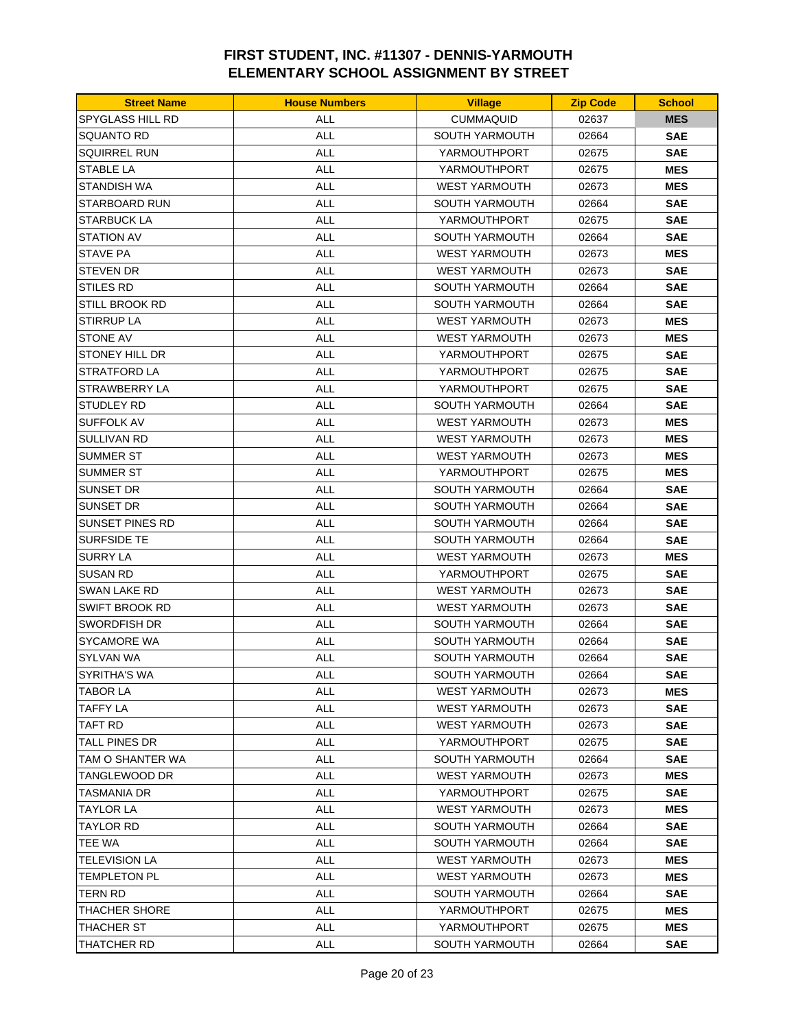| <b>Street Name</b>      | <b>House Numbers</b> | <b>Village</b>        | <b>Zip Code</b> | <b>School</b> |
|-------------------------|----------------------|-----------------------|-----------------|---------------|
| <b>SPYGLASS HILL RD</b> | <b>ALL</b>           | <b>CUMMAQUID</b>      | 02637           | <b>MES</b>    |
| SQUANTO RD              | <b>ALL</b>           | <b>SOUTH YARMOUTH</b> | 02664           | <b>SAE</b>    |
| <b>SQUIRREL RUN</b>     | <b>ALL</b>           | YARMOUTHPORT          | 02675           | <b>SAE</b>    |
| <b>STABLE LA</b>        | <b>ALL</b>           | YARMOUTHPORT          | 02675           | <b>MES</b>    |
| STANDISH WA             | <b>ALL</b>           | <b>WEST YARMOUTH</b>  | 02673           | <b>MES</b>    |
| <b>STARBOARD RUN</b>    | ALL                  | SOUTH YARMOUTH        | 02664           | <b>SAE</b>    |
| STARBUCK LA             | ALL                  | YARMOUTHPORT          | 02675           | <b>SAE</b>    |
| STATION AV              | <b>ALL</b>           | <b>SOUTH YARMOUTH</b> | 02664           | <b>SAE</b>    |
| <b>STAVE PA</b>         | <b>ALL</b>           | <b>WEST YARMOUTH</b>  | 02673           | <b>MES</b>    |
| STEVEN DR               | ALL                  | <b>WEST YARMOUTH</b>  | 02673           | <b>SAE</b>    |
| <b>STILES RD</b>        | <b>ALL</b>           | <b>SOUTH YARMOUTH</b> | 02664           | <b>SAE</b>    |
| STILL BROOK RD          | ALL                  | <b>SOUTH YARMOUTH</b> | 02664           | <b>SAE</b>    |
| STIRRUP LA              | ALL                  | <b>WEST YARMOUTH</b>  | 02673           | <b>MES</b>    |
| <b>STONE AV</b>         | <b>ALL</b>           | <b>WEST YARMOUTH</b>  | 02673           | <b>MES</b>    |
| STONEY HILL DR          | <b>ALL</b>           | YARMOUTHPORT          | 02675           | <b>SAE</b>    |
| STRATFORD LA            | ALL                  | YARMOUTHPORT          | 02675           | <b>SAE</b>    |
| STRAWBERRY LA           | <b>ALL</b>           | YARMOUTHPORT          | 02675           | <b>SAE</b>    |
| <b>STUDLEY RD</b>       | ALL                  | <b>SOUTH YARMOUTH</b> | 02664           | <b>SAE</b>    |
| SUFFOLK AV              | ALL                  | <b>WEST YARMOUTH</b>  | 02673           | <b>MES</b>    |
| SULLIVAN RD             | ALL                  | <b>WEST YARMOUTH</b>  | 02673           | <b>MES</b>    |
| SUMMER ST               | ALL                  | <b>WEST YARMOUTH</b>  | 02673           | <b>MES</b>    |
| SUMMER ST               | <b>ALL</b>           | YARMOUTHPORT          | 02675           | <b>MES</b>    |
| SUNSET DR               | <b>ALL</b>           | <b>SOUTH YARMOUTH</b> | 02664           | <b>SAE</b>    |
| <b>SUNSET DR</b>        | <b>ALL</b>           | <b>SOUTH YARMOUTH</b> | 02664           | <b>SAE</b>    |
| <b>SUNSET PINES RD</b>  | <b>ALL</b>           | <b>SOUTH YARMOUTH</b> | 02664           | <b>SAE</b>    |
| SURFSIDE TE             | ALL                  | <b>SOUTH YARMOUTH</b> | 02664           | <b>SAE</b>    |
| <b>SURRY LA</b>         | <b>ALL</b>           | <b>WEST YARMOUTH</b>  | 02673           | <b>MES</b>    |
| <b>SUSAN RD</b>         | <b>ALL</b>           | YARMOUTHPORT          | 02675           | <b>SAE</b>    |
| SWAN LAKE RD            | ALL                  | <b>WEST YARMOUTH</b>  | 02673           | <b>SAE</b>    |
| SWIFT BROOK RD          | <b>ALL</b>           | <b>WEST YARMOUTH</b>  | 02673           | <b>SAE</b>    |
| SWORDFISH DR            | ALL                  | <b>SOUTH YARMOUTH</b> | 02664           | <b>SAE</b>    |
| SYCAMORE WA             | ALL                  | <b>SOUTH YARMOUTH</b> | 02664           | <b>SAE</b>    |
| <b>SYLVAN WA</b>        | <b>ALL</b>           | SOUTH YARMOUTH        | 02664           | <b>SAE</b>    |
| <b>SYRITHA'S WA</b>     | <b>ALL</b>           | SOUTH YARMOUTH        | 02664           | <b>SAE</b>    |
| TABOR LA                | ALL                  | <b>WEST YARMOUTH</b>  | 02673           | <b>MES</b>    |
| TAFFY LA                | <b>ALL</b>           | WEST YARMOUTH         | 02673           | <b>SAE</b>    |
| <b>TAFT RD</b>          | <b>ALL</b>           | <b>WEST YARMOUTH</b>  | 02673           | <b>SAE</b>    |
| TALL PINES DR           | <b>ALL</b>           | YARMOUTHPORT          | 02675           | <b>SAE</b>    |
| TAM O SHANTER WA        | ALL                  | <b>SOUTH YARMOUTH</b> | 02664           | <b>SAE</b>    |
| TANGLEWOOD DR           | ALL                  | <b>WEST YARMOUTH</b>  | 02673           | <b>MES</b>    |
| TASMANIA DR             | <b>ALL</b>           | YARMOUTHPORT          | 02675           | <b>SAE</b>    |
| TAYLOR LA               | ALL                  | <b>WEST YARMOUTH</b>  | 02673           | <b>MES</b>    |
| TAYLOR RD               | ALL                  | <b>SOUTH YARMOUTH</b> | 02664           | <b>SAE</b>    |
| <b>TEE WA</b>           | <b>ALL</b>           | SOUTH YARMOUTH        | 02664           | <b>SAE</b>    |
| TELEVISION LA           | <b>ALL</b>           | <b>WEST YARMOUTH</b>  | 02673           | <b>MES</b>    |
| TEMPLETON PL            | ALL                  | <b>WEST YARMOUTH</b>  | 02673           | <b>MES</b>    |
| TERN RD                 | <b>ALL</b>           | SOUTH YARMOUTH        | 02664           | <b>SAE</b>    |
| THACHER SHORE           | ALL                  | YARMOUTHPORT          | 02675           | <b>MES</b>    |
| THACHER ST              | ALL                  | YARMOUTHPORT          | 02675           | <b>MES</b>    |
| THATCHER RD             | <b>ALL</b>           | SOUTH YARMOUTH        | 02664           | <b>SAE</b>    |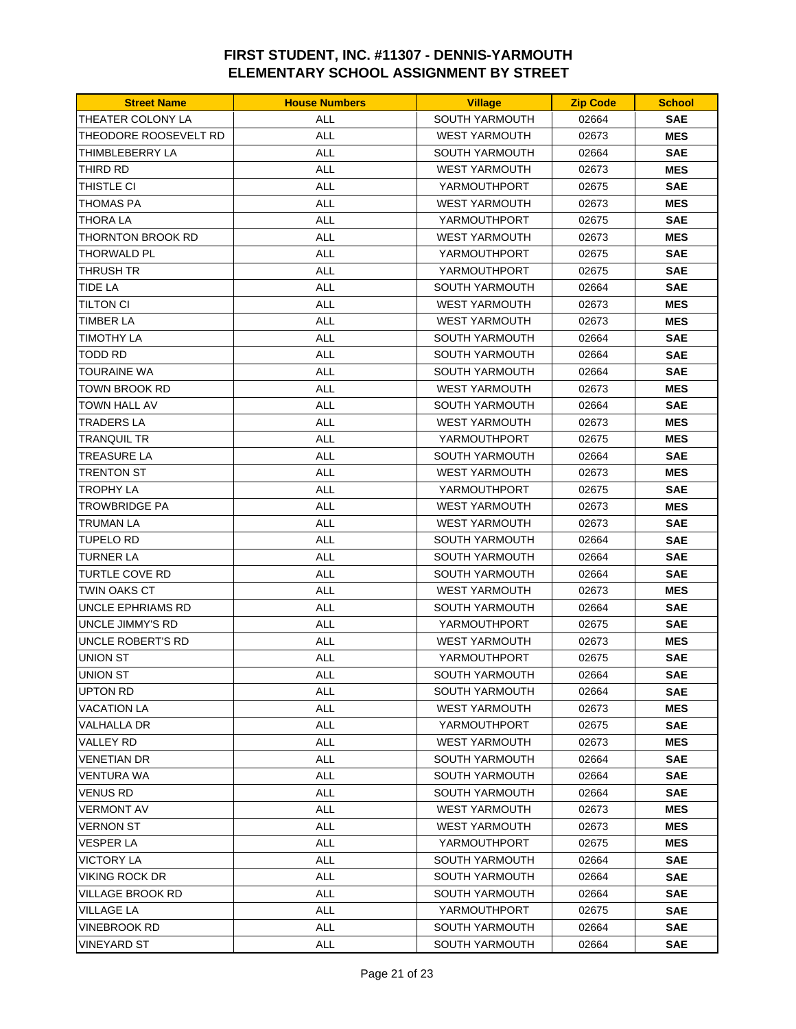| <b>Street Name</b>      | <b>House Numbers</b> | <b>Village</b>        | <b>Zip Code</b> | <b>School</b> |
|-------------------------|----------------------|-----------------------|-----------------|---------------|
| THEATER COLONY LA       | <b>ALL</b>           | SOUTH YARMOUTH        | 02664           | <b>SAE</b>    |
| THEODORE ROOSEVELT RD   | <b>ALL</b>           | <b>WEST YARMOUTH</b>  | 02673           | <b>MES</b>    |
| THIMBLEBERRY LA         | <b>ALL</b>           | <b>SOUTH YARMOUTH</b> | 02664           | <b>SAE</b>    |
| THIRD RD                | <b>ALL</b>           | <b>WEST YARMOUTH</b>  | 02673           | <b>MES</b>    |
| THISTLE CI              | <b>ALL</b>           | YARMOUTHPORT          | 02675           | <b>SAE</b>    |
| THOMAS PA               | ALL                  | <b>WEST YARMOUTH</b>  | 02673           | <b>MES</b>    |
| THORA LA                | <b>ALL</b>           | YARMOUTHPORT          | 02675           | <b>SAE</b>    |
| THORNTON BROOK RD       | <b>ALL</b>           | <b>WEST YARMOUTH</b>  | 02673           | <b>MES</b>    |
| <b>THORWALD PL</b>      | <b>ALL</b>           | YARMOUTHPORT          | 02675           | <b>SAE</b>    |
| <b>THRUSH TR</b>        | <b>ALL</b>           | YARMOUTHPORT          | 02675           | <b>SAE</b>    |
| TIDE LA                 | <b>ALL</b>           | <b>SOUTH YARMOUTH</b> | 02664           | <b>SAE</b>    |
| TILTON CI               | ALL                  | <b>WEST YARMOUTH</b>  | 02673           | <b>MES</b>    |
| TIMBER LA               | ALL                  | <b>WEST YARMOUTH</b>  | 02673           | <b>MES</b>    |
| TIMOTHY LA              | <b>ALL</b>           | <b>SOUTH YARMOUTH</b> | 02664           | <b>SAE</b>    |
| <b>TODD RD</b>          | <b>ALL</b>           | SOUTH YARMOUTH        | 02664           | <b>SAE</b>    |
| TOURAINE WA             | <b>ALL</b>           | <b>SOUTH YARMOUTH</b> | 02664           | <b>SAE</b>    |
| TOWN BROOK RD           | <b>ALL</b>           | <b>WEST YARMOUTH</b>  | 02673           | <b>MES</b>    |
| <b>TOWN HALL AV</b>     | <b>ALL</b>           | SOUTH YARMOUTH        | 02664           | <b>SAE</b>    |
| TRADERS LA              | ALL                  | <b>WEST YARMOUTH</b>  | 02673           | <b>MES</b>    |
| TRANQUIL TR             | <b>ALL</b>           | YARMOUTHPORT          | 02675           | <b>MES</b>    |
| <b>TREASURE LA</b>      | <b>ALL</b>           | SOUTH YARMOUTH        | 02664           | <b>SAE</b>    |
| TRENTON ST              | <b>ALL</b>           | <b>WEST YARMOUTH</b>  | 02673           | <b>MES</b>    |
| <b>TROPHY LA</b>        | <b>ALL</b>           | YARMOUTHPORT          | 02675           | <b>SAE</b>    |
| TROWBRIDGE PA           | <b>ALL</b>           | <b>WEST YARMOUTH</b>  | 02673           | <b>MES</b>    |
| TRUMAN LA               | ALL                  | <b>WEST YARMOUTH</b>  | 02673           | <b>SAE</b>    |
| TUPELO RD               | <b>ALL</b>           | <b>SOUTH YARMOUTH</b> | 02664           | <b>SAE</b>    |
| <b>TURNER LA</b>        | <b>ALL</b>           | <b>SOUTH YARMOUTH</b> | 02664           | <b>SAE</b>    |
| <b>TURTLE COVE RD</b>   | <b>ALL</b>           | <b>SOUTH YARMOUTH</b> | 02664           | <b>SAE</b>    |
| TWIN OAKS CT            | <b>ALL</b>           | <b>WEST YARMOUTH</b>  | 02673           | <b>MES</b>    |
| UNCLE EPHRIAMS RD       | <b>ALL</b>           | <b>SOUTH YARMOUTH</b> | 02664           | <b>SAE</b>    |
| <b>UNCLE JIMMY'S RD</b> | ALL                  | YARMOUTHPORT          | 02675           | <b>SAE</b>    |
| UNCLE ROBERT'S RD       | <b>ALL</b>           | <b>WEST YARMOUTH</b>  | 02673           | <b>MES</b>    |
| UNION ST                | <b>ALL</b>           | YARMOUTHPORT          | 02675           | <b>SAE</b>    |
| UNION ST                | ALL                  | SOUTH YARMOUTH        | 02664           | <b>SAE</b>    |
| <b>UPTON RD</b>         | ALL                  | SOUTH YARMOUTH        | 02664           | <b>SAE</b>    |
| VACATION LA             | ALL                  | <b>WEST YARMOUTH</b>  | 02673           | <b>MES</b>    |
| VALHALLA DR             | ALL                  | YARMOUTHPORT          | 02675           | <b>SAE</b>    |
| VALLEY RD               | ALL                  | <b>WEST YARMOUTH</b>  | 02673           | <b>MES</b>    |
| VENETIAN DR             | ALL                  | <b>SOUTH YARMOUTH</b> | 02664           | <b>SAE</b>    |
| <b>VENTURA WA</b>       | ALL                  | <b>SOUTH YARMOUTH</b> | 02664           | <b>SAE</b>    |
| VENUS RD                | <b>ALL</b>           | <b>SOUTH YARMOUTH</b> | 02664           | <b>SAE</b>    |
| VERMONT AV              | ALL                  | <b>WEST YARMOUTH</b>  | 02673           | <b>MES</b>    |
| <b>VERNON ST</b>        | ALL                  | <b>WEST YARMOUTH</b>  | 02673           | <b>MES</b>    |
| VESPER LA               | ALL                  | YARMOUTHPORT          | 02675           | <b>MES</b>    |
| VICTORY LA              | ALL                  | <b>SOUTH YARMOUTH</b> | 02664           | <b>SAE</b>    |
| <b>VIKING ROCK DR</b>   | <b>ALL</b>           | <b>SOUTH YARMOUTH</b> | 02664           | <b>SAE</b>    |
| VILLAGE BROOK RD        | ALL                  | SOUTH YARMOUTH        | 02664           | <b>SAE</b>    |
| <b>VILLAGE LA</b>       | ALL                  | YARMOUTHPORT          | 02675           | <b>SAE</b>    |
| VINEBROOK RD            | <b>ALL</b>           | <b>SOUTH YARMOUTH</b> | 02664           | <b>SAE</b>    |
| VINEYARD ST             | ALL                  | <b>SOUTH YARMOUTH</b> | 02664           | <b>SAE</b>    |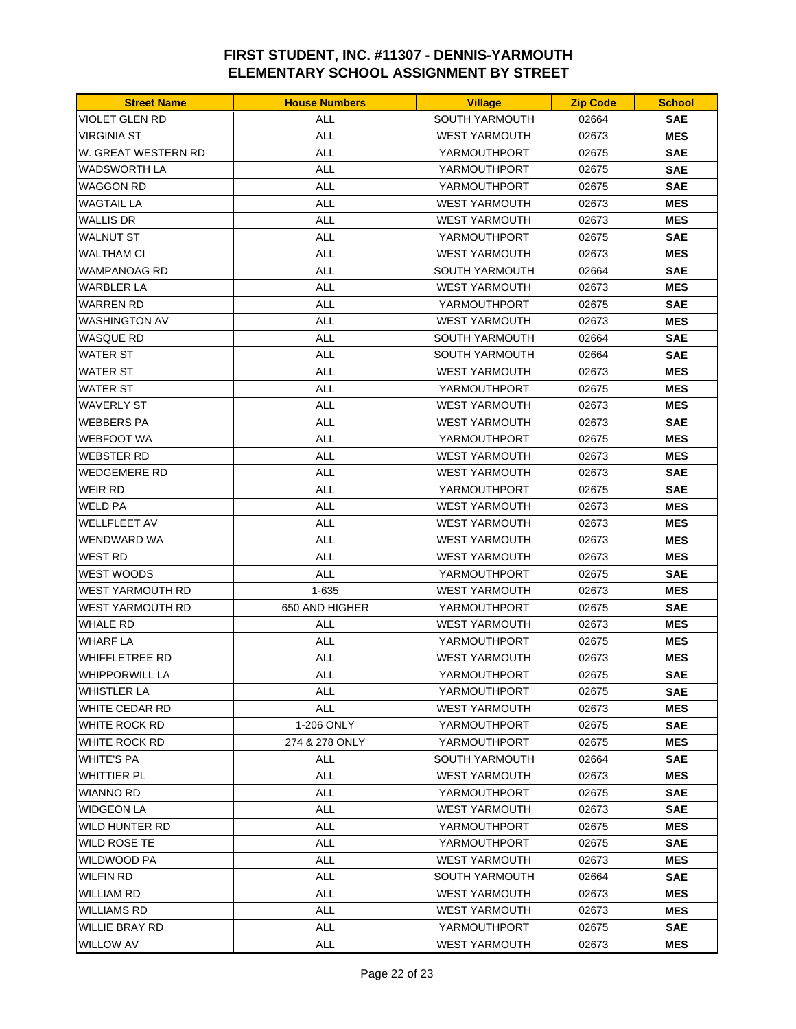| <b>Street Name</b>    | <b>House Numbers</b> | <b>Village</b>        | <b>Zip Code</b> | <b>School</b> |
|-----------------------|----------------------|-----------------------|-----------------|---------------|
| VIOLET GLEN RD        | ALL                  | SOUTH YARMOUTH        | 02664           | <b>SAE</b>    |
| VIRGINIA ST           | <b>ALL</b>           | <b>WEST YARMOUTH</b>  | 02673           | <b>MES</b>    |
| W. GREAT WESTERN RD   | <b>ALL</b>           | YARMOUTHPORT          | 02675           | <b>SAE</b>    |
| WADSWORTH LA          | <b>ALL</b>           | YARMOUTHPORT          | 02675           | <b>SAE</b>    |
| WAGGON RD             | <b>ALL</b>           | YARMOUTHPORT          | 02675           | <b>SAE</b>    |
| <b>WAGTAIL LA</b>     | ALL                  | <b>WEST YARMOUTH</b>  | 02673           | <b>MES</b>    |
| WALLIS DR             | ALL                  | <b>WEST YARMOUTH</b>  | 02673           | <b>MES</b>    |
| <b>WALNUT ST</b>      | <b>ALL</b>           | YARMOUTHPORT          | 02675           | <b>SAE</b>    |
| <b>WALTHAM CI</b>     | <b>ALL</b>           | <b>WEST YARMOUTH</b>  | 02673           | <b>MES</b>    |
| WAMPANOAG RD          | <b>ALL</b>           | <b>SOUTH YARMOUTH</b> | 02664           | <b>SAE</b>    |
| WARBLER LA            | <b>ALL</b>           | <b>WEST YARMOUTH</b>  | 02673           | <b>MES</b>    |
| WARREN RD             | ALL                  | YARMOUTHPORT          | 02675           | <b>SAE</b>    |
| WASHINGTON AV         | <b>ALL</b>           | <b>WEST YARMOUTH</b>  | 02673           | <b>MES</b>    |
| <b>WASQUE RD</b>      | <b>ALL</b>           | <b>SOUTH YARMOUTH</b> | 02664           | <b>SAE</b>    |
| <b>WATER ST</b>       | <b>ALL</b>           | <b>SOUTH YARMOUTH</b> | 02664           | <b>SAE</b>    |
| WATER ST              | <b>ALL</b>           | <b>WEST YARMOUTH</b>  | 02673           | <b>MES</b>    |
| WATER ST              | <b>ALL</b>           | YARMOUTHPORT          | 02675           | <b>MES</b>    |
| WAVERLY ST            | <b>ALL</b>           | <b>WEST YARMOUTH</b>  | 02673           | <b>MES</b>    |
| WEBBERS PA            | ALL                  | <b>WEST YARMOUTH</b>  | 02673           | <b>SAE</b>    |
| WEBFOOT WA            | <b>ALL</b>           | YARMOUTHPORT          | 02675           | <b>MES</b>    |
| <b>WEBSTER RD</b>     | <b>ALL</b>           | <b>WEST YARMOUTH</b>  | 02673           | <b>MES</b>    |
| WEDGEMERE RD          | <b>ALL</b>           | <b>WEST YARMOUTH</b>  | 02673           | <b>SAE</b>    |
| WEIR RD               | <b>ALL</b>           | YARMOUTHPORT          | 02675           | <b>SAE</b>    |
| WELD PA               | <b>ALL</b>           | <b>WEST YARMOUTH</b>  | 02673           | <b>MES</b>    |
| <b>WELLFLEET AV</b>   | <b>ALL</b>           | <b>WEST YARMOUTH</b>  | 02673           | <b>MES</b>    |
| WENDWARD WA           | <b>ALL</b>           | <b>WEST YARMOUTH</b>  | 02673           | <b>MES</b>    |
| WEST RD               | <b>ALL</b>           | <b>WEST YARMOUTH</b>  | 02673           | <b>MES</b>    |
| <b>WEST WOODS</b>     | <b>ALL</b>           | YARMOUTHPORT          | 02675           | <b>SAE</b>    |
| WEST YARMOUTH RD      | 1-635                | <b>WEST YARMOUTH</b>  | 02673           | <b>MES</b>    |
| WEST YARMOUTH RD      | 650 AND HIGHER       | YARMOUTHPORT          | 02675           | <b>SAE</b>    |
| <b>WHALE RD</b>       | <b>ALL</b>           | <b>WEST YARMOUTH</b>  | 02673           | <b>MES</b>    |
| WHARF LA              | ALL                  | YARMOUTHPORT          | 02675           | <b>MES</b>    |
| <b>WHIFFLETREE RD</b> | <b>ALL</b>           | <b>WEST YARMOUTH</b>  | 02673           | <b>MES</b>    |
| <b>WHIPPORWILL LA</b> | <b>ALL</b>           | YARMOUTHPORT          | 02675           | <b>SAE</b>    |
| WHISTLER LA           | ALL                  | YARMOUTHPORT          | 02675           | <b>SAE</b>    |
| WHITE CEDAR RD        | <b>ALL</b>           | WEST YARMOUTH         | 02673           | <b>MES</b>    |
| WHITE ROCK RD         | 1-206 ONLY           | YARMOUTHPORT          | 02675           | <b>SAE</b>    |
| WHITE ROCK RD         | 274 & 278 ONLY       | YARMOUTHPORT          | 02675           | <b>MES</b>    |
| WHITE'S PA            | <b>ALL</b>           | <b>SOUTH YARMOUTH</b> | 02664           | <b>SAE</b>    |
| WHITTIER PL           | <b>ALL</b>           | <b>WEST YARMOUTH</b>  | 02673           | <b>MES</b>    |
| WIANNO RD             | <b>ALL</b>           | YARMOUTHPORT          | 02675           | <b>SAE</b>    |
| WIDGEON LA            | <b>ALL</b>           | <b>WEST YARMOUTH</b>  | 02673           | <b>SAE</b>    |
| WILD HUNTER RD        | ALL                  | YARMOUTHPORT          | 02675           | <b>MES</b>    |
| WILD ROSE TE          | <b>ALL</b>           | YARMOUTHPORT          | 02675           | <b>SAE</b>    |
| WILDWOOD PA           | <b>ALL</b>           | <b>WEST YARMOUTH</b>  | 02673           | <b>MES</b>    |
| WILFIN RD             | ALL                  | <b>SOUTH YARMOUTH</b> | 02664           | <b>SAE</b>    |
| WILLIAM RD            | ALL                  | <b>WEST YARMOUTH</b>  | 02673           | <b>MES</b>    |
| WILLIAMS RD           | ALL                  | <b>WEST YARMOUTH</b>  | 02673           | <b>MES</b>    |
| WILLIE BRAY RD        | ALL                  | YARMOUTHPORT          | 02675           | <b>SAE</b>    |
| <b>WILLOW AV</b>      | ALL                  | <b>WEST YARMOUTH</b>  | 02673           | <b>MES</b>    |